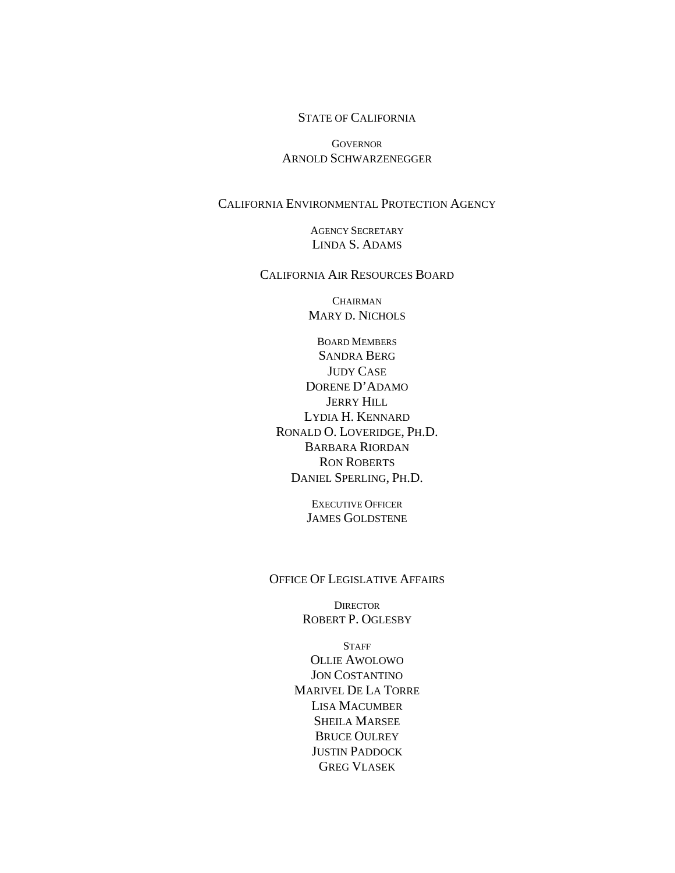#### STATE OF CALIFORNIA

**GOVERNOR** ARNOLD SCHWARZENEGGER

#### CALIFORNIA ENVIRONMENTAL PROTECTION AGENCY

AGENCY SECRETARY LINDA S. ADAMS

#### CALIFORNIA AIR RESOURCES BOARD

**CHAIRMAN** MARY D. NICHOLS

BOARD MEMBERS SANDRA BERG JUDY CASE DORENE D'ADAMO JERRY HILL LYDIA H. KENNARD RONALD O. LOVERIDGE, PH.D. BARBARA RIORDAN RON ROBERTS DANIEL SPERLING, PH.D.

> EXECUTIVE OFFICER JAMES GOLDSTENE

OFFICE OF LEGISLATIVE AFFAIRS

**DIRECTOR** ROBERT P. OGLESBY

**STAFF** OLLIE AWOLOWO JON COSTANTINO MARIVEL DE LA TORRE LISA MACUMBER SHEILA MARSEE BRUCE OULREY JUSTIN PADDOCK GREG VLASEK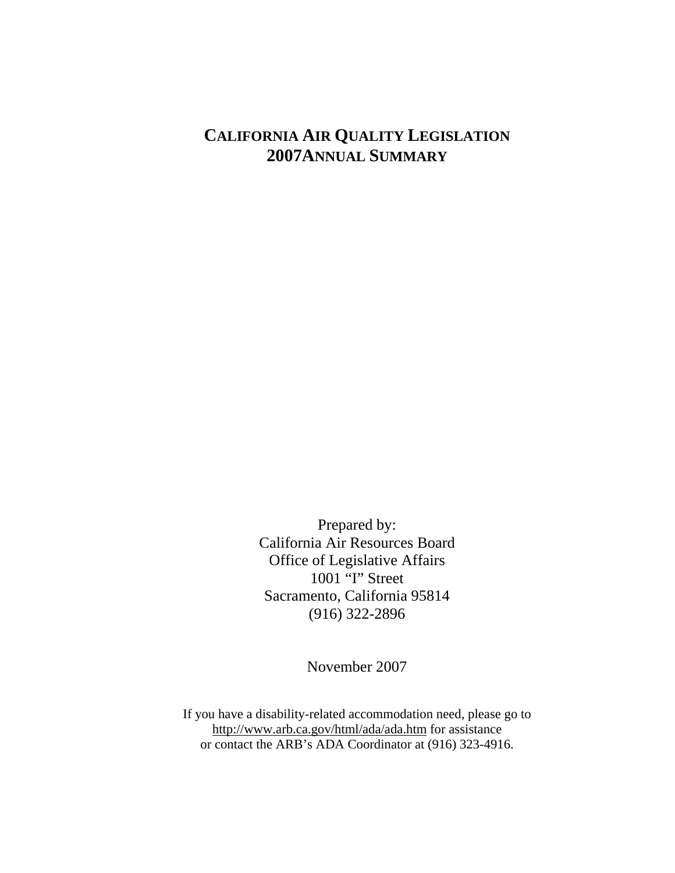# **CALIFORNIA AIR QUALITY LEGISLATION 2007ANNUAL SUMMARY**

Prepared by: California Air Resources Board Office of Legislative Affairs 1001 "I" Street Sacramento, California 95814 (916) 322-2896

November 2007

If you have a disability-related accommodation need, please go to http://www.arb.ca.gov/html/ada/ada.htm for assistance or contact the ARB's ADA Coordinator at (916) 323-4916.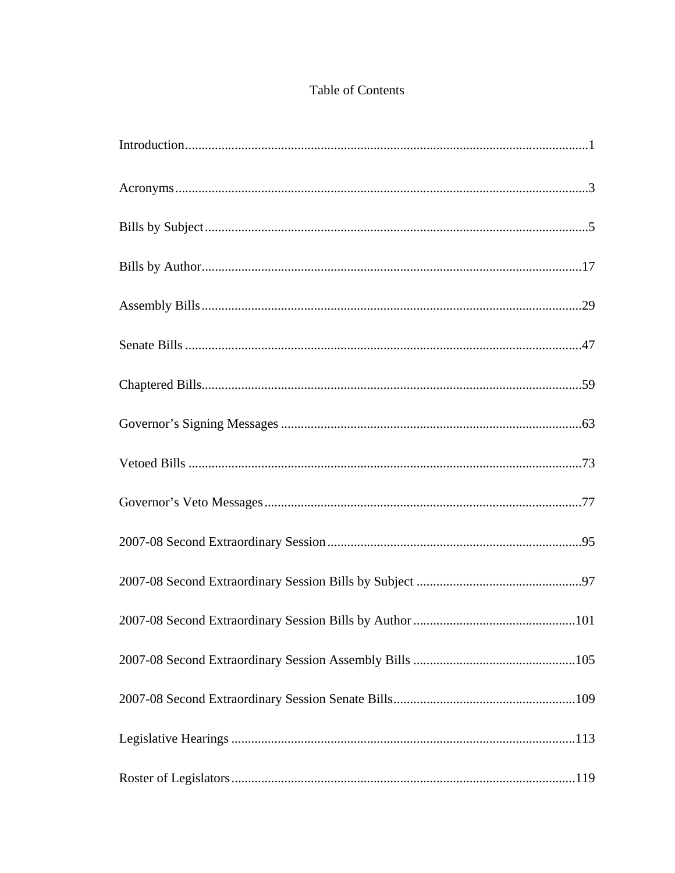## Table of Contents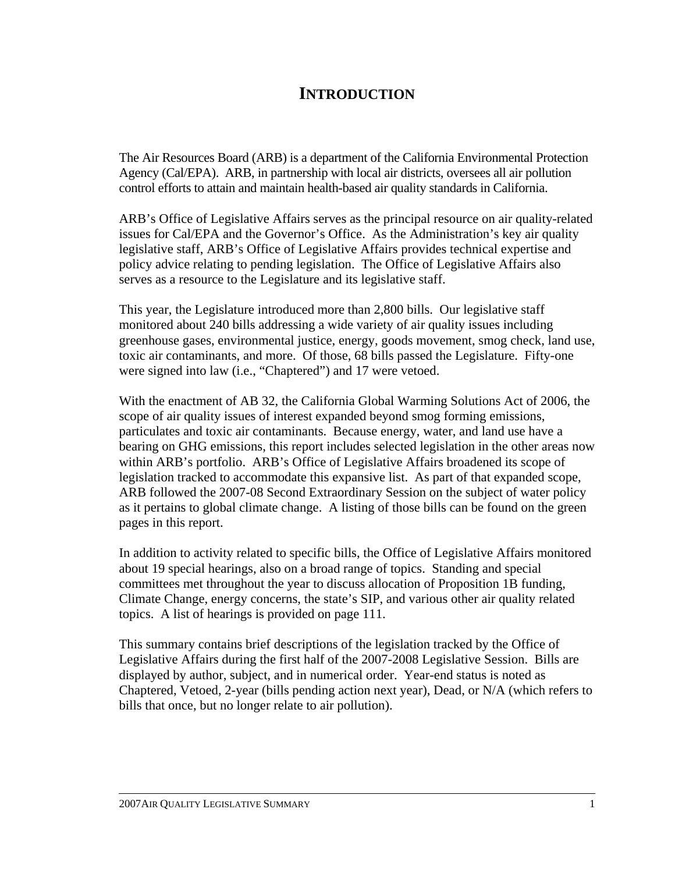## **INTRODUCTION**

The Air Resources Board (ARB) is a department of the California Environmental Protection Agency (Cal/EPA). ARB, in partnership with local air districts, oversees all air pollution control efforts to attain and maintain health-based air quality standards in California.

ARB's Office of Legislative Affairs serves as the principal resource on air quality-related issues for Cal/EPA and the Governor's Office. As the Administration's key air quality legislative staff, ARB's Office of Legislative Affairs provides technical expertise and policy advice relating to pending legislation. The Office of Legislative Affairs also serves as a resource to the Legislature and its legislative staff.

This year, the Legislature introduced more than 2,800 bills. Our legislative staff monitored about 240 bills addressing a wide variety of air quality issues including greenhouse gases, environmental justice, energy, goods movement, smog check, land use, toxic air contaminants, and more. Of those, 68 bills passed the Legislature. Fifty-one were signed into law (i.e., "Chaptered") and 17 were vetoed.

With the enactment of AB 32, the California Global Warming Solutions Act of 2006, the scope of air quality issues of interest expanded beyond smog forming emissions, particulates and toxic air contaminants. Because energy, water, and land use have a bearing on GHG emissions, this report includes selected legislation in the other areas now within ARB's portfolio. ARB's Office of Legislative Affairs broadened its scope of legislation tracked to accommodate this expansive list. As part of that expanded scope, ARB followed the 2007-08 Second Extraordinary Session on the subject of water policy as it pertains to global climate change. A listing of those bills can be found on the green pages in this report.

In addition to activity related to specific bills, the Office of Legislative Affairs monitored about 19 special hearings, also on a broad range of topics. Standing and special committees met throughout the year to discuss allocation of Proposition 1B funding, Climate Change, energy concerns, the state's SIP, and various other air quality related topics. A list of hearings is provided on page 111.

This summary contains brief descriptions of the legislation tracked by the Office of Legislative Affairs during the first half of the 2007-2008 Legislative Session. Bills are displayed by author, subject, and in numerical order. Year-end status is noted as Chaptered, Vetoed, 2-year (bills pending action next year), Dead, or N/A (which refers to bills that once, but no longer relate to air pollution).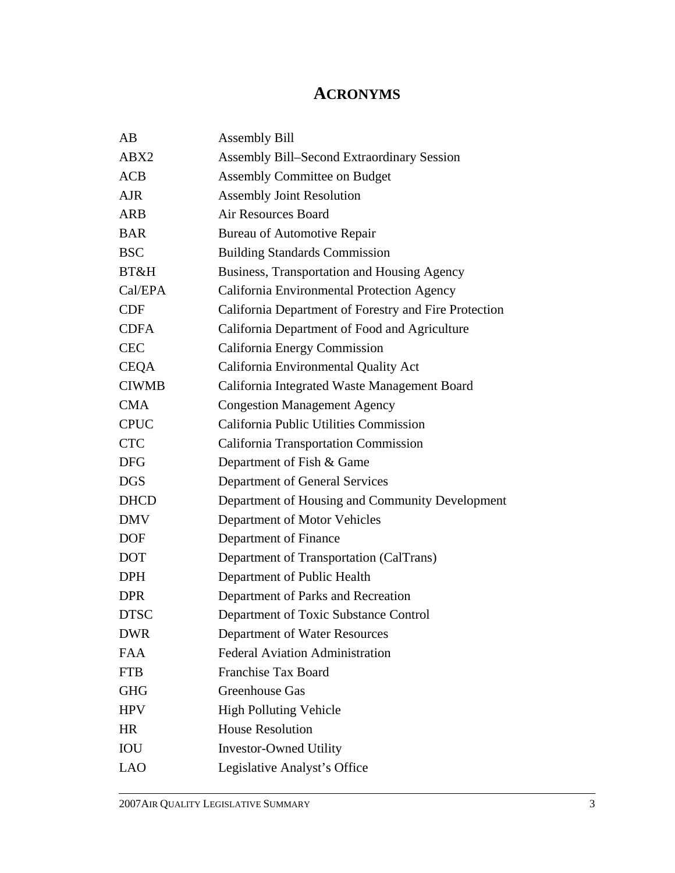## **ACRONYMS**

| AB           | <b>Assembly Bill</b>                                  |
|--------------|-------------------------------------------------------|
| ABX2         | <b>Assembly Bill–Second Extraordinary Session</b>     |
| ACB          | <b>Assembly Committee on Budget</b>                   |
| <b>AJR</b>   | <b>Assembly Joint Resolution</b>                      |
| ARB          | <b>Air Resources Board</b>                            |
| <b>BAR</b>   | <b>Bureau of Automotive Repair</b>                    |
| <b>BSC</b>   | <b>Building Standards Commission</b>                  |
| BT&H         | Business, Transportation and Housing Agency           |
| Cal/EPA      | California Environmental Protection Agency            |
| <b>CDF</b>   | California Department of Forestry and Fire Protection |
| <b>CDFA</b>  | California Department of Food and Agriculture         |
| <b>CEC</b>   | California Energy Commission                          |
| <b>CEQA</b>  | California Environmental Quality Act                  |
| <b>CIWMB</b> | California Integrated Waste Management Board          |
| <b>CMA</b>   | <b>Congestion Management Agency</b>                   |
| <b>CPUC</b>  | California Public Utilities Commission                |
| <b>CTC</b>   | <b>California Transportation Commission</b>           |
| <b>DFG</b>   | Department of Fish & Game                             |
| <b>DGS</b>   | Department of General Services                        |
| <b>DHCD</b>  | Department of Housing and Community Development       |
| <b>DMV</b>   | Department of Motor Vehicles                          |
| <b>DOF</b>   | Department of Finance                                 |
| <b>DOT</b>   | Department of Transportation (CalTrans)               |
| <b>DPH</b>   | Department of Public Health                           |
| <b>DPR</b>   | Department of Parks and Recreation                    |
| <b>DTSC</b>  | Department of Toxic Substance Control                 |
| <b>DWR</b>   | Department of Water Resources                         |
| <b>FAA</b>   | <b>Federal Aviation Administration</b>                |
| <b>FTB</b>   | <b>Franchise Tax Board</b>                            |
| <b>GHG</b>   | Greenhouse Gas                                        |
| <b>HPV</b>   | <b>High Polluting Vehicle</b>                         |
| <b>HR</b>    | <b>House Resolution</b>                               |
| <b>IOU</b>   | <b>Investor-Owned Utility</b>                         |
| <b>LAO</b>   | Legislative Analyst's Office                          |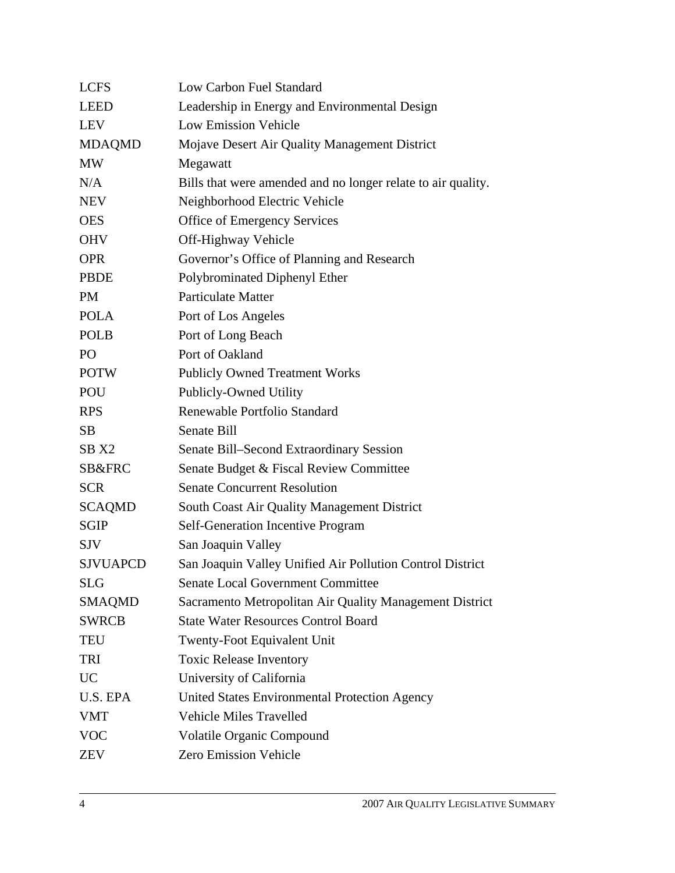| Low Carbon Fuel Standard                                     |
|--------------------------------------------------------------|
| Leadership in Energy and Environmental Design                |
| <b>Low Emission Vehicle</b>                                  |
| Mojave Desert Air Quality Management District                |
| Megawatt                                                     |
| Bills that were amended and no longer relate to air quality. |
| Neighborhood Electric Vehicle                                |
| Office of Emergency Services                                 |
| Off-Highway Vehicle                                          |
| Governor's Office of Planning and Research                   |
| Polybrominated Diphenyl Ether                                |
| <b>Particulate Matter</b>                                    |
| Port of Los Angeles                                          |
| Port of Long Beach                                           |
| Port of Oakland                                              |
| <b>Publicly Owned Treatment Works</b>                        |
| Publicly-Owned Utility                                       |
| Renewable Portfolio Standard                                 |
| Senate Bill                                                  |
| Senate Bill–Second Extraordinary Session                     |
| Senate Budget & Fiscal Review Committee                      |
| <b>Senate Concurrent Resolution</b>                          |
| <b>South Coast Air Quality Management District</b>           |
| <b>Self-Generation Incentive Program</b>                     |
| San Joaquin Valley                                           |
| San Joaquin Valley Unified Air Pollution Control District    |
| <b>Senate Local Government Committee</b>                     |
| Sacramento Metropolitan Air Quality Management District      |
| <b>State Water Resources Control Board</b>                   |
| <b>Twenty-Foot Equivalent Unit</b>                           |
| <b>Toxic Release Inventory</b>                               |
| University of California                                     |
| United States Environmental Protection Agency                |
| <b>Vehicle Miles Travelled</b>                               |
| <b>Volatile Organic Compound</b>                             |
| Zero Emission Vehicle                                        |
|                                                              |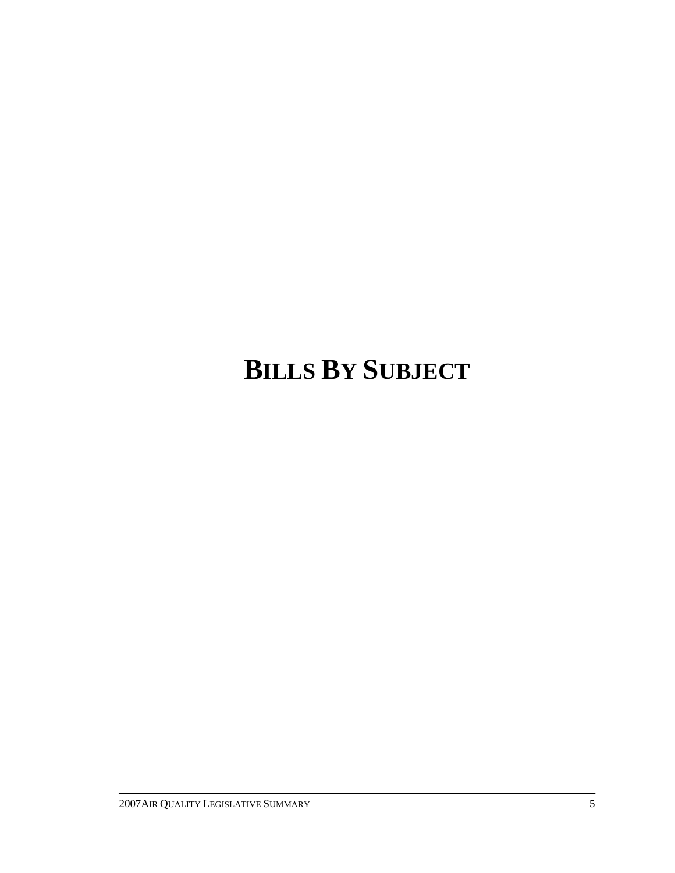# **BILLS BY SUBJECT**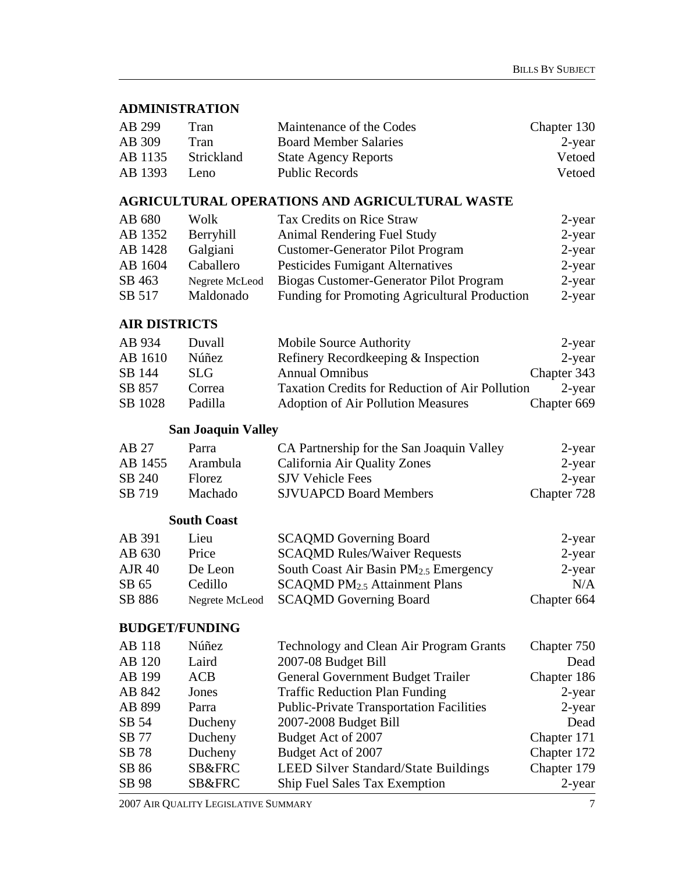#### **ADMINISTRATION**

| AB 299  | Tran       | Maintenance of the Codes     | Chapter 130 |
|---------|------------|------------------------------|-------------|
| AB 309  | Tran       | <b>Board Member Salaries</b> | $2$ -year   |
| AB 1135 | Strickland | <b>State Agency Reports</b>  | Vetoed      |
| AB 1393 | Leno.      | <b>Public Records</b>        | Vetoed      |

#### **AGRICULTURAL OPERATIONS AND AGRICULTURAL WASTE**

| AB 680  | Wolk           | Tax Credits on Rice Straw                     | 2-year |
|---------|----------------|-----------------------------------------------|--------|
| AB 1352 | Berryhill      | Animal Rendering Fuel Study                   | 2-year |
| AB 1428 | Galgiani       | <b>Customer-Generator Pilot Program</b>       | 2-year |
| AB 1604 | Caballero      | Pesticides Fumigant Alternatives              | 2-year |
| SB 463  | Negrete McLeod | Biogas Customer-Generator Pilot Program       | 2-year |
| SB 517  | Maldonado      | Funding for Promoting Agricultural Production | 2-year |

#### **AIR DISTRICTS**

| AB 934  | Duvall  | Mobile Source Authority                         | 2-year      |
|---------|---------|-------------------------------------------------|-------------|
| AB 1610 | Núñez   | Refinery Recordkeeping & Inspection             | $2$ -year   |
| SB 144  | SLG.    | <b>Annual Omnibus</b>                           | Chapter 343 |
| SB 857  | Correa  | Taxation Credits for Reduction of Air Pollution | 2-year      |
| SB 1028 | Padilla | <b>Adoption of Air Pollution Measures</b>       | Chapter 669 |

#### **San Joaquin Valley**

| AB 27   | Parra    | CA Partnership for the San Joaquin Valley | $2$ -year   |
|---------|----------|-------------------------------------------|-------------|
| AB 1455 | Arambula | California Air Quality Zones              | 2-year      |
| SB 240  | Florez.  | <b>SJV Vehicle Fees</b>                   | 2-year      |
| SB 719  | Machado  | <b>SJVUAPCD Board Members</b>             | Chapter 728 |

#### **South Coast**

| AB 391        | Lieu           | <b>SCAQMD</b> Governing Board              | 2-year      |
|---------------|----------------|--------------------------------------------|-------------|
| AB 630        | Price          | <b>SCAQMD Rules/Waiver Requests</b>        | 2-year      |
| <b>AJR 40</b> | De Leon        | South Coast Air Basin $PM_{2.5}$ Emergency | $2$ -year   |
| SB 65         | Cedillo        | $SCAQMD PM_{2.5}$ Attainment Plans         | N/A         |
| SB 886        | Negrete McLeod | <b>SCAQMD</b> Governing Board              | Chapter 664 |

#### **BUDGET/FUNDING**

| AB 118 | Núñez             | Technology and Clean Air Program Grants         | Chapter 750 |
|--------|-------------------|-------------------------------------------------|-------------|
| AB 120 | Laird             | 2007-08 Budget Bill                             | Dead        |
| AB 199 | <b>ACB</b>        | General Government Budget Trailer               | Chapter 186 |
| AB 842 | Jones             | <b>Traffic Reduction Plan Funding</b>           | $2$ -year   |
| AB 899 | Parra             | <b>Public-Private Transportation Facilities</b> | 2-year      |
| SB 54  | Ducheny           | 2007-2008 Budget Bill                           | Dead        |
| SB 77  | Ducheny           | Budget Act of 2007                              | Chapter 171 |
| SB 78  | Ducheny           | Budget Act of 2007                              | Chapter 172 |
| SB 86  | <b>SB&amp;FRC</b> | LEED Silver Standard/State Buildings            | Chapter 179 |
| SB 98  | SB&FRC            | Ship Fuel Sales Tax Exemption                   | $2$ -year   |
|        |                   |                                                 |             |

2007 AIR QUALITY LEGISLATIVE SUMMARY 7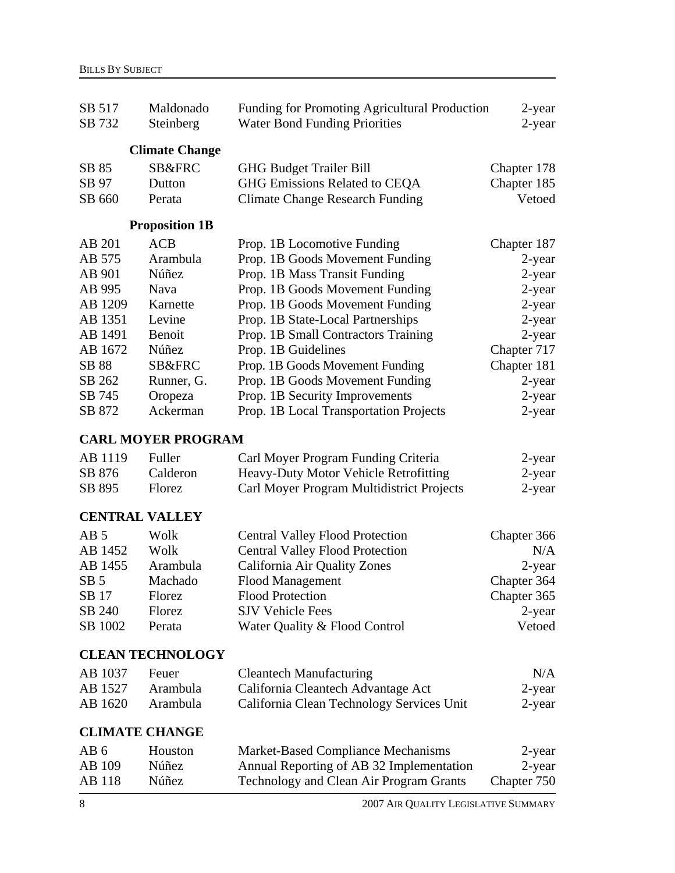| SB 517<br>SB 732      | Maldonado<br>Steinberg    | Funding for Promoting Agricultural Production<br><b>Water Bond Funding Priorities</b> | 2-year<br>2-year |
|-----------------------|---------------------------|---------------------------------------------------------------------------------------|------------------|
|                       | <b>Climate Change</b>     |                                                                                       |                  |
| SB 85                 | SB&FRC                    | <b>GHG Budget Trailer Bill</b>                                                        | Chapter 178      |
| SB 97                 | Dutton                    | GHG Emissions Related to CEQA                                                         | Chapter 185      |
| SB 660                | Perata                    | <b>Climate Change Research Funding</b>                                                | Vetoed           |
|                       | <b>Proposition 1B</b>     |                                                                                       |                  |
| AB 201                | <b>ACB</b>                | Prop. 1B Locomotive Funding                                                           | Chapter 187      |
| AB 575                | Arambula                  | Prop. 1B Goods Movement Funding                                                       | 2-year           |
| AB 901                | Núñez                     | Prop. 1B Mass Transit Funding                                                         | 2-year           |
| AB 995                | Nava                      | Prop. 1B Goods Movement Funding                                                       | 2-year           |
| AB 1209               | Karnette                  | Prop. 1B Goods Movement Funding                                                       | 2-year           |
| AB 1351               | Levine                    | Prop. 1B State-Local Partnerships                                                     | 2-year           |
| AB 1491               | Benoit                    | Prop. 1B Small Contractors Training                                                   | 2-year           |
| AB 1672               | Núñez                     | Prop. 1B Guidelines                                                                   | Chapter 717      |
| SB 88                 | SB&FRC                    | Prop. 1B Goods Movement Funding                                                       | Chapter 181      |
| SB 262                | Runner, G.                | Prop. 1B Goods Movement Funding                                                       | 2-year           |
| SB 745                | Oropeza                   | Prop. 1B Security Improvements                                                        | 2-year           |
| SB 872                | Ackerman                  | Prop. 1B Local Transportation Projects                                                | $2$ -year        |
|                       | <b>CARL MOYER PROGRAM</b> |                                                                                       |                  |
| AB 1119               | Fuller                    | Carl Moyer Program Funding Criteria                                                   | 2-year           |
| SB 876                | Calderon                  | Heavy-Duty Motor Vehicle Retrofitting                                                 | 2-year           |
| SB 895                | Florez                    | Carl Moyer Program Multidistrict Projects                                             | 2-year           |
| <b>CENTRAL VALLEY</b> |                           |                                                                                       |                  |
|                       |                           |                                                                                       |                  |
| AB <sub>5</sub>       | Wolk                      | <b>Central Valley Flood Protection</b>                                                | Chapter 366      |
| AB 1452               | Wolk                      | <b>Central Valley Flood Protection</b>                                                | N/A              |
| AB 1455               | Arambula                  | California Air Quality Zones                                                          | 2-year           |
| SB <sub>5</sub>       | Machado                   | <b>Flood Management</b>                                                               | Chapter 364      |
| SB 17                 | Florez                    | <b>Flood Protection</b>                                                               | Chapter 365      |
| SB 240                | Florez                    | <b>SJV Vehicle Fees</b>                                                               | 2-year           |
| SB 1002               | Perata                    | Water Quality & Flood Control                                                         | Vetoed           |
|                       | <b>CLEAN TECHNOLOGY</b>   |                                                                                       |                  |
| AB 1037               | Feuer                     | <b>Cleantech Manufacturing</b>                                                        | N/A              |
| AB 1527               | Arambula                  | California Cleantech Advantage Act                                                    | 2-year           |
| AB 1620               | Arambula                  | California Clean Technology Services Unit                                             | 2-year           |
| <b>CLIMATE CHANGE</b> |                           |                                                                                       |                  |
| AB <sub>6</sub>       | Houston                   | Market-Based Compliance Mechanisms                                                    | 2-year           |
| AB 109                | Núñez                     | Annual Reporting of AB 32 Implementation                                              | 2-year           |
| AB 118                | Núñez                     | Technology and Clean Air Program Grants                                               | Chapter 750      |
| $8\phantom{1}$        |                           | 2007 AIR QUALITY LEGISLATIVE SUMMARY                                                  |                  |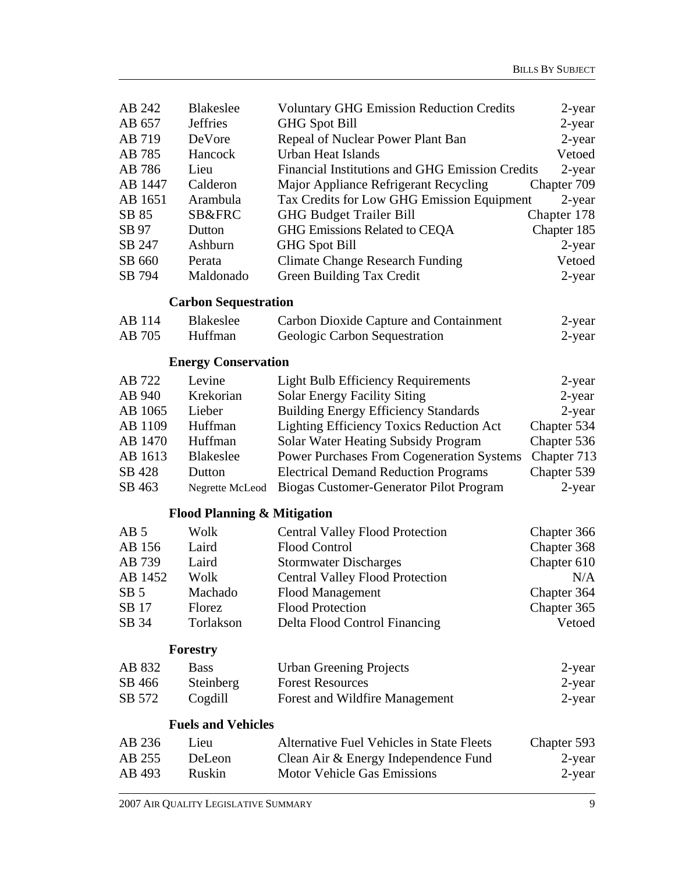| AB 242          | <b>Blakeslee</b>                       | <b>Voluntary GHG Emission Reduction Credits</b>                         | 2-year           |
|-----------------|----------------------------------------|-------------------------------------------------------------------------|------------------|
| AB 657          | <b>Jeffries</b>                        | <b>GHG Spot Bill</b>                                                    | $2$ -year        |
| AB 719          | DeVore                                 | Repeal of Nuclear Power Plant Ban                                       | 2-year           |
| AB 785          | Hancock                                | <b>Urban Heat Islands</b>                                               | Vetoed           |
| AB 786          | Lieu                                   | Financial Institutions and GHG Emission Credits                         | 2-year           |
| AB 1447         | Calderon                               | Major Appliance Refrigerant Recycling                                   | Chapter 709      |
| AB 1651         | Arambula                               | Tax Credits for Low GHG Emission Equipment                              | 2-year           |
| SB 85           | SB&FRC                                 | <b>GHG Budget Trailer Bill</b>                                          | Chapter 178      |
| SB 97           | Dutton                                 | GHG Emissions Related to CEQA                                           | Chapter 185      |
| SB 247          | Ashburn                                | <b>GHG Spot Bill</b>                                                    | 2-year           |
| SB 660          | Perata                                 | <b>Climate Change Research Funding</b>                                  | Vetoed           |
| SB 794          | Maldonado                              | Green Building Tax Credit                                               | $2$ -year        |
|                 | <b>Carbon Sequestration</b>            |                                                                         |                  |
| AB 114          | <b>Blakeslee</b>                       |                                                                         |                  |
| AB 705          | Huffman                                | Carbon Dioxide Capture and Containment<br>Geologic Carbon Sequestration | 2-year<br>2-year |
|                 |                                        |                                                                         |                  |
|                 | <b>Energy Conservation</b>             |                                                                         |                  |
| AB 722          | Levine                                 | <b>Light Bulb Efficiency Requirements</b>                               | 2-year           |
| AB 940          | Krekorian                              | <b>Solar Energy Facility Siting</b>                                     | 2-year           |
| AB 1065         | Lieber                                 | <b>Building Energy Efficiency Standards</b>                             | 2-year           |
| AB 1109         | Huffman                                | <b>Lighting Efficiency Toxics Reduction Act</b>                         | Chapter 534      |
| AB 1470         | Huffman                                | Solar Water Heating Subsidy Program                                     | Chapter 536      |
| AB 1613         | <b>Blakeslee</b>                       | <b>Power Purchases From Cogeneration Systems</b>                        | Chapter 713      |
| SB 428          | Dutton                                 | <b>Electrical Demand Reduction Programs</b>                             | Chapter 539      |
| SB 463          | Negrette McLeod                        | Biogas Customer-Generator Pilot Program                                 | 2-year           |
|                 | <b>Flood Planning &amp; Mitigation</b> |                                                                         |                  |
| AB <sub>5</sub> | Wolk                                   | <b>Central Valley Flood Protection</b>                                  | Chapter 366      |
| AB 156          | Laird                                  | <b>Flood Control</b>                                                    | Chapter 368      |
| AB 739          | Laird                                  | <b>Stormwater Discharges</b>                                            | Chapter 610      |
| AB 1452         | Wolk                                   | <b>Central Valley Flood Protection</b>                                  | N/A              |
| SB <sub>5</sub> | Machado                                | Flood Management                                                        | Chapter 364      |
| SB 17           | Florez                                 | <b>Flood Protection</b>                                                 | Chapter 365      |
| SB 34           | Torlakson                              | Delta Flood Control Financing                                           | Vetoed           |
|                 | Forestry                               |                                                                         |                  |
| AB 832          | <b>Bass</b>                            | <b>Urban Greening Projects</b>                                          | 2-year           |
| SB 466          | Steinberg                              | <b>Forest Resources</b>                                                 | 2-year           |
| SB 572          | Cogdill                                | Forest and Wildfire Management                                          | 2-year           |
|                 | <b>Fuels and Vehicles</b>              |                                                                         |                  |
| AB 236          | Lieu                                   | <b>Alternative Fuel Vehicles in State Fleets</b>                        | Chapter 593      |
| AB 255          | DeLeon                                 | Clean Air & Energy Independence Fund                                    | 2-year           |
| AB 493          | Ruskin                                 | <b>Motor Vehicle Gas Emissions</b>                                      | 2-year           |
|                 |                                        |                                                                         |                  |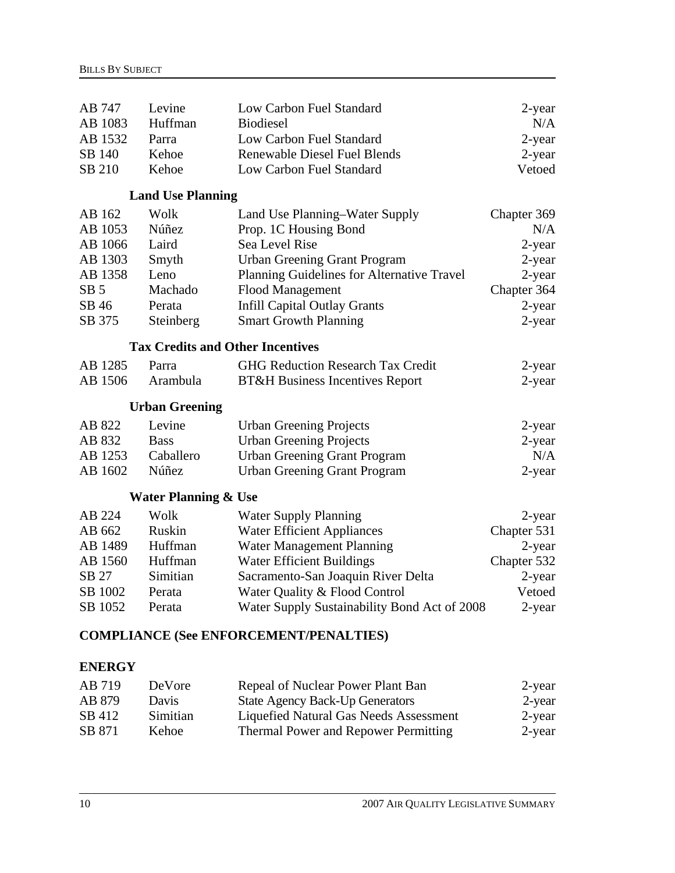| AB 747<br>AB 1083 | Levine<br>Huffman                       | Low Carbon Fuel Standard<br><b>Biodiesel</b>  | 2-year<br>N/A |
|-------------------|-----------------------------------------|-----------------------------------------------|---------------|
| AB 1532           | Parra                                   | Low Carbon Fuel Standard                      | $2$ -year     |
| SB 140            | Kehoe                                   | <b>Renewable Diesel Fuel Blends</b>           | 2-year        |
| SB 210            | Kehoe                                   | Low Carbon Fuel Standard                      | Vetoed        |
|                   |                                         |                                               |               |
|                   | <b>Land Use Planning</b>                |                                               |               |
| AB 162            | Wolk                                    | Land Use Planning–Water Supply                | Chapter 369   |
| AB 1053           | Núñez                                   | Prop. 1C Housing Bond                         | N/A           |
| AB 1066           | Laird                                   | Sea Level Rise                                | 2-year        |
| AB 1303           | Smyth                                   | <b>Urban Greening Grant Program</b>           | 2-year        |
| AB 1358           | Leno                                    | Planning Guidelines for Alternative Travel    | 2-year        |
| SB <sub>5</sub>   | Machado                                 | <b>Flood Management</b>                       | Chapter 364   |
| SB 46             | Perata                                  | <b>Infill Capital Outlay Grants</b>           | 2-year        |
| SB 375            | Steinberg                               | <b>Smart Growth Planning</b>                  | $2$ -year     |
|                   | <b>Tax Credits and Other Incentives</b> |                                               |               |
| AB 1285           | Parra                                   | <b>GHG Reduction Research Tax Credit</b>      | 2-year        |
| AB 1506           | Arambula                                | <b>BT&amp;H</b> Business Incentives Report    | 2-year        |
|                   | <b>Urban Greening</b>                   |                                               |               |
| AB 822            | Levine                                  | <b>Urban Greening Projects</b>                | 2-year        |
| AB 832            | <b>Bass</b>                             | <b>Urban Greening Projects</b>                | $2$ -year     |
| AB 1253           | Caballero                               | <b>Urban Greening Grant Program</b>           | N/A           |
| AB 1602           | Núñez                                   | <b>Urban Greening Grant Program</b>           | $2$ -year     |
|                   | <b>Water Planning &amp; Use</b>         |                                               |               |
| AB 224            | Wolk                                    | <b>Water Supply Planning</b>                  | 2-year        |
| AB 662            | Ruskin                                  | <b>Water Efficient Appliances</b>             | Chapter 531   |
| AB 1489           | Huffman                                 | Water Management Planning                     | 2-year        |
| AB 1560           | Huffman                                 | <b>Water Efficient Buildings</b>              | Chapter 532   |
| SB 27             | Simitian                                | Sacramento-San Joaquin River Delta            | 2-year        |
| SB 1002           | Perata                                  | Water Quality & Flood Control                 | Vetoed        |
| SB 1052           | Perata                                  | Water Supply Sustainability Bond Act of 2008  | 2-year        |
| <b>ENERGY</b>     |                                         | <b>COMPLIANCE (See ENFORCEMENT/PENALTIES)</b> |               |

| AB 719 | De Vore  | Repeal of Nuclear Power Plant Ban      | 2-year |
|--------|----------|----------------------------------------|--------|
| AB 879 | Davis    | <b>State Agency Back-Up Generators</b> | 2-year |
| SB 412 | Simitian | Liquefied Natural Gas Needs Assessment | 2-year |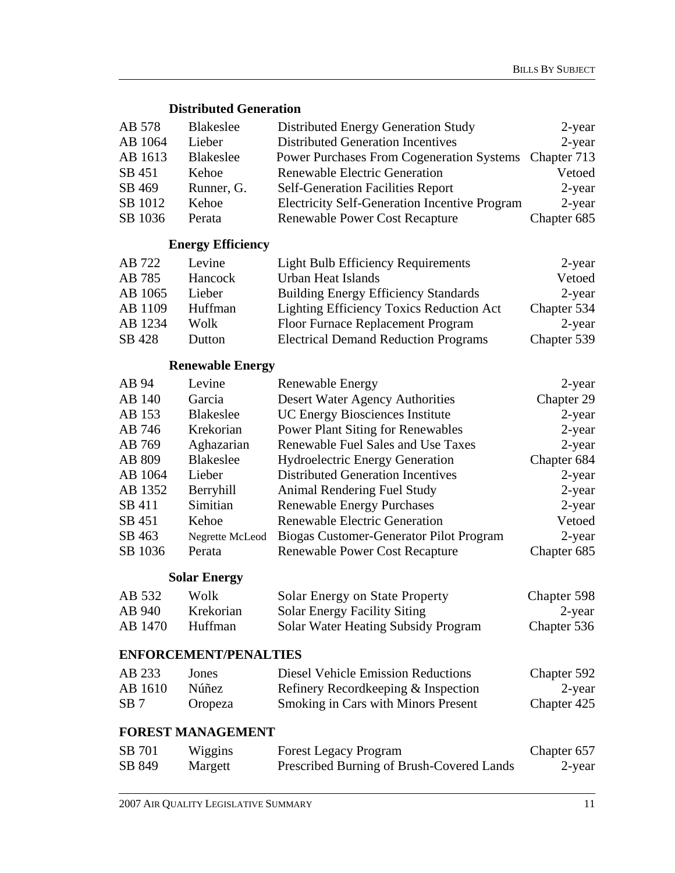### **Distributed Generation**

| AB 578  | <b>Blakeslee</b> | Distributed Energy Generation Study                  | $2$ -year   |
|---------|------------------|------------------------------------------------------|-------------|
| AB 1064 | Lieber           | <b>Distributed Generation Incentives</b>             | 2-year      |
| AB 1613 | <b>Blakeslee</b> | <b>Power Purchases From Cogeneration Systems</b>     | Chapter 713 |
| SB 451  | Kehoe            | <b>Renewable Electric Generation</b>                 | Vetoed      |
| SB 469  | Runner, G.       | <b>Self-Generation Facilities Report</b>             | 2-year      |
| SB 1012 | Kehoe            | <b>Electricity Self-Generation Incentive Program</b> | $2$ -year   |
| SB 1036 | Perata           | <b>Renewable Power Cost Recapture</b>                | Chapter 685 |
|         |                  |                                                      |             |

### **Energy Efficiency**

| AB 722  | Levine  | <b>Light Bulb Efficiency Requirements</b>       | 2-year      |
|---------|---------|-------------------------------------------------|-------------|
| AB 785  | Hancock | <b>Urban Heat Islands</b>                       | Vetoed      |
| AB 1065 | Lieber  | <b>Building Energy Efficiency Standards</b>     | 2-year      |
| AB 1109 | Huffman | <b>Lighting Efficiency Toxics Reduction Act</b> | Chapter 534 |
| AB 1234 | Wolk    | Floor Furnace Replacement Program               | 2-year      |
| SB 428  | Dutton  | <b>Electrical Demand Reduction Programs</b>     | Chapter 539 |

## **Renewable Energy**

| Levine           | <b>Renewable Energy</b>                  | $2$ -year   |
|------------------|------------------------------------------|-------------|
| Garcia           | Desert Water Agency Authorities          | Chapter 29  |
| <b>Blakeslee</b> | <b>UC Energy Biosciences Institute</b>   | $2$ -year   |
| Krekorian        | <b>Power Plant Siting for Renewables</b> | $2$ -year   |
| Aghazarian       | Renewable Fuel Sales and Use Taxes       | $2$ -year   |
| Blakeslee        | <b>Hydroelectric Energy Generation</b>   | Chapter 684 |
| Lieber           | <b>Distributed Generation Incentives</b> | $2$ -year   |
| Berryhill        | Animal Rendering Fuel Study              | $2$ -year   |
| Simitian         | <b>Renewable Energy Purchases</b>        | $2$ -year   |
| Kehoe            | <b>Renewable Electric Generation</b>     | Vetoed      |
| Negrette McLeod  | Biogas Customer-Generator Pilot Program  | $2$ -year   |
| Perata           | <b>Renewable Power Cost Recapture</b>    | Chapter 685 |
|                  |                                          |             |

## **Solar Energy**

| AB 532  | Wolk      | <b>Solar Energy on State Property</b> | Chapter 598 |
|---------|-----------|---------------------------------------|-------------|
| AB 940  | Krekorian | <b>Solar Energy Facility Siting</b>   | 2-year      |
| AB 1470 | Huffman   | Solar Water Heating Subsidy Program   | Chapter 536 |

## **ENFORCEMENT/PENALTIES**

| AB 233  | Jones   | Diesel Vehicle Emission Reductions         | Chapter 592 |
|---------|---------|--------------------------------------------|-------------|
| AB 1610 | Núñez.  | Refinery Recordkeeping & Inspection        | 2-year      |
| SB 7    | Oropeza | <b>Smoking in Cars with Minors Present</b> | Chapter 425 |

#### **FOREST MANAGEMENT**

| SB 701 | Wiggins | <b>Forest Legacy Program</b>              | Chapter 657 |
|--------|---------|-------------------------------------------|-------------|
| SB 849 | Margett | Prescribed Burning of Brush-Covered Lands | 2-year      |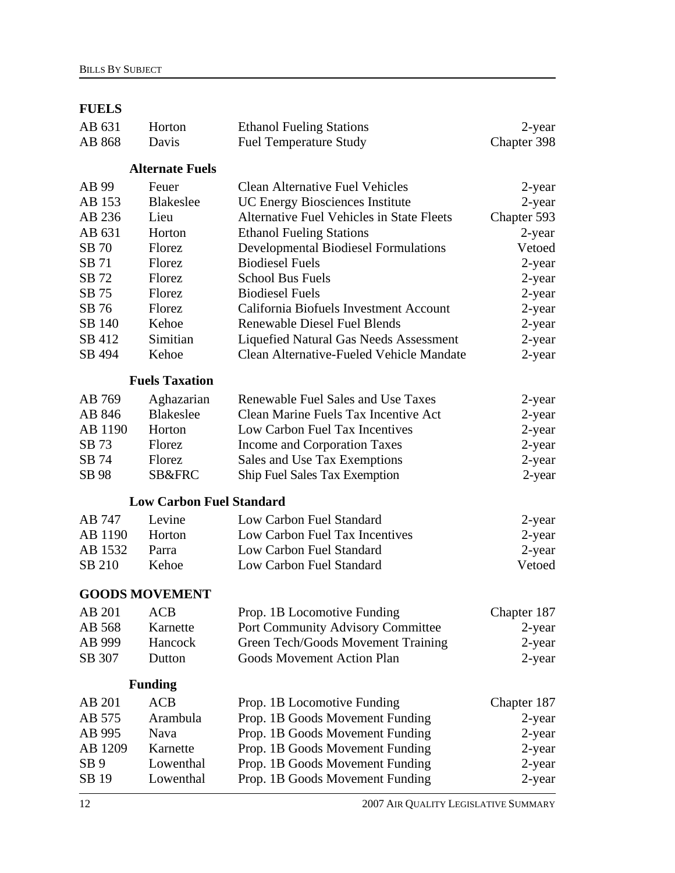## **FUELS**

| AB 631          | Horton                          | <b>Ethanol Fueling Stations</b>             | 2-year      |
|-----------------|---------------------------------|---------------------------------------------|-------------|
| AB 868          | Davis                           | <b>Fuel Temperature Study</b>               | Chapter 398 |
|                 | <b>Alternate Fuels</b>          |                                             |             |
| AB 99           | Feuer                           | <b>Clean Alternative Fuel Vehicles</b>      | 2-year      |
| AB 153          | <b>Blakeslee</b>                | <b>UC Energy Biosciences Institute</b>      | 2-year      |
| AB 236          | Lieu                            | Alternative Fuel Vehicles in State Fleets   | Chapter 593 |
| AB 631          | Horton                          | <b>Ethanol Fueling Stations</b>             | 2-year      |
| SB 70           | Florez                          | <b>Developmental Biodiesel Formulations</b> | Vetoed      |
| SB 71           | Florez                          | <b>Biodiesel Fuels</b>                      | 2-year      |
| SB 72           | Florez                          | <b>School Bus Fuels</b>                     | 2-year      |
| SB 75           | Florez                          | <b>Biodiesel Fuels</b>                      | 2-year      |
| SB 76           | Florez                          | California Biofuels Investment Account      | 2-year      |
| SB 140          | Kehoe                           | <b>Renewable Diesel Fuel Blends</b>         | 2-year      |
| SB 412          | Simitian                        | Liquefied Natural Gas Needs Assessment      | 2-year      |
| SB 494          | Kehoe                           | Clean Alternative-Fueled Vehicle Mandate    | 2-year      |
|                 | <b>Fuels Taxation</b>           |                                             |             |
| AB 769          | Aghazarian                      | Renewable Fuel Sales and Use Taxes          | 2-year      |
| AB 846          | <b>Blakeslee</b>                | Clean Marine Fuels Tax Incentive Act        | 2-year      |
| AB 1190         | Horton                          | Low Carbon Fuel Tax Incentives              | 2-year      |
| SB 73           | Florez                          | Income and Corporation Taxes                | 2-year      |
| SB 74           | Florez                          | Sales and Use Tax Exemptions                | 2-year      |
| SB 98           | <b>SB&amp;FRC</b>               | Ship Fuel Sales Tax Exemption               | 2-year      |
|                 | <b>Low Carbon Fuel Standard</b> |                                             |             |
| AB 747          | Levine                          | Low Carbon Fuel Standard                    | 2-year      |
| AB 1190         | Horton                          | Low Carbon Fuel Tax Incentives              | 2-year      |
| AB 1532         | Parra                           | Low Carbon Fuel Standard                    | 2-year      |
| SB 210          | Kehoe                           | Low Carbon Fuel Standard                    | Vetoed      |
|                 | <b>GOODS MOVEMENT</b>           |                                             |             |
| AB 201 ACB      |                                 | Prop. 1B Locomotive Funding                 | Chapter 187 |
| AB 568          | Karnette                        | <b>Port Community Advisory Committee</b>    | 2-year      |
| AB 999          | Hancock                         | Green Tech/Goods Movement Training          | 2-year      |
| SB 307          | Dutton                          | <b>Goods Movement Action Plan</b>           | 2-year      |
|                 | <b>Funding</b>                  |                                             |             |
| AB 201          | <b>ACB</b>                      | Prop. 1B Locomotive Funding                 | Chapter 187 |
| AB 575          | Arambula                        | Prop. 1B Goods Movement Funding             | 2-year      |
| AB 995          | Nava                            | Prop. 1B Goods Movement Funding             | 2-year      |
| AB 1209         | Karnette                        | Prop. 1B Goods Movement Funding             | 2-year      |
| SB <sub>9</sub> | Lowenthal                       | Prop. 1B Goods Movement Funding             | 2-year      |
| SB 19           | Lowenthal                       | Prop. 1B Goods Movement Funding             | 2-year      |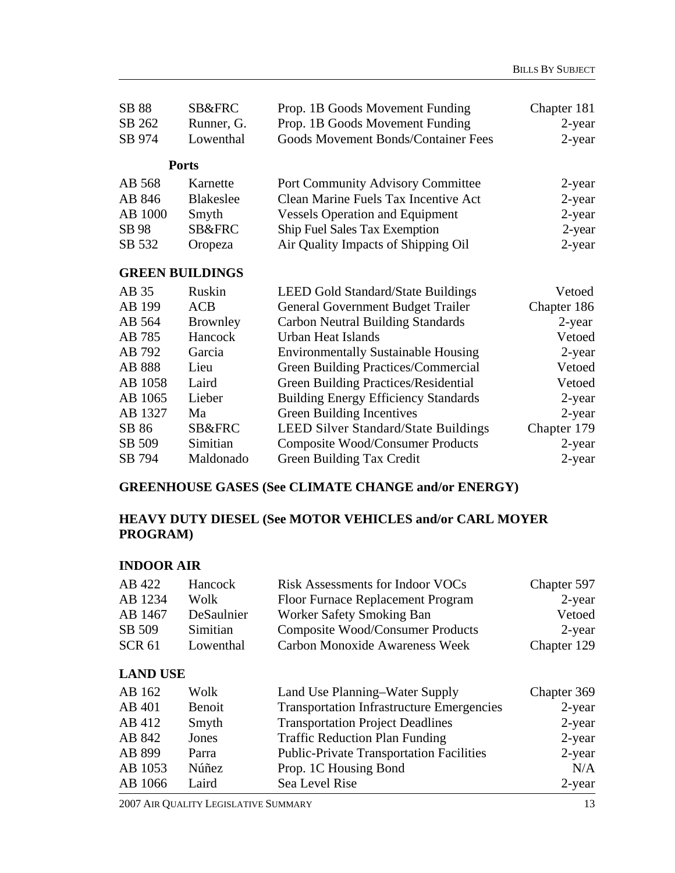| SB 88   | <b>SB&amp;FRC</b>      | Prop. 1B Goods Movement Funding             | Chapter 181 |
|---------|------------------------|---------------------------------------------|-------------|
| SB 262  | Runner, G.             | Prop. 1B Goods Movement Funding             | 2-year      |
| SB 974  | Lowenthal              | <b>Goods Movement Bonds/Container Fees</b>  | $2$ -year   |
|         | <b>Ports</b>           |                                             |             |
| AB 568  | Karnette               | <b>Port Community Advisory Committee</b>    | 2-year      |
| AB 846  | <b>Blakeslee</b>       | Clean Marine Fuels Tax Incentive Act        | $2$ -year   |
| AB 1000 | Smyth                  | <b>Vessels Operation and Equipment</b>      | 2-year      |
| SB 98   | <b>SB&amp;FRC</b>      | <b>Ship Fuel Sales Tax Exemption</b>        | 2-year      |
| SB 532  | Oropeza                | Air Quality Impacts of Shipping Oil         | 2-year      |
|         | <b>GREEN BUILDINGS</b> |                                             |             |
| AB 35   | Ruskin                 | <b>LEED Gold Standard/State Buildings</b>   | Vetoed      |
| AB 199  | <b>ACB</b>             | <b>General Government Budget Trailer</b>    | Chapter 186 |
| AB 564  | <b>Brownley</b>        | <b>Carbon Neutral Building Standards</b>    | 2-year      |
| AB 785  | Hancock                | <b>Urban Heat Islands</b>                   | Vetoed      |
| AB 792  | Garcia                 | <b>Environmentally Sustainable Housing</b>  | 2-year      |
| AB 888  | Lieu                   | Green Building Practices/Commercial         | Vetoed      |
| AB 1058 | Laird                  | <b>Green Building Practices/Residential</b> | Vetoed      |
| AB 1065 | Lieber                 | <b>Building Energy Efficiency Standards</b> | 2-year      |
| AB 1327 | Ma                     | Green Building Incentives                   | 2-year      |
| SB 86   | SB&FRC                 | <b>LEED Silver Standard/State Buildings</b> | Chapter 179 |
| SB 509  | Simitian               | <b>Composite Wood/Consumer Products</b>     | $2$ -year   |
| SB 794  | Maldonado              | Green Building Tax Credit                   | 2-year      |

#### **GREENHOUSE GASES (See CLIMATE CHANGE and/or ENERGY)**

## **HEAVY DUTY DIESEL (See MOTOR VEHICLES and/or CARL MOYER PROGRAM)**

#### **INDOOR AIR**

| AB 422          | Hancock    | <b>Risk Assessments for Indoor VOCs</b>          | Chapter 597 |
|-----------------|------------|--------------------------------------------------|-------------|
| AB 1234         | Wolk       | Floor Furnace Replacement Program                | $2$ -year   |
| AB 1467         | DeSaulnier | Worker Safety Smoking Ban                        | Vetoed      |
| SB 509          | Simitian   | <b>Composite Wood/Consumer Products</b>          | $2$ -year   |
| <b>SCR 61</b>   | Lowenthal  | <b>Carbon Monoxide Awareness Week</b>            | Chapter 129 |
| <b>LAND USE</b> |            |                                                  |             |
| AB 162          | Wolk       | Land Use Planning–Water Supply                   | Chapter 369 |
| AB 401          | Benoit     | <b>Transportation Infrastructure Emergencies</b> | $2$ -year   |
| AB 412          | Smyth      | <b>Transportation Project Deadlines</b>          | $2$ -year   |
| AB 842          | Jones      | <b>Traffic Reduction Plan Funding</b>            | $2$ -year   |
| AB 899          | Parra      | <b>Public-Private Transportation Facilities</b>  | $2$ -year   |

AB 1053 Núñez Prop. 1C Housing Bond N/A

2007 AIR QUALITY LEGISLATIVE SUMMARY 13 AB 1066 Laird Sea Level Rise 2-year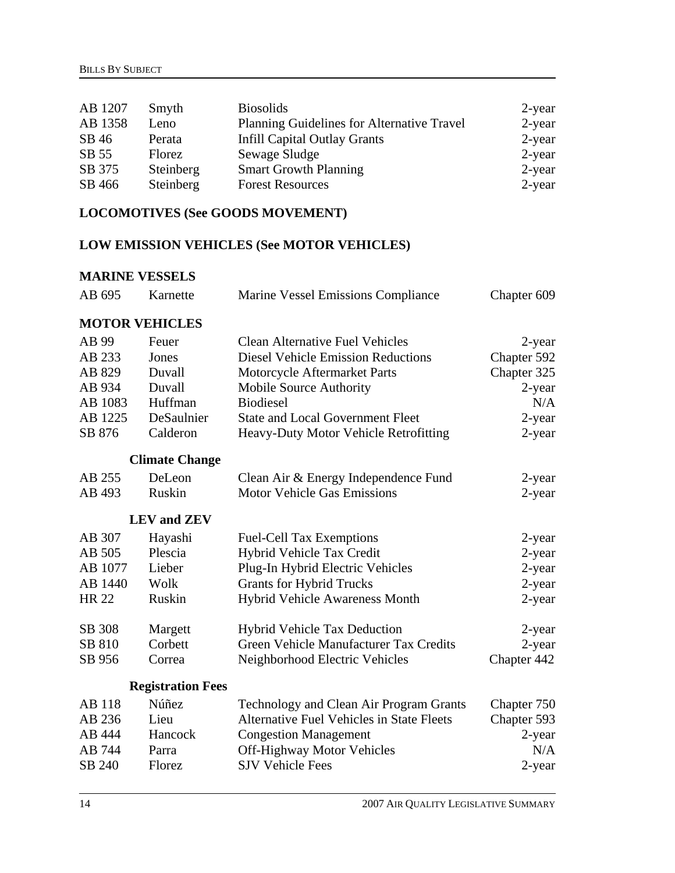| AB 1207 | Smyth     | <b>Biosolids</b>                           | 2-year    |
|---------|-----------|--------------------------------------------|-----------|
| AB 1358 | Leno      | Planning Guidelines for Alternative Travel | $2$ -year |
| SB 46   | Perata    | <b>Infill Capital Outlay Grants</b>        | $2$ -year |
| SB 55   | Florez    | Sewage Sludge                              | 2-year    |
| SB 375  | Steinberg | <b>Smart Growth Planning</b>               | 2-year    |
| SB 466  | Steinberg | <b>Forest Resources</b>                    | $2$ -year |

## **LOCOMOTIVES (See GOODS MOVEMENT)**

### **LOW EMISSION VEHICLES (See MOTOR VEHICLES)**

## **MARINE VESSELS**

| AB 695        | Karnette                  | <b>Marine Vessel Emissions Compliance</b>        | Chapter 609 |
|---------------|---------------------------|--------------------------------------------------|-------------|
|               | <b>MOTOR VEHICLES</b>     |                                                  |             |
| AB 99         | Feuer                     | <b>Clean Alternative Fuel Vehicles</b>           | 2-year      |
| AB 233        | Jones                     | <b>Diesel Vehicle Emission Reductions</b>        | Chapter 592 |
| AB 829        | Duvall                    | Motorcycle Aftermarket Parts                     | Chapter 325 |
| AB 934        | Duvall                    | <b>Mobile Source Authority</b>                   | $2$ -year   |
| AB 1083       | Huffman                   | <b>Biodiesel</b>                                 | N/A         |
| AB 1225       | DeSaulnier                | <b>State and Local Government Fleet</b>          | 2-year      |
| SB 876        | Calderon                  | Heavy-Duty Motor Vehicle Retrofitting            | 2-year      |
|               | <b>Climate Change</b>     |                                                  |             |
| AB 255        | DeLeon                    | Clean Air & Energy Independence Fund             | 2-year      |
| AB 493        | Ruskin                    | <b>Motor Vehicle Gas Emissions</b>               | $2$ -year   |
|               | <b>LEV</b> and <b>ZEV</b> |                                                  |             |
| AB 307        | Hayashi                   | <b>Fuel-Cell Tax Exemptions</b>                  | 2-year      |
| AB 505        | Plescia                   | Hybrid Vehicle Tax Credit                        | 2-year      |
| AB 1077       | Lieber                    | Plug-In Hybrid Electric Vehicles                 | 2-year      |
| AB 1440       | Wolk                      | <b>Grants for Hybrid Trucks</b>                  | 2-year      |
| <b>HR 22</b>  | Ruskin                    | Hybrid Vehicle Awareness Month                   | 2-year      |
| SB 308        | Margett                   | <b>Hybrid Vehicle Tax Deduction</b>              | 2-year      |
| SB 810        | Corbett                   | Green Vehicle Manufacturer Tax Credits           | $2$ -year   |
| SB 956        | Correa                    | Neighborhood Electric Vehicles                   | Chapter 442 |
|               | <b>Registration Fees</b>  |                                                  |             |
| <b>AB</b> 118 | Núñez                     | Technology and Clean Air Program Grants          | Chapter 750 |
| AB 236        | Lieu                      | <b>Alternative Fuel Vehicles in State Fleets</b> | Chapter 593 |
| AB 444        | Hancock                   | <b>Congestion Management</b>                     | 2-year      |
| AB 744        | Parra                     | <b>Off-Highway Motor Vehicles</b>                | N/A         |
| SB 240        | Florez                    | <b>SJV Vehicle Fees</b>                          | 2-year      |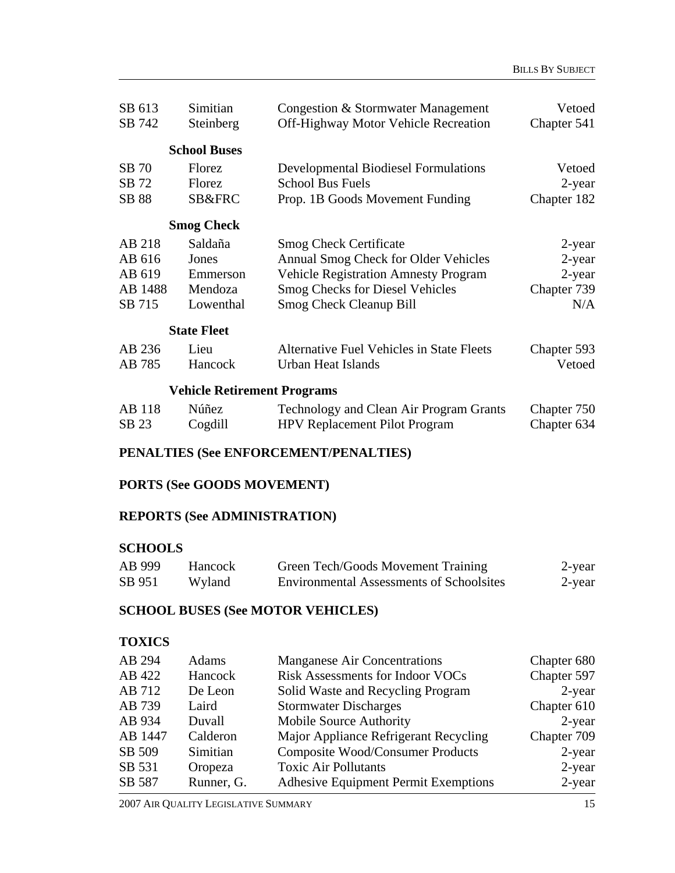| SB 613  | Simitian                           | Congestion & Stormwater Management               | Vetoed      |
|---------|------------------------------------|--------------------------------------------------|-------------|
| SB 742  | Steinberg                          | <b>Off-Highway Motor Vehicle Recreation</b>      | Chapter 541 |
|         | <b>School Buses</b>                |                                                  |             |
| SB 70   | Florez                             | <b>Developmental Biodiesel Formulations</b>      | Vetoed      |
| SB 72   | Florez                             | <b>School Bus Fuels</b>                          | $2$ -year   |
| SB 88   | SB&FRC                             | Prop. 1B Goods Movement Funding                  | Chapter 182 |
|         | <b>Smog Check</b>                  |                                                  |             |
| AB 218  | Saldaña                            | <b>Smog Check Certificate</b>                    | $2$ -year   |
| AB 616  | Jones                              | Annual Smog Check for Older Vehicles             | 2-year      |
| AB 619  | Emmerson                           | <b>Vehicle Registration Amnesty Program</b>      | 2-year      |
| AB 1488 | Mendoza                            | <b>Smog Checks for Diesel Vehicles</b>           | Chapter 739 |
| SB 715  | Lowenthal                          | <b>Smog Check Cleanup Bill</b>                   | N/A         |
|         | <b>State Fleet</b>                 |                                                  |             |
| AB 236  | Lieu                               | <b>Alternative Fuel Vehicles in State Fleets</b> | Chapter 593 |
| AB 785  | Hancock                            | Urban Heat Islands                               | Vetoed      |
|         | <b>Vehicle Retirement Programs</b> |                                                  |             |
| AB 118  | Núñez                              | Technology and Clean Air Program Grants          | Chapter 750 |
| SB 23   | Cogdill                            | <b>HPV Replacement Pilot Program</b>             | Chapter 634 |

#### **PENALTIES (See ENFORCEMENT/PENALTIES)**

#### **PORTS (See GOODS MOVEMENT)**

#### **REPORTS (See ADMINISTRATION)**

#### **SCHOOLS**

| AB 999 | Hancock | Green Tech/Goods Movement Training              | 2-year |
|--------|---------|-------------------------------------------------|--------|
| SB 951 | Wyland  | <b>Environmental Assessments of Schoolsites</b> | 2-year |

## **SCHOOL BUSES (See MOTOR VEHICLES)**

#### **TOXICS**

| AB 294  | Adams      | <b>Manganese Air Concentrations</b>         | Chapter 680 |
|---------|------------|---------------------------------------------|-------------|
| AB 422  | Hancock    | <b>Risk Assessments for Indoor VOCs</b>     | Chapter 597 |
| AB 712  | De Leon    | Solid Waste and Recycling Program           | $2$ -year   |
| AB 739  | Laird      | <b>Stormwater Discharges</b>                | Chapter 610 |
| AB 934  | Duvall     | Mobile Source Authority                     | 2-year      |
| AB 1447 | Calderon   | Major Appliance Refrigerant Recycling       | Chapter 709 |
| SB 509  | Simitian   | <b>Composite Wood/Consumer Products</b>     | $2$ -year   |
| SB 531  | Oropeza    | <b>Toxic Air Pollutants</b>                 | 2-year      |
| SB 587  | Runner, G. | <b>Adhesive Equipment Permit Exemptions</b> | $2$ -year   |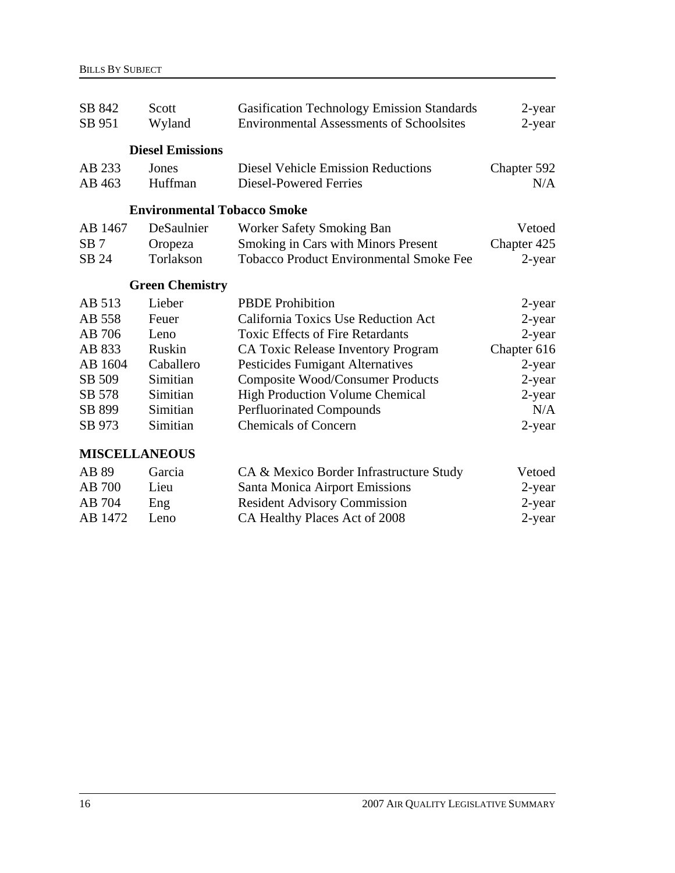| SB 842               | Scott                              | <b>Gasification Technology Emission Standards</b> | 2-year      |
|----------------------|------------------------------------|---------------------------------------------------|-------------|
| SB 951               | Wyland                             | <b>Environmental Assessments of Schoolsites</b>   | 2-year      |
|                      |                                    |                                                   |             |
|                      | <b>Diesel Emissions</b>            |                                                   |             |
| AB 233               | Jones                              | <b>Diesel Vehicle Emission Reductions</b>         | Chapter 592 |
| AB 463               | Huffman                            | <b>Diesel-Powered Ferries</b>                     | N/A         |
|                      |                                    |                                                   |             |
|                      | <b>Environmental Tobacco Smoke</b> |                                                   |             |
| AB 1467              | DeSaulnier                         | Worker Safety Smoking Ban                         | Vetoed      |
| SB <sub>7</sub>      | Oropeza                            | Smoking in Cars with Minors Present               | Chapter 425 |
| SB 24                | Torlakson                          | <b>Tobacco Product Environmental Smoke Fee</b>    | 2-year      |
|                      |                                    |                                                   |             |
|                      | <b>Green Chemistry</b>             |                                                   |             |
| AB 513               | Lieber                             | <b>PBDE</b> Prohibition                           | 2-year      |
| AB 558               | Feuer                              | California Toxics Use Reduction Act               | $2$ -year   |
| AB 706               | Leno                               | <b>Toxic Effects of Fire Retardants</b>           | 2-year      |
| AB 833               | Ruskin                             | CA Toxic Release Inventory Program                | Chapter 616 |
| AB 1604              | Caballero                          | <b>Pesticides Fumigant Alternatives</b>           | 2-year      |
| SB 509               | Simitian                           | <b>Composite Wood/Consumer Products</b>           | 2-year      |
| SB 578               | Simitian                           | <b>High Production Volume Chemical</b>            | 2-year      |
| SB 899               | Simitian                           | <b>Perfluorinated Compounds</b>                   | N/A         |
| SB 973               | Simitian                           | <b>Chemicals of Concern</b>                       | 2-year      |
|                      |                                    |                                                   |             |
| <b>MISCELLANEOUS</b> |                                    |                                                   |             |
| AB 89                | Garcia                             | CA & Mexico Border Infrastructure Study           | Vetoed      |
| AB 700               | Lieu                               | Santa Monica Airport Emissions                    | 2-year      |
| AB 704               | Eng                                | <b>Resident Advisory Commission</b>               | 2-year      |
| AB 1472              | Leno                               | CA Healthy Places Act of 2008                     | 2-year      |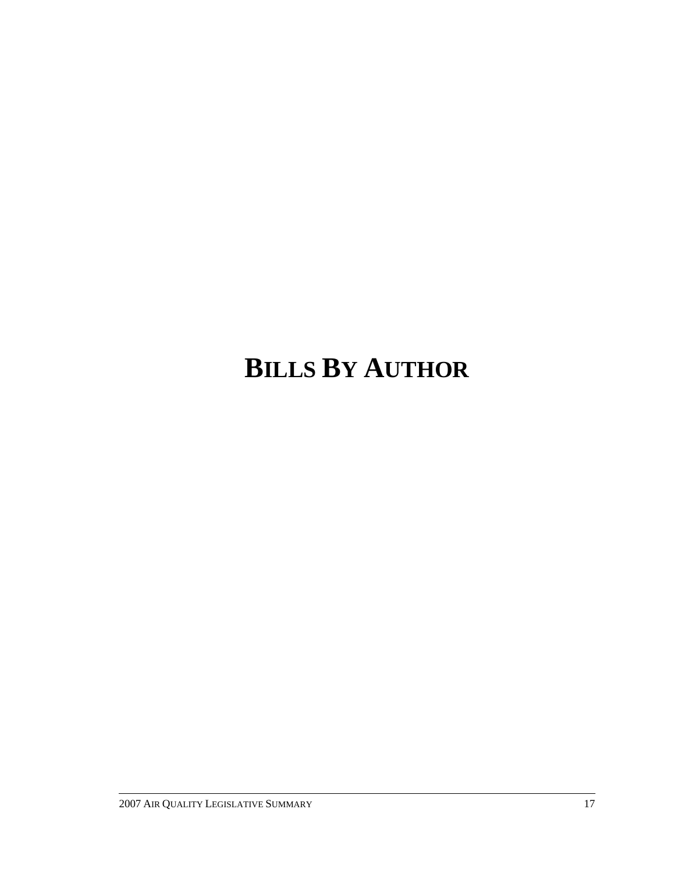# **BILLS BY AUTHOR**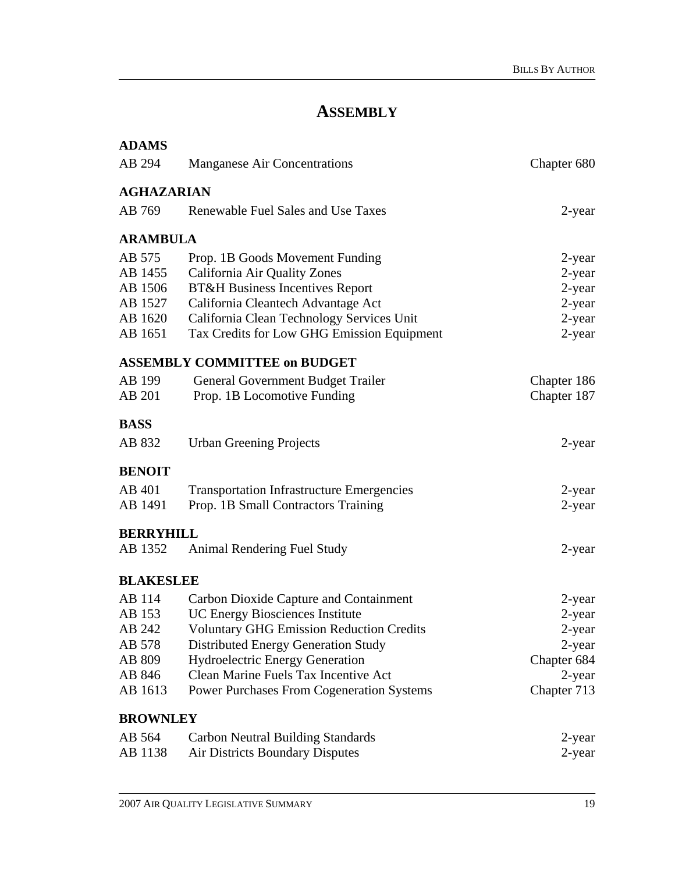## **ASSEMBLY**

| <b>ADAMS</b>      |                                                  |             |
|-------------------|--------------------------------------------------|-------------|
| AB 294            | <b>Manganese Air Concentrations</b>              | Chapter 680 |
| <b>AGHAZARIAN</b> |                                                  |             |
| AB 769            | Renewable Fuel Sales and Use Taxes               | 2-year      |
| <b>ARAMBULA</b>   |                                                  |             |
| AB 575            | Prop. 1B Goods Movement Funding                  | 2-year      |
| AB 1455           | California Air Quality Zones                     | 2-year      |
| AB 1506           | <b>BT&amp;H Business Incentives Report</b>       | $2$ -year   |
| AB 1527           | California Cleantech Advantage Act               | 2-year      |
| AB 1620           | California Clean Technology Services Unit        | 2-year      |
| AB 1651           | Tax Credits for Low GHG Emission Equipment       | $2$ -year   |
|                   | <b>ASSEMBLY COMMITTEE on BUDGET</b>              |             |
| AB 199            | General Government Budget Trailer                | Chapter 186 |
| AB 201            | Prop. 1B Locomotive Funding                      | Chapter 187 |
| <b>BASS</b>       |                                                  |             |
| AB 832            | <b>Urban Greening Projects</b>                   | 2-year      |
| <b>BENOIT</b>     |                                                  |             |
| AB 401            | <b>Transportation Infrastructure Emergencies</b> | $2$ -year   |
| AB 1491           | Prop. 1B Small Contractors Training              | 2-year      |
| <b>BERRYHILL</b>  |                                                  |             |
| AB 1352           | Animal Rendering Fuel Study                      | $2$ -year   |
| <b>BLAKESLEE</b>  |                                                  |             |
| AB 114            | Carbon Dioxide Capture and Containment           | 2-year      |
| AB 153            | <b>UC Energy Biosciences Institute</b>           | 2-year      |
| AB 242            | <b>Voluntary GHG Emission Reduction Credits</b>  | $2$ -year   |
| AB 578            | Distributed Energy Generation Study              | 2-year      |
| AB 809            | <b>Hydroelectric Energy Generation</b>           | Chapter 684 |
| AB 846            | Clean Marine Fuels Tax Incentive Act             | 2-year      |
| AB 1613           | <b>Power Purchases From Cogeneration Systems</b> | Chapter 713 |
| <b>BROWNLEY</b>   |                                                  |             |
| AB 564            | <b>Carbon Neutral Building Standards</b>         | 2-year      |
| AB 1138           | <b>Air Districts Boundary Disputes</b>           | 2-year      |
|                   |                                                  |             |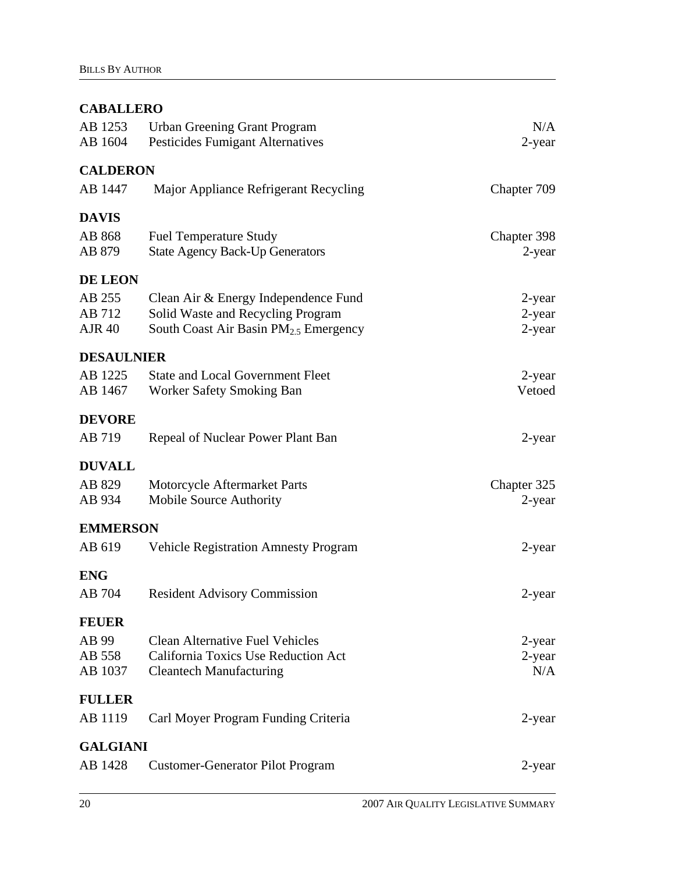## **CABALLERO**

| AB 1253<br>AB 1604 | <b>Urban Greening Grant Program</b><br><b>Pesticides Fumigant Alternatives</b> | N/A<br>2-year |
|--------------------|--------------------------------------------------------------------------------|---------------|
|                    |                                                                                |               |
| <b>CALDERON</b>    |                                                                                |               |
| AB 1447            | Major Appliance Refrigerant Recycling                                          | Chapter 709   |
| <b>DAVIS</b>       |                                                                                |               |
| AB 868             | <b>Fuel Temperature Study</b>                                                  | Chapter 398   |
| AB 879             | <b>State Agency Back-Up Generators</b>                                         | 2-year        |
| <b>DE LEON</b>     |                                                                                |               |
| AB 255             | Clean Air & Energy Independence Fund                                           | 2-year        |
| AB 712             | Solid Waste and Recycling Program                                              | 2-year        |
| <b>AJR 40</b>      | South Coast Air Basin PM <sub>2.5</sub> Emergency                              | 2-year        |
| <b>DESAULNIER</b>  |                                                                                |               |
| AB 1225            | <b>State and Local Government Fleet</b>                                        | $2$ -year     |
| AB 1467            | <b>Worker Safety Smoking Ban</b>                                               | Vetoed        |
| <b>DEVORE</b>      |                                                                                |               |
| AB 719             | Repeal of Nuclear Power Plant Ban                                              | 2-year        |
| <b>DUVALL</b>      |                                                                                |               |
| AB 829             | Motorcycle Aftermarket Parts                                                   | Chapter 325   |
| AB 934             | Mobile Source Authority                                                        | 2-year        |
| <b>EMMERSON</b>    |                                                                                |               |
| AB 619             | <b>Vehicle Registration Amnesty Program</b>                                    | 2-year        |
| <b>ENG</b>         |                                                                                |               |
| AB 704             | <b>Resident Advisory Commission</b>                                            | 2-year        |
| <b>FEUER</b>       |                                                                                |               |
| AB 99              | <b>Clean Alternative Fuel Vehicles</b>                                         | 2-year        |
| AB 558             | California Toxics Use Reduction Act                                            | 2-year        |
| AB 1037            | <b>Cleantech Manufacturing</b>                                                 | N/A           |
| <b>FULLER</b>      |                                                                                |               |
| AB 1119            | Carl Moyer Program Funding Criteria                                            | 2-year        |
| <b>GALGIANI</b>    |                                                                                |               |
| AB 1428            | <b>Customer-Generator Pilot Program</b>                                        | 2-year        |
|                    |                                                                                |               |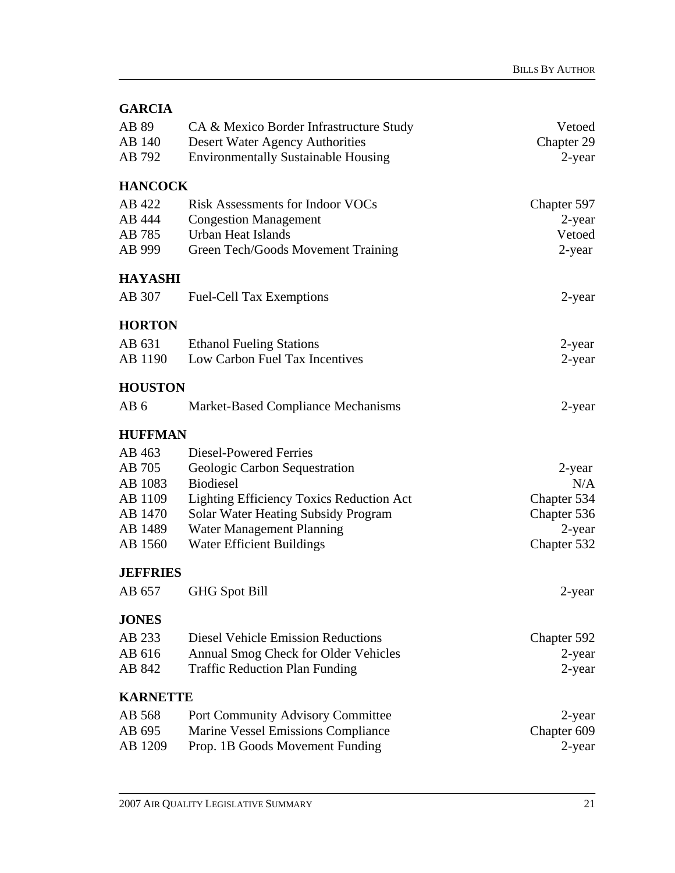| <b>GARCIA</b>   |                                                 |             |
|-----------------|-------------------------------------------------|-------------|
| AB 89           | CA & Mexico Border Infrastructure Study         | Vetoed      |
| AB 140          | <b>Desert Water Agency Authorities</b>          | Chapter 29  |
| AB 792          | <b>Environmentally Sustainable Housing</b>      | $2$ -year   |
| <b>HANCOCK</b>  |                                                 |             |
| AB 422          | <b>Risk Assessments for Indoor VOCs</b>         | Chapter 597 |
| AB 444          | <b>Congestion Management</b>                    | 2-year      |
| AB 785          | Urban Heat Islands                              | Vetoed      |
| AB 999          | Green Tech/Goods Movement Training              | 2-year      |
| <b>HAYASHI</b>  |                                                 |             |
| AB 307          | <b>Fuel-Cell Tax Exemptions</b>                 | 2-year      |
| <b>HORTON</b>   |                                                 |             |
| AB 631          | <b>Ethanol Fueling Stations</b>                 | 2-year      |
| AB 1190         | Low Carbon Fuel Tax Incentives                  | $2$ -year   |
| <b>HOUSTON</b>  |                                                 |             |
| AB <sub>6</sub> | Market-Based Compliance Mechanisms              | 2-year      |
| <b>HUFFMAN</b>  |                                                 |             |
| AB 463          | Diesel-Powered Ferries                          |             |
| AB 705          | Geologic Carbon Sequestration                   | 2-year      |
| AB 1083         | <b>Biodiesel</b>                                | N/A         |
| AB 1109         | <b>Lighting Efficiency Toxics Reduction Act</b> | Chapter 534 |
| AB 1470         | Solar Water Heating Subsidy Program             | Chapter 536 |
| AB 1489         | Water Management Planning                       | 2-year      |
| AB 1560         | <b>Water Efficient Buildings</b>                | Chapter 532 |
| <b>JEFFRIES</b> |                                                 |             |
| AB 657          | <b>GHG</b> Spot Bill                            | 2-year      |
| <b>JONES</b>    |                                                 |             |
| AB 233          | <b>Diesel Vehicle Emission Reductions</b>       | Chapter 592 |
| AB 616          | Annual Smog Check for Older Vehicles            | 2-year      |
| AB 842          | <b>Traffic Reduction Plan Funding</b>           | $2$ -year   |
| <b>KARNETTE</b> |                                                 |             |
| AB 568          | Port Community Advisory Committee               | 2-year      |
| AB 695          | Marine Vessel Emissions Compliance              | Chapter 609 |
| AB 1209         | Prop. 1B Goods Movement Funding                 | 2-year      |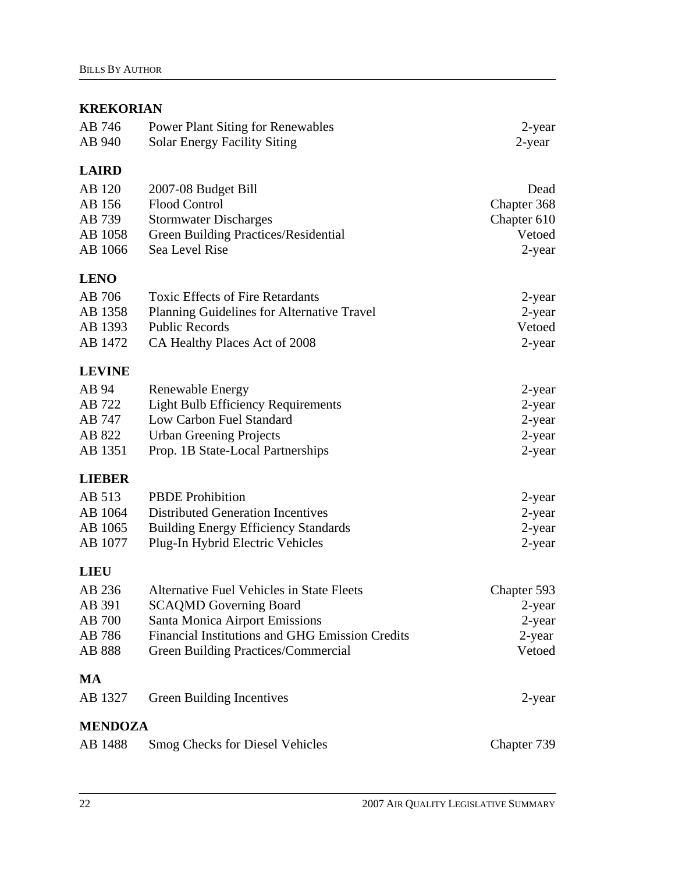#### **KREKORIAN**

| AB 746<br>AB 940                                 | <b>Power Plant Siting for Renewables</b><br><b>Solar Energy Facility Siting</b>                                                                                                                               | 2-year<br>2-year                                       |
|--------------------------------------------------|---------------------------------------------------------------------------------------------------------------------------------------------------------------------------------------------------------------|--------------------------------------------------------|
| <b>LAIRD</b>                                     |                                                                                                                                                                                                               |                                                        |
| AB 120<br>AB 156<br>AB 739<br>AB 1058<br>AB 1066 | 2007-08 Budget Bill<br><b>Flood Control</b><br><b>Stormwater Discharges</b><br>Green Building Practices/Residential<br>Sea Level Rise                                                                         | Dead<br>Chapter 368<br>Chapter 610<br>Vetoed<br>2-year |
| <b>LENO</b>                                      |                                                                                                                                                                                                               |                                                        |
| AB 706<br>AB 1358<br>AB 1393<br>AB 1472          | <b>Toxic Effects of Fire Retardants</b><br>Planning Guidelines for Alternative Travel<br><b>Public Records</b><br>CA Healthy Places Act of 2008                                                               | 2-year<br>2-year<br>Vetoed<br>2-year                   |
| <b>LEVINE</b>                                    |                                                                                                                                                                                                               |                                                        |
| AB 94<br>AB 722<br>AB 747<br>AB 822<br>AB 1351   | Renewable Energy<br><b>Light Bulb Efficiency Requirements</b><br>Low Carbon Fuel Standard<br><b>Urban Greening Projects</b><br>Prop. 1B State-Local Partnerships                                              | 2-year<br>$2$ -year<br>2-year<br>2-year<br>$2$ -year   |
| <b>LIEBER</b>                                    |                                                                                                                                                                                                               |                                                        |
| AB 513<br>AB 1064<br>AB 1065<br>AB 1077          | <b>PBDE</b> Prohibition<br><b>Distributed Generation Incentives</b><br><b>Building Energy Efficiency Standards</b><br>Plug-In Hybrid Electric Vehicles                                                        | 2-year<br>2-year<br>2-year<br>$2$ -year                |
| <b>LIEU</b>                                      |                                                                                                                                                                                                               |                                                        |
| AB 236<br>AB 391<br>AB 700<br>AB 786<br>AB 888   | <b>Alternative Fuel Vehicles in State Fleets</b><br><b>SCAQMD</b> Governing Board<br>Santa Monica Airport Emissions<br>Financial Institutions and GHG Emission Credits<br>Green Building Practices/Commercial | Chapter 593<br>2-year<br>2-year<br>2-year<br>Vetoed    |
| MA                                               |                                                                                                                                                                                                               |                                                        |
| AB 1327                                          | Green Building Incentives                                                                                                                                                                                     | 2-year                                                 |
| <b>MENDOZA</b>                                   |                                                                                                                                                                                                               |                                                        |
| AB 1488                                          | <b>Smog Checks for Diesel Vehicles</b>                                                                                                                                                                        | Chapter 739                                            |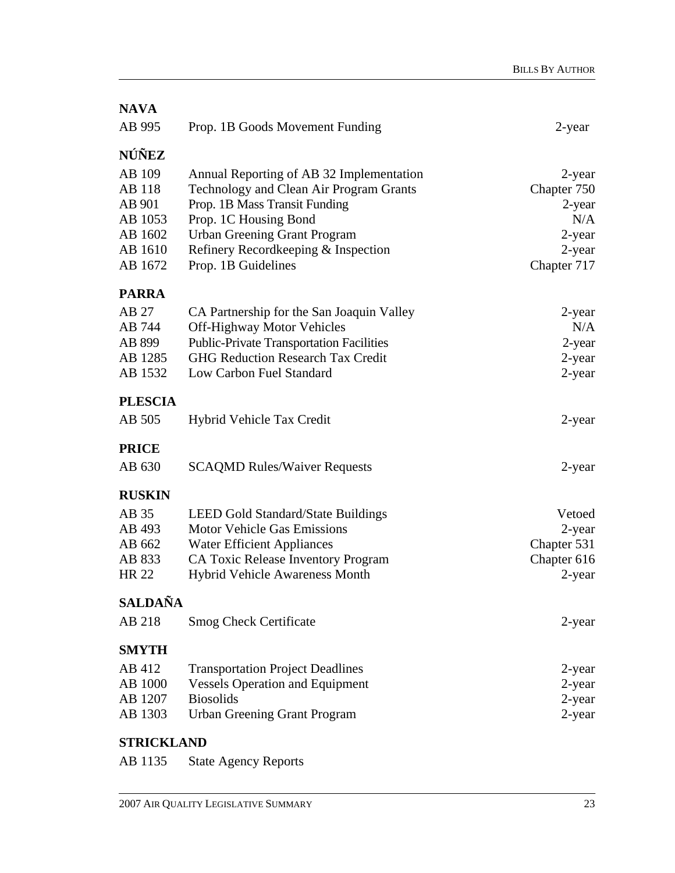| <b>NAVA</b>       |                                                 |             |
|-------------------|-------------------------------------------------|-------------|
| AB 995            | Prop. 1B Goods Movement Funding                 | 2-year      |
| NÚÑEZ             |                                                 |             |
| AB 109            | Annual Reporting of AB 32 Implementation        | 2-year      |
| AB 118            | Technology and Clean Air Program Grants         | Chapter 750 |
| AB 901            | Prop. 1B Mass Transit Funding                   | 2-year      |
| AB 1053           | Prop. 1C Housing Bond                           | N/A         |
| AB 1602           | <b>Urban Greening Grant Program</b>             | 2-year      |
| AB 1610           | Refinery Recordkeeping & Inspection             | $2$ -year   |
| AB 1672           | Prop. 1B Guidelines                             | Chapter 717 |
| <b>PARRA</b>      |                                                 |             |
| AB 27             | CA Partnership for the San Joaquin Valley       | 2-year      |
| AB 744            | <b>Off-Highway Motor Vehicles</b>               | N/A         |
| AB 899            | <b>Public-Private Transportation Facilities</b> | 2-year      |
| AB 1285           | <b>GHG Reduction Research Tax Credit</b>        | 2-year      |
| AB 1532           | Low Carbon Fuel Standard                        | 2-year      |
| <b>PLESCIA</b>    |                                                 |             |
| AB 505            | Hybrid Vehicle Tax Credit                       | 2-year      |
| <b>PRICE</b>      |                                                 |             |
| AB 630            | <b>SCAQMD Rules/Waiver Requests</b>             | 2-year      |
| <b>RUSKIN</b>     |                                                 |             |
| AB 35             | <b>LEED Gold Standard/State Buildings</b>       | Vetoed      |
| AB 493            | <b>Motor Vehicle Gas Emissions</b>              | $2$ -year   |
| AB 662            | <b>Water Efficient Appliances</b>               | Chapter 531 |
| AB 833            | <b>CA Toxic Release Inventory Program</b>       | Chapter 616 |
| <b>HR 22</b>      | <b>Hybrid Vehicle Awareness Month</b>           | 2-year      |
| SALDAÑA           |                                                 |             |
| AB 218            | <b>Smog Check Certificate</b>                   | 2-year      |
| <b>SMYTH</b>      |                                                 |             |
| AB 412            | <b>Transportation Project Deadlines</b>         | 2-year      |
| AB 1000           | <b>Vessels Operation and Equipment</b>          | 2-year      |
| AB 1207           | <b>Biosolids</b>                                | $2$ -year   |
| AB 1303           | <b>Urban Greening Grant Program</b>             | 2-year      |
| <b>STRICKLAND</b> |                                                 |             |

AB 1135 State Agency Reports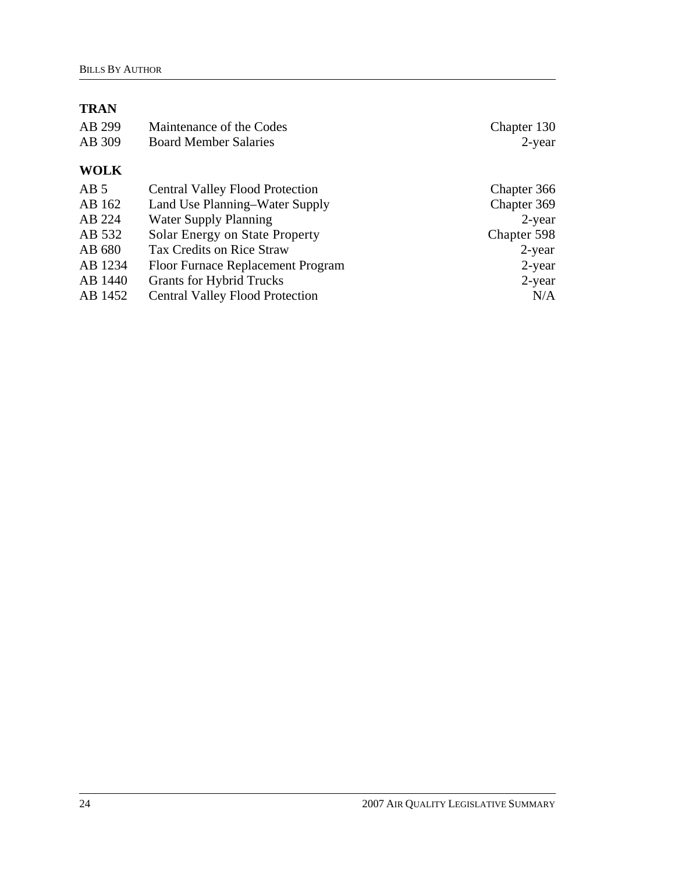## **TRAN**

| AB 299          | Maintenance of the Codes               | Chapter 130 |
|-----------------|----------------------------------------|-------------|
| AB 309          | <b>Board Member Salaries</b>           | $2$ -year   |
|                 |                                        |             |
| <b>WOLK</b>     |                                        |             |
| AB <sub>5</sub> | <b>Central Valley Flood Protection</b> | Chapter 366 |
| AB 162          | Land Use Planning–Water Supply         | Chapter 369 |
| AB 224          | <b>Water Supply Planning</b>           | $2$ -year   |
| AB 532          | Solar Energy on State Property         | Chapter 598 |
| AB 680          | <b>Tax Credits on Rice Straw</b>       | $2$ -year   |
| AB 1234         | Floor Furnace Replacement Program      | 2-year      |
| AB 1440         | <b>Grants for Hybrid Trucks</b>        | $2$ -year   |
| AB 1452         | <b>Central Valley Flood Protection</b> | N/A         |
|                 |                                        |             |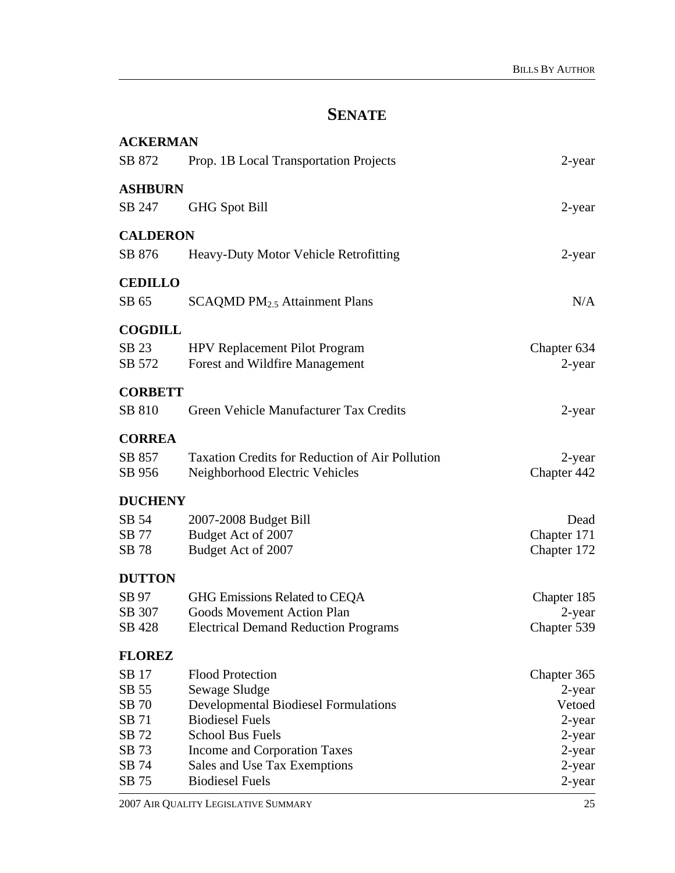# **SENATE**

| <b>ACKERMAN</b> |                                                        |             |
|-----------------|--------------------------------------------------------|-------------|
| SB 872          | Prop. 1B Local Transportation Projects                 | 2-year      |
| <b>ASHBURN</b>  |                                                        |             |
| SB 247          | <b>GHG Spot Bill</b>                                   | 2-year      |
| <b>CALDERON</b> |                                                        |             |
| SB 876          | Heavy-Duty Motor Vehicle Retrofitting                  | 2-year      |
| <b>CEDILLO</b>  |                                                        |             |
| SB 65           | SCAQMD PM <sub>2.5</sub> Attainment Plans              | N/A         |
| <b>COGDILL</b>  |                                                        |             |
| SB 23           | <b>HPV Replacement Pilot Program</b>                   | Chapter 634 |
| SB 572          | Forest and Wildfire Management                         | 2-year      |
| <b>CORBETT</b>  |                                                        |             |
| SB 810          | Green Vehicle Manufacturer Tax Credits                 | $2$ -year   |
| <b>CORREA</b>   |                                                        |             |
| SB 857          | <b>Taxation Credits for Reduction of Air Pollution</b> | 2-year      |
| SB 956          | Neighborhood Electric Vehicles                         | Chapter 442 |
| <b>DUCHENY</b>  |                                                        |             |
| SB 54           | 2007-2008 Budget Bill                                  | Dead        |
| SB 77           | Budget Act of 2007                                     | Chapter 171 |
| SB 78           | Budget Act of 2007                                     | Chapter 172 |
| <b>DUTTON</b>   |                                                        |             |
| SB 97           | GHG Emissions Related to CEQA                          | Chapter 185 |
| SB 307          | <b>Goods Movement Action Plan</b>                      | 2-year      |
| SB 428          | <b>Electrical Demand Reduction Programs</b>            | Chapter 539 |
| <b>FLOREZ</b>   |                                                        |             |
| SB 17           | <b>Flood Protection</b>                                | Chapter 365 |
| SB 55           | Sewage Sludge                                          | 2-year      |
| SB 70           | <b>Developmental Biodiesel Formulations</b>            | Vetoed      |
| SB 71           | <b>Biodiesel Fuels</b>                                 | 2-year      |
| SB 72           | <b>School Bus Fuels</b>                                | 2-year      |
| SB 73           | Income and Corporation Taxes                           | 2-year      |
| SB 74           | Sales and Use Tax Exemptions                           | 2-year      |
| SB 75           | <b>Biodiesel Fuels</b>                                 | 2-year      |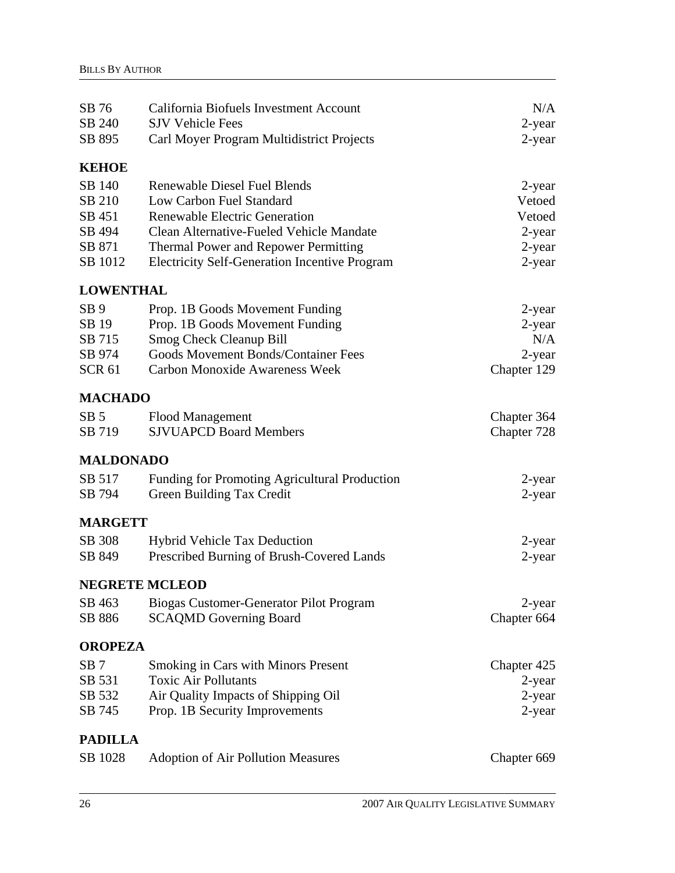| SB 76            | California Biofuels Investment Account               | N/A         |
|------------------|------------------------------------------------------|-------------|
| SB 240           | <b>SJV Vehicle Fees</b>                              | 2-year      |
| SB 895           | Carl Moyer Program Multidistrict Projects            | 2-year      |
| <b>KEHOE</b>     |                                                      |             |
| SB 140           | <b>Renewable Diesel Fuel Blends</b>                  | 2-year      |
| SB 210           | Low Carbon Fuel Standard                             | Vetoed      |
| SB 451           | <b>Renewable Electric Generation</b>                 | Vetoed      |
| SB 494           | Clean Alternative-Fueled Vehicle Mandate             | 2-year      |
| SB 871           | Thermal Power and Repower Permitting                 | 2-year      |
| SB 1012          | <b>Electricity Self-Generation Incentive Program</b> | 2-year      |
| <b>LOWENTHAL</b> |                                                      |             |
| SB <sub>9</sub>  | Prop. 1B Goods Movement Funding                      | 2-year      |
| SB 19            | Prop. 1B Goods Movement Funding                      | 2-year      |
| SB 715           | <b>Smog Check Cleanup Bill</b>                       | N/A         |
| SB 974           | <b>Goods Movement Bonds/Container Fees</b>           | 2-year      |
| <b>SCR 61</b>    | <b>Carbon Monoxide Awareness Week</b>                | Chapter 129 |
| <b>MACHADO</b>   |                                                      |             |
| SB <sub>5</sub>  | <b>Flood Management</b>                              | Chapter 364 |
| SB 719           | <b>SJVUAPCD Board Members</b>                        | Chapter 728 |
|                  |                                                      |             |
| <b>MALDONADO</b> |                                                      |             |
| SB 517           | Funding for Promoting Agricultural Production        | 2-year      |
| SB 794           | Green Building Tax Credit                            | 2-year      |
| <b>MARGETT</b>   |                                                      |             |
| SB 308           | Hybrid Vehicle Tax Deduction                         | 2-year      |
| SB 849           | Prescribed Burning of Brush-Covered Lands            | $2$ -year   |
|                  | <b>NEGRETE MCLEOD</b>                                |             |
| SB 463           | Biogas Customer-Generator Pilot Program              | 2-year      |
| SB 886           | <b>SCAQMD Governing Board</b>                        | Chapter 664 |
| <b>OROPEZA</b>   |                                                      |             |
| SB <sub>7</sub>  | <b>Smoking in Cars with Minors Present</b>           | Chapter 425 |
| SB 531           | <b>Toxic Air Pollutants</b>                          | 2-year      |
| SB 532           | Air Quality Impacts of Shipping Oil                  | 2-year      |
| SB 745           | Prop. 1B Security Improvements                       | 2-year      |
| <b>PADILLA</b>   |                                                      |             |
| SB 1028          | <b>Adoption of Air Pollution Measures</b>            | Chapter 669 |
|                  |                                                      |             |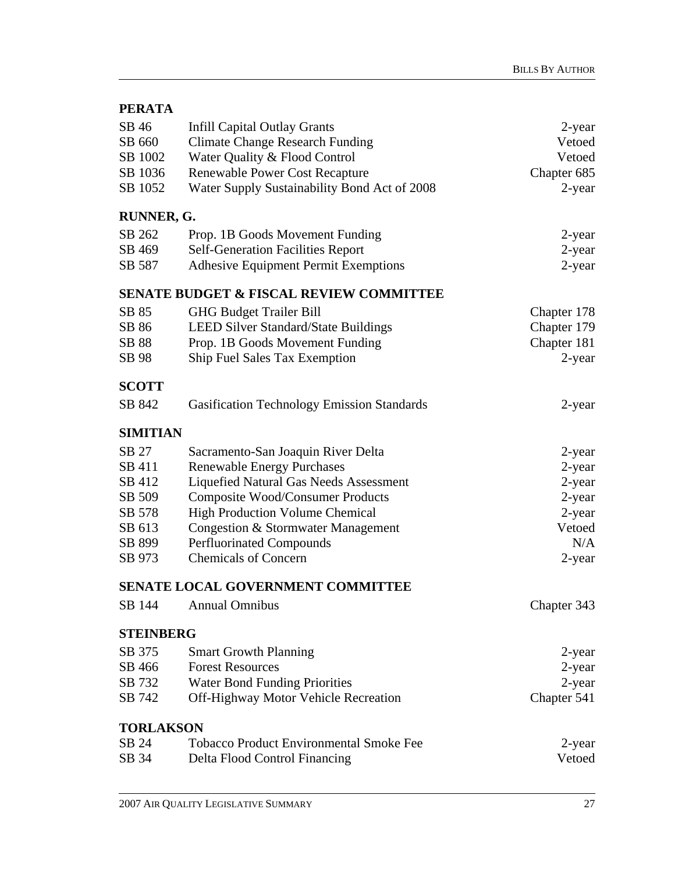| SB 46                                              | <b>Infill Capital Outlay Grants</b>               | 2-year      |  |  |
|----------------------------------------------------|---------------------------------------------------|-------------|--|--|
| SB 660                                             | <b>Climate Change Research Funding</b>            | Vetoed      |  |  |
| SB 1002                                            | Water Quality & Flood Control                     | Vetoed      |  |  |
| SB 1036                                            | <b>Renewable Power Cost Recapture</b>             | Chapter 685 |  |  |
| SB 1052                                            | Water Supply Sustainability Bond Act of 2008      | 2-year      |  |  |
| RUNNER, G.                                         |                                                   |             |  |  |
| SB 262                                             | Prop. 1B Goods Movement Funding                   | 2-year      |  |  |
| SB 469                                             | <b>Self-Generation Facilities Report</b>          | 2-year      |  |  |
| SB 587                                             | <b>Adhesive Equipment Permit Exemptions</b>       | 2-year      |  |  |
| <b>SENATE BUDGET &amp; FISCAL REVIEW COMMITTEE</b> |                                                   |             |  |  |
| SB 85                                              | <b>GHG Budget Trailer Bill</b>                    | Chapter 178 |  |  |
| SB 86                                              | <b>LEED Silver Standard/State Buildings</b>       | Chapter 179 |  |  |
| SB 88                                              | Prop. 1B Goods Movement Funding                   | Chapter 181 |  |  |
| SB 98                                              | Ship Fuel Sales Tax Exemption                     | 2-year      |  |  |
| <b>SCOTT</b>                                       |                                                   |             |  |  |
| SB 842                                             | <b>Gasification Technology Emission Standards</b> | 2-year      |  |  |
| <b>SIMITIAN</b>                                    |                                                   |             |  |  |
| SB 27                                              | Sacramento-San Joaquin River Delta                | 2-year      |  |  |
| SB 411                                             | <b>Renewable Energy Purchases</b>                 | 2-year      |  |  |
| SB 412                                             | Liquefied Natural Gas Needs Assessment            | 2-year      |  |  |
| SB 509                                             | <b>Composite Wood/Consumer Products</b>           | $2$ -year   |  |  |
| SB 578                                             | <b>High Production Volume Chemical</b>            | 2-year      |  |  |
| SB 613                                             | Congestion & Stormwater Management                | Vetoed      |  |  |
| SB 899                                             | <b>Perfluorinated Compounds</b>                   | N/A         |  |  |
| SB 973                                             | <b>Chemicals of Concern</b>                       | 2-year      |  |  |
| <b>SENATE LOCAL GOVERNMENT COMMITTEE</b>           |                                                   |             |  |  |
| SB 144                                             | <b>Annual Omnibus</b>                             | Chapter 343 |  |  |
| <b>STEINBERG</b>                                   |                                                   |             |  |  |
| SB 375                                             | <b>Smart Growth Planning</b>                      | 2-year      |  |  |
| SB 466                                             | <b>Forest Resources</b>                           | $2$ -year   |  |  |
| SB 732                                             | <b>Water Bond Funding Priorities</b>              | $2$ -year   |  |  |
| SB 742                                             | Off-Highway Motor Vehicle Recreation              | Chapter 541 |  |  |
| <b>TORLAKSON</b>                                   |                                                   |             |  |  |
| SB 24                                              | <b>Tobacco Product Environmental Smoke Fee</b>    | 2-year      |  |  |
| SB 34                                              | Delta Flood Control Financing                     | Vetoed      |  |  |
|                                                    |                                                   |             |  |  |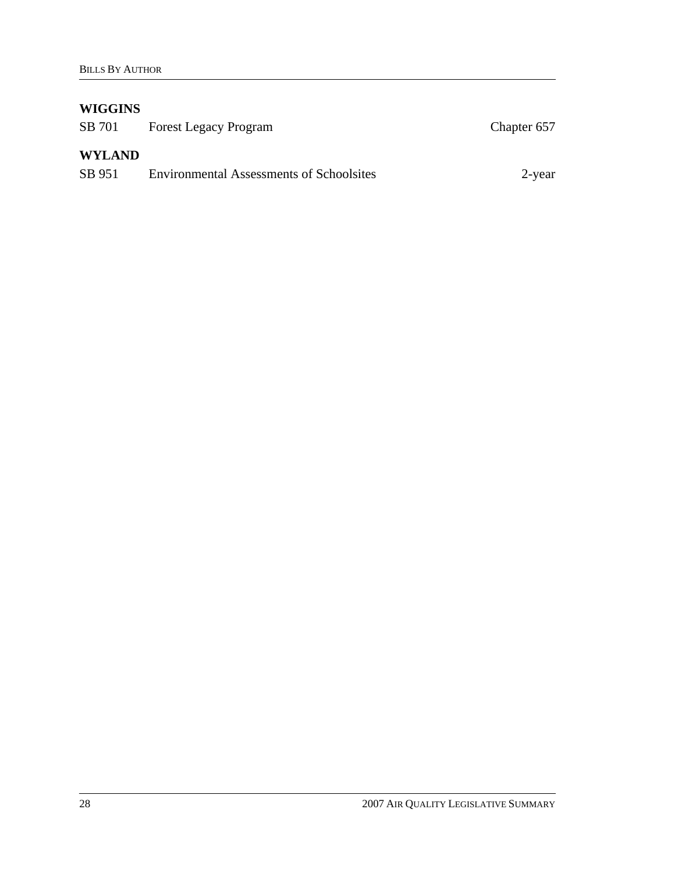## **WIGGINS**

| SB 701        | <b>Forest Legacy Program</b>                    | Chapter 657 |
|---------------|-------------------------------------------------|-------------|
| <b>WYLAND</b> |                                                 |             |
| SB 951        | <b>Environmental Assessments of Schoolsites</b> | 2-year      |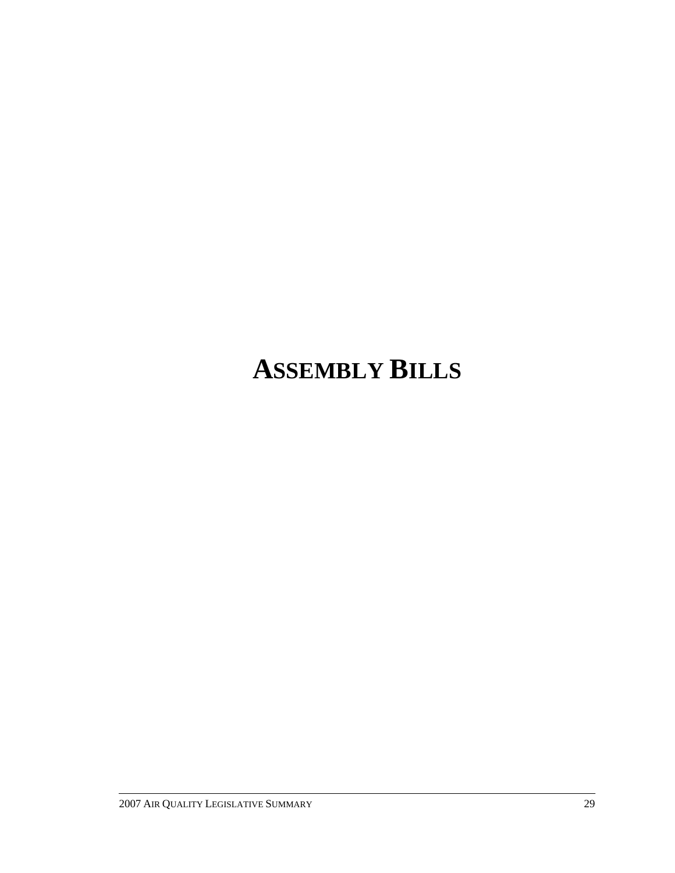# **ASSEMBLY BILLS**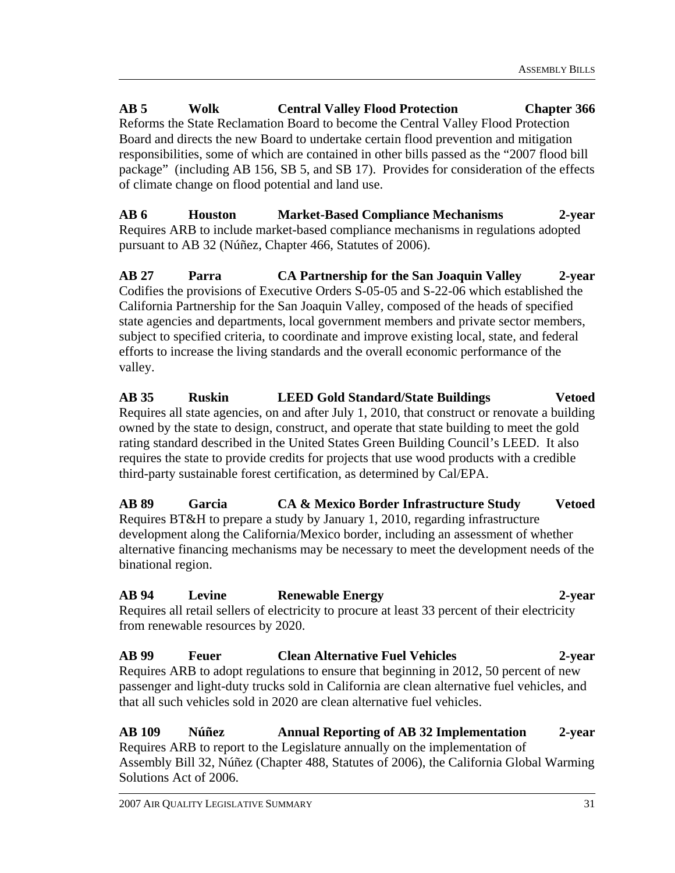**AB 5 Wolk Central Valley Flood Protection Chapter 366**  Reforms the State Reclamation Board to become the Central Valley Flood Protection Board and directs the new Board to undertake certain flood prevention and mitigation responsibilities, some of which are contained in other bills passed as the "2007 flood bill package" (including AB 156, SB 5, and SB 17). Provides for consideration of the effects of climate change on flood potential and land use.

**AB 6 Houston Market-Based Compliance Mechanisms 2-year**  Requires ARB to include market-based compliance mechanisms in regulations adopted pursuant to AB 32 (Núñez, Chapter 466, Statutes of 2006).

**AB 27 Parra CA Partnership for the San Joaquin Valley 2-year**  Codifies the provisions of Executive Orders S-05-05 and S-22-06 which established the California Partnership for the San Joaquin Valley, composed of the heads of specified state agencies and departments, local government members and private sector members, subject to specified criteria, to coordinate and improve existing local, state, and federal efforts to increase the living standards and the overall economic performance of the valley.

**AB 35 Ruskin LEED Gold Standard/State Buildings Vetoed**  Requires all state agencies, on and after July 1, 2010, that construct or renovate a building owned by the state to design, construct, and operate that state building to meet the gold rating standard described in the United States Green Building Council's LEED. It also requires the state to provide credits for projects that use wood products with a credible third-party sustainable forest certification, as determined by Cal/EPA.

**AB 89 Garcia CA & Mexico Border Infrastructure Study Vetoed**  Requires BT&H to prepare a study by January 1, 2010, regarding infrastructure development along the California/Mexico border, including an assessment of whether alternative financing mechanisms may be necessary to meet the development needs of the binational region.

# **AB 94 Levine Renewable Energy 2-year**

Requires all retail sellers of electricity to procure at least 33 percent of their electricity from renewable resources by 2020.

#### **AB 99 Feuer Clean Alternative Fuel Vehicles 2-year**  Requires ARB to adopt regulations to ensure that beginning in 2012, 50 percent of new passenger and light-duty trucks sold in California are clean alternative fuel vehicles, and that all such vehicles sold in 2020 are clean alternative fuel vehicles.

**AB 109 Núñez Annual Reporting of AB 32 Implementation 2-year**  Requires ARB to report to the Legislature annually on the implementation of Assembly Bill 32, Núñez (Chapter 488, Statutes of 2006), the California Global Warming Solutions Act of 2006.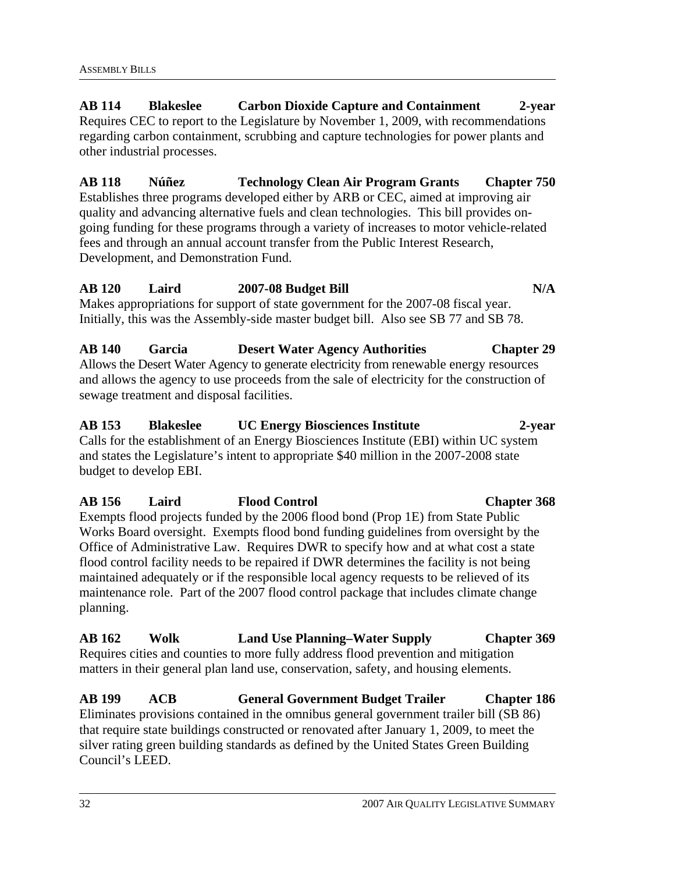**AB 114 Blakeslee Carbon Dioxide Capture and Containment 2-year**  Requires CEC to report to the Legislature by November 1, 2009, with recommendations regarding carbon containment, scrubbing and capture technologies for power plants and other industrial processes.

**AB 118 Núñez Technology Clean Air Program Grants Chapter 750**  Establishes three programs developed either by ARB or CEC, aimed at improving air quality and advancing alternative fuels and clean technologies. This bill provides ongoing funding for these programs through a variety of increases to motor vehicle-related fees and through an annual account transfer from the Public Interest Research, Development, and Demonstration Fund.

#### **AB 120 Laird 2007-08 Budget Bill N/A**  Makes appropriations for support of state government for the 2007-08 fiscal year. Initially, this was the Assembly-side master budget bill. Also see SB 77 and SB 78.

**AB 140 Garcia Desert Water Agency Authorities Chapter 29**  Allows the Desert Water Agency to generate electricity from renewable energy resources and allows the agency to use proceeds from the sale of electricity for the construction of sewage treatment and disposal facilities.

# **AB 153 Blakeslee UC Energy Biosciences Institute 2-year**  Calls for the establishment of an Energy Biosciences Institute (EBI) within UC system and states the Legislature's intent to appropriate \$40 million in the 2007-2008 state budget to develop EBI.

**AB 156 Laird Flood Control Chapter 368**  Exempts flood projects funded by the 2006 flood bond (Prop 1E) from State Public Works Board oversight. Exempts flood bond funding guidelines from oversight by the Office of Administrative Law. Requires DWR to specify how and at what cost a state flood control facility needs to be repaired if DWR determines the facility is not being maintained adequately or if the responsible local agency requests to be relieved of its maintenance role. Part of the 2007 flood control package that includes climate change planning.

**AB 162 Wolk Land Use Planning–Water Supply Chapter 369**  Requires cities and counties to more fully address flood prevention and mitigation matters in their general plan land use, conservation, safety, and housing elements.

**AB 199 ACB General Government Budget Trailer Chapter 186**  Eliminates provisions contained in the omnibus general government trailer bill (SB 86) that require state buildings constructed or renovated after January 1, 2009, to meet the silver rating green building standards as defined by the United States Green Building Council's LEED.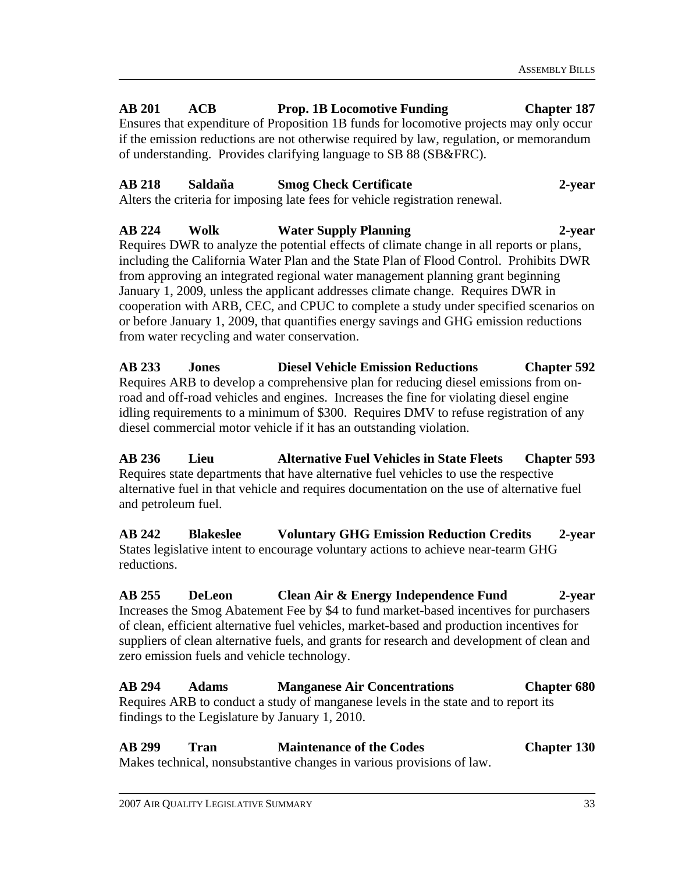# **AB 201 ACB Prop. 1B Locomotive Funding Chapter 187**

Ensures that expenditure of Proposition 1B funds for locomotive projects may only occur if the emission reductions are not otherwise required by law, regulation, or memorandum of understanding. Provides clarifying language to SB 88 (SB&FRC).

# **AB 218 Saldaña Smog Check Certificate 2-year**

Alters the criteria for imposing late fees for vehicle registration renewal.

# **AB 224 Wolk Water Supply Planning 2-year**

Requires DWR to analyze the potential effects of climate change in all reports or plans, including the California Water Plan and the State Plan of Flood Control. Prohibits DWR from approving an integrated regional water management planning grant beginning January 1, 2009, unless the applicant addresses climate change. Requires DWR in cooperation with ARB, CEC, and CPUC to complete a study under specified scenarios on or before January 1, 2009, that quantifies energy savings and GHG emission reductions from water recycling and water conservation.

**AB 233 Jones Diesel Vehicle Emission Reductions Chapter 592**  Requires ARB to develop a comprehensive plan for reducing diesel emissions from onroad and off-road vehicles and engines. Increases the fine for violating diesel engine idling requirements to a minimum of \$300. Requires DMV to refuse registration of any diesel commercial motor vehicle if it has an outstanding violation.

**AB 236 Lieu Alternative Fuel Vehicles in State Fleets Chapter 593**  Requires state departments that have alternative fuel vehicles to use the respective alternative fuel in that vehicle and requires documentation on the use of alternative fuel and petroleum fuel.

**AB 242 Blakeslee Voluntary GHG Emission Reduction Credits 2-year**  States legislative intent to encourage voluntary actions to achieve near-tearm GHG reductions.

**AB 255 DeLeon Clean Air & Energy Independence Fund 2-year**  Increases the Smog Abatement Fee by \$4 to fund market-based incentives for purchasers of clean, efficient alternative fuel vehicles, market-based and production incentives for suppliers of clean alternative fuels, and grants for research and development of clean and zero emission fuels and vehicle technology.

**AB 294 Adams Manganese Air Concentrations Chapter 680**  Requires ARB to conduct a study of manganese levels in the state and to report its findings to the Legislature by January 1, 2010.

**AB 299 Tran Maintenance of the Codes Chapter 130**  Makes technical, nonsubstantive changes in various provisions of law.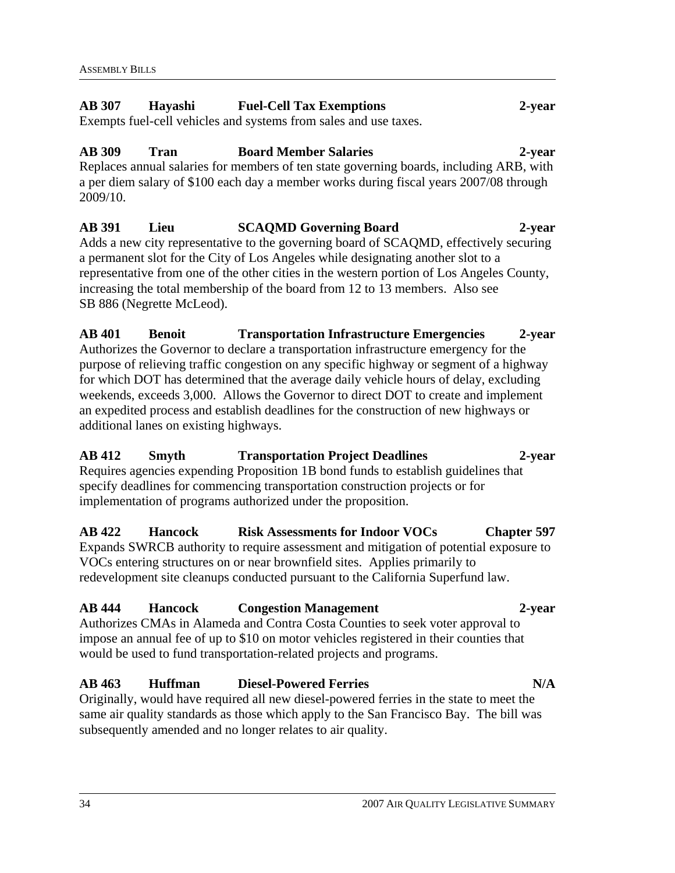# **AB 307 Hayashi Fuel-Cell Tax Exemptions 2-year**

Exempts fuel-cell vehicles and systems from sales and use taxes.

# **AB 309 Tran Board Member Salaries 2-year**

Replaces annual salaries for members of ten state governing boards, including ARB, with a per diem salary of \$100 each day a member works during fiscal years 2007/08 through 2009/10.

# **AB 391 Lieu SCAQMD Governing Board 2-year**

Adds a new city representative to the governing board of SCAQMD, effectively securing a permanent slot for the City of Los Angeles while designating another slot to a representative from one of the other cities in the western portion of Los Angeles County, increasing the total membership of the board from 12 to 13 members. Also see SB 886 (Negrette McLeod).

# **AB 401 Benoit Transportation Infrastructure Emergencies 2-year**  Authorizes the Governor to declare a transportation infrastructure emergency for the purpose of relieving traffic congestion on any specific highway or segment of a highway for which DOT has determined that the average daily vehicle hours of delay, excluding weekends, exceeds 3,000. Allows the Governor to direct DOT to create and implement an expedited process and establish deadlines for the construction of new highways or additional lanes on existing highways.

# **AB 412 Smyth Transportation Project Deadlines 2-year**

Requires agencies expending Proposition 1B bond funds to establish guidelines that specify deadlines for commencing transportation construction projects or for implementation of programs authorized under the proposition.

# **AB 422 Hancock Risk Assessments for Indoor VOCs Chapter 597**

Expands SWRCB authority to require assessment and mitigation of potential exposure to VOCs entering structures on or near brownfield sites. Applies primarily to redevelopment site cleanups conducted pursuant to the California Superfund law.

# **AB 444 Hancock Congestion Management 2-year**

Authorizes CMAs in Alameda and Contra Costa Counties to seek voter approval to impose an annual fee of up to \$10 on motor vehicles registered in their counties that would be used to fund transportation-related projects and programs.

# **AB 463 Huffman Diesel-Powered Ferries N/A**

Originally, would have required all new diesel-powered ferries in the state to meet the same air quality standards as those which apply to the San Francisco Bay. The bill was subsequently amended and no longer relates to air quality.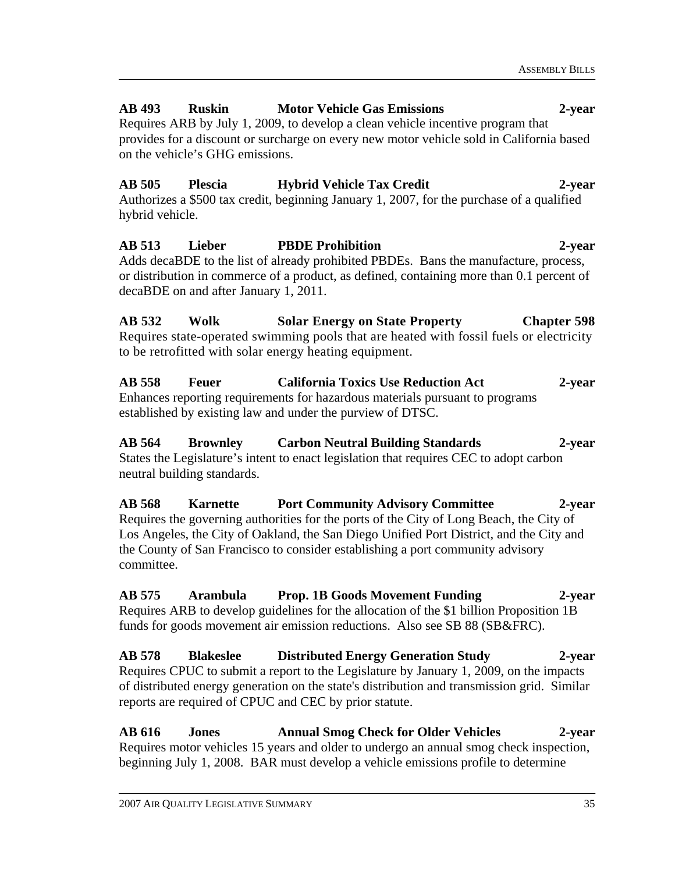# **AB 493 Ruskin Motor Vehicle Gas Emissions 2-year**

Requires ARB by July 1, 2009, to develop a clean vehicle incentive program that provides for a discount or surcharge on every new motor vehicle sold in California based on the vehicle's GHG emissions.

# **AB 505 Plescia Hybrid Vehicle Tax Credit 2-year**  Authorizes a \$500 tax credit, beginning January 1, 2007, for the purchase of a qualified hybrid vehicle.

**AB 513 Lieber PBDE Prohibition 2-year**  Adds decaBDE to the list of already prohibited PBDEs. Bans the manufacture, process, or distribution in commerce of a product, as defined, containing more than 0.1 percent of decaBDE on and after January 1, 2011.

**AB 532 Wolk Solar Energy on State Property Chapter 598**  Requires state-operated swimming pools that are heated with fossil fuels or electricity to be retrofitted with solar energy heating equipment.

**AB 558 Feuer California Toxics Use Reduction Act 2-year**  Enhances reporting requirements for hazardous materials pursuant to programs established by existing law and under the purview of DTSC.

# **AB 564 Brownley Carbon Neutral Building Standards 2-year**  States the Legislature's intent to enact legislation that requires CEC to adopt carbon neutral building standards.

**AB 568 Karnette Port Community Advisory Committee 2-year**  Requires the governing authorities for the ports of the City of Long Beach, the City of Los Angeles, the City of Oakland, the San Diego Unified Port District, and the City and the County of San Francisco to consider establishing a port community advisory committee.

**AB 575 Arambula Prop. 1B Goods Movement Funding 2-year** Requires ARB to develop guidelines for the allocation of the \$1 billion Proposition 1B funds for goods movement air emission reductions. Also see SB 88 (SB&FRC).

**AB 578 Blakeslee Distributed Energy Generation Study 2-year**  Requires CPUC to submit a report to the Legislature by January 1, 2009, on the impacts of distributed energy generation on the state's distribution and transmission grid. Similar reports are required of CPUC and CEC by prior statute.

**AB 616 Jones Annual Smog Check for Older Vehicles 2-year**  Requires motor vehicles 15 years and older to undergo an annual smog check inspection, beginning July 1, 2008. BAR must develop a vehicle emissions profile to determine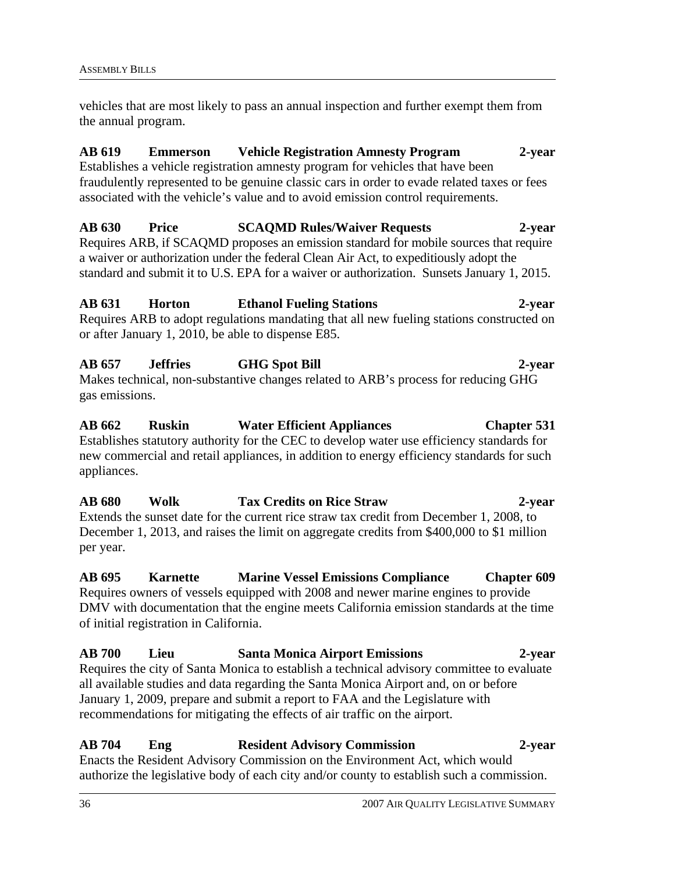vehicles that are most likely to pass an annual inspection and further exempt them from the annual program.

# **AB 619 Emmerson Vehicle Registration Amnesty Program 2-year**

Establishes a vehicle registration amnesty program for vehicles that have been fraudulently represented to be genuine classic cars in order to evade related taxes or fees associated with the vehicle's value and to avoid emission control requirements.

# **AB 630 Price SCAQMD Rules/Waiver Requests 2-year**

Requires ARB, if SCAQMD proposes an emission standard for mobile sources that require a waiver or authorization under the federal Clean Air Act, to expeditiously adopt the standard and submit it to U.S. EPA for a waiver or authorization. Sunsets January 1, 2015.

# **AB 631 Horton Ethanol Fueling Stations 2-year**

Requires ARB to adopt regulations mandating that all new fueling stations constructed on or after January 1, 2010, be able to dispense E85.

# **AB 657 Jeffries GHG Spot Bill 2-year**

Makes technical, non-substantive changes related to ARB's process for reducing GHG gas emissions.

# **AB 662 Ruskin Water Efficient Appliances Chapter 531**  Establishes statutory authority for the CEC to develop water use efficiency standards for new commercial and retail appliances, in addition to energy efficiency standards for such appliances.

**AB 680 Wolk Tax Credits on Rice Straw 2-year**  Extends the sunset date for the current rice straw tax credit from December 1, 2008, to December 1, 2013, and raises the limit on aggregate credits from \$400,000 to \$1 million per year.

**AB 695 Karnette Marine Vessel Emissions Compliance Chapter 609**  Requires owners of vessels equipped with 2008 and newer marine engines to provide DMV with documentation that the engine meets California emission standards at the time of initial registration in California.

### **AB 700 Lieu Santa Monica Airport Emissions 2-year**  Requires the city of Santa Monica to establish a technical advisory committee to evaluate all available studies and data regarding the Santa Monica Airport and, on or before January 1, 2009, prepare and submit a report to FAA and the Legislature with recommendations for mitigating the effects of air traffic on the airport.

**AB 704 Eng Resident Advisory Commission 2-year**  Enacts the Resident Advisory Commission on the Environment Act, which would authorize the legislative body of each city and/or county to establish such a commission.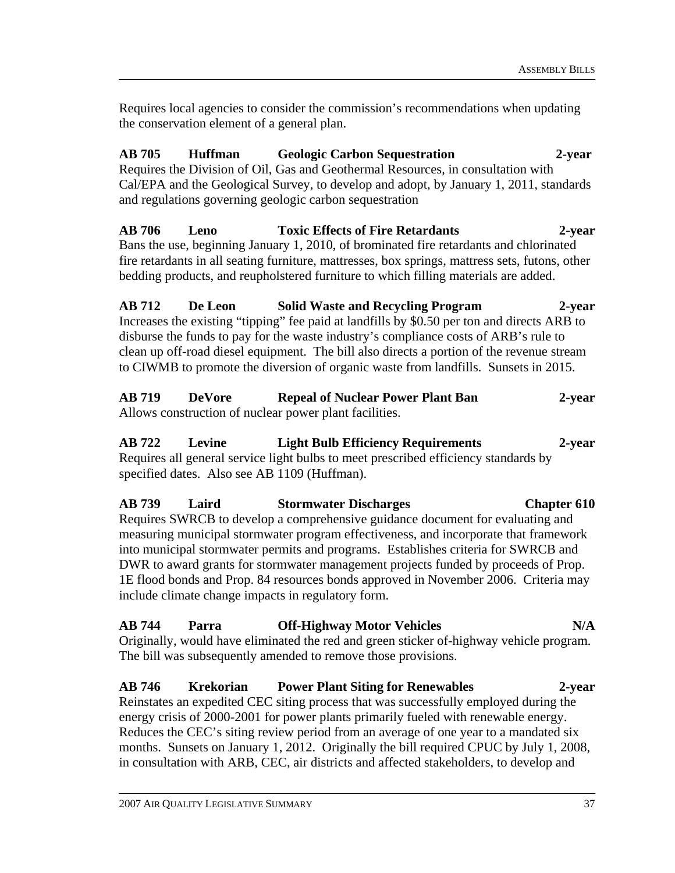Requires local agencies to consider the commission's recommendations when updating the conservation element of a general plan.

# **AB 705 Huffman Geologic Carbon Sequestration 2-year**  Requires the Division of Oil, Gas and Geothermal Resources, in consultation with Cal/EPA and the Geological Survey, to develop and adopt, by January 1, 2011, standards and regulations governing geologic carbon sequestration

**AB 706 Leno Toxic Effects of Fire Retardants 2-year**  Bans the use, beginning January 1, 2010, of brominated fire retardants and chlorinated fire retardants in all seating furniture, mattresses, box springs, mattress sets, futons, other bedding products, and reupholstered furniture to which filling materials are added.

**AB 712 De Leon Solid Waste and Recycling Program 2-year**  Increases the existing "tipping" fee paid at landfills by \$0.50 per ton and directs ARB to disburse the funds to pay for the waste industry's compliance costs of ARB's rule to clean up off-road diesel equipment. The bill also directs a portion of the revenue stream to CIWMB to promote the diversion of organic waste from landfills. Sunsets in 2015.

**AB 719 DeVore Repeal of Nuclear Power Plant Ban 2-year**  Allows construction of nuclear power plant facilities.

# **AB 722 Levine Light Bulb Efficiency Requirements 2-year**  Requires all general service light bulbs to meet prescribed efficiency standards by specified dates. Also see AB 1109 (Huffman).

# **AB 739 Laird Stormwater Discharges Chapter 610**

Requires SWRCB to develop a comprehensive guidance document for evaluating and measuring municipal stormwater program effectiveness, and incorporate that framework into municipal stormwater permits and programs. Establishes criteria for SWRCB and DWR to award grants for stormwater management projects funded by proceeds of Prop. 1E flood bonds and Prop. 84 resources bonds approved in November 2006. Criteria may include climate change impacts in regulatory form.

# **AB 744 Parra Off-Highway Motor Vehicles N/A**

Originally, would have eliminated the red and green sticker of-highway vehicle program. The bill was subsequently amended to remove those provisions.

# **AB 746 Krekorian Power Plant Siting for Renewables 2-year**

Reinstates an expedited CEC siting process that was successfully employed during the energy crisis of 2000-2001 for power plants primarily fueled with renewable energy. Reduces the CEC's siting review period from an average of one year to a mandated six months. Sunsets on January 1, 2012. Originally the bill required CPUC by July 1, 2008, in consultation with ARB, CEC, air districts and affected stakeholders, to develop and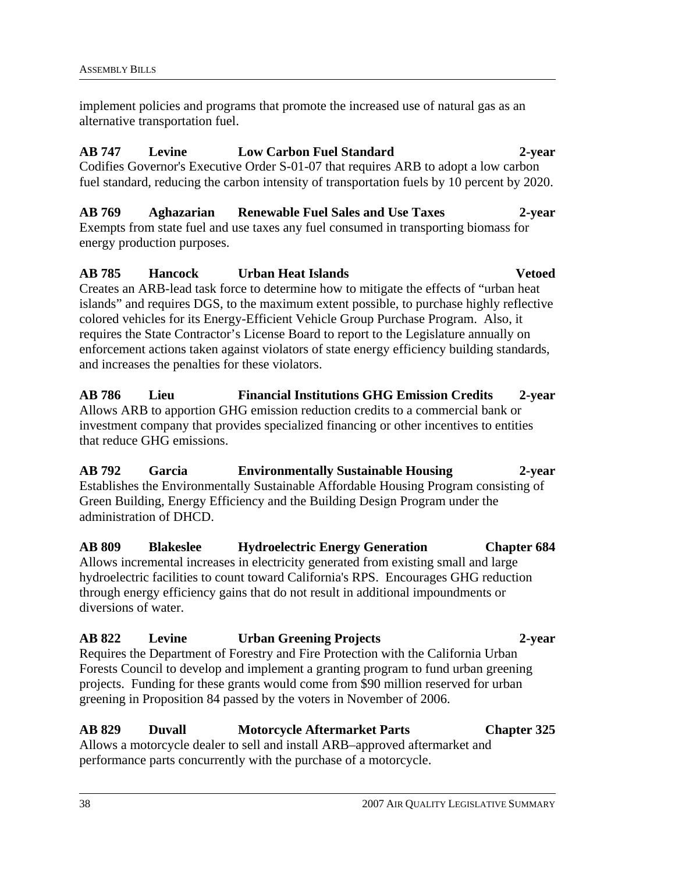implement policies and programs that promote the increased use of natural gas as an alternative transportation fuel.

# **AB 747 Levine Low Carbon Fuel Standard 2-year**

Codifies Governor's Executive Order S-01-07 that requires ARB to adopt a low carbon fuel standard, reducing the carbon intensity of transportation fuels by 10 percent by 2020.

# **AB 769 Aghazarian Renewable Fuel Sales and Use Taxes 2-year**

Exempts from state fuel and use taxes any fuel consumed in transporting biomass for energy production purposes.

# **AB 785 Hancock Urban Heat Islands Vetoed**  Creates an ARB-lead task force to determine how to mitigate the effects of "urban heat islands" and requires DGS, to the maximum extent possible, to purchase highly reflective colored vehicles for its Energy-Efficient Vehicle Group Purchase Program. Also, it requires the State Contractor's License Board to report to the Legislature annually on enforcement actions taken against violators of state energy efficiency building standards, and increases the penalties for these violators.

**AB 786 Lieu Financial Institutions GHG Emission Credits 2-year**  Allows ARB to apportion GHG emission reduction credits to a commercial bank or investment company that provides specialized financing or other incentives to entities that reduce GHG emissions.

**AB 792 Garcia Environmentally Sustainable Housing 2-year**  Establishes the Environmentally Sustainable Affordable Housing Program consisting of Green Building, Energy Efficiency and the Building Design Program under the administration of DHCD.

**AB 809 Blakeslee Hydroelectric Energy Generation Chapter 684**  Allows incremental increases in electricity generated from existing small and large hydroelectric facilities to count toward California's RPS. Encourages GHG reduction through energy efficiency gains that do not result in additional impoundments or diversions of water.

# **AB 822 Levine Urban Greening Projects 2-year**

Requires the Department of Forestry and Fire Protection with the California Urban Forests Council to develop and implement a granting program to fund urban greening projects. Funding for these grants would come from \$90 million reserved for urban greening in Proposition 84 passed by the voters in November of 2006.

# **AB 829 Duvall Motorcycle Aftermarket Parts Chapter 325**

Allows a motorcycle dealer to sell and install ARB–approved aftermarket and performance parts concurrently with the purchase of a motorcycle.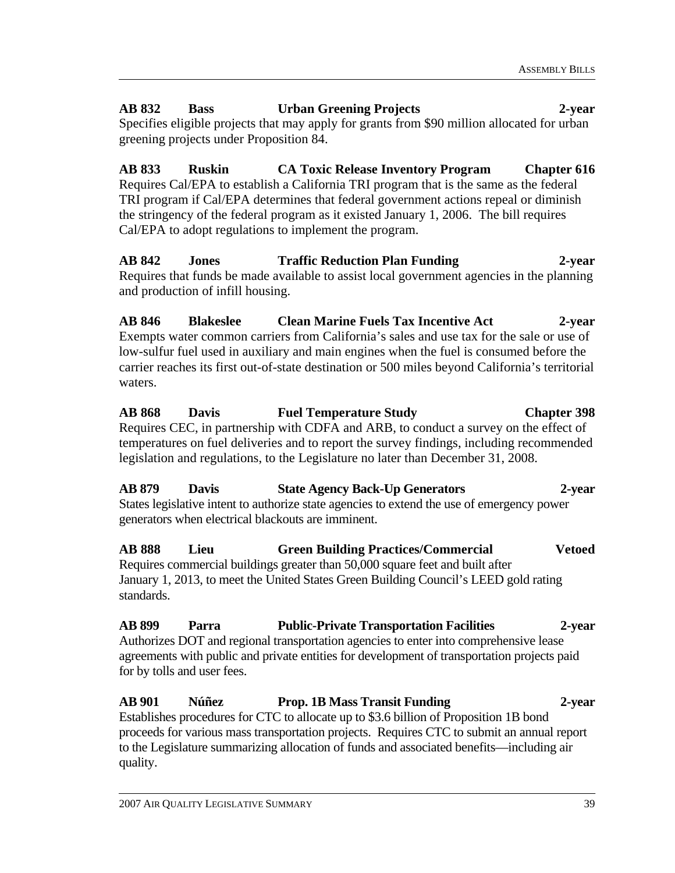# **AB 832 Bass Urban Greening Projects 2-year**

Specifies eligible projects that may apply for grants from \$90 million allocated for urban greening projects under Proposition 84.

**AB 833 Ruskin CA Toxic Release Inventory Program Chapter 616**  Requires Cal/EPA to establish a California TRI program that is the same as the federal TRI program if Cal/EPA determines that federal government actions repeal or diminish the stringency of the federal program as it existed January 1, 2006. The bill requires Cal/EPA to adopt regulations to implement the program.

**AB 842 Jones Traffic Reduction Plan Funding 2-year**  Requires that funds be made available to assist local government agencies in the planning and production of infill housing.

**AB 846 Blakeslee Clean Marine Fuels Tax Incentive Act 2-year**  Exempts water common carriers from California's sales and use tax for the sale or use of low-sulfur fuel used in auxiliary and main engines when the fuel is consumed before the carrier reaches its first out-of-state destination or 500 miles beyond California's territorial waters.

**AB 868 Davis Fuel Temperature Study Chapter 398**  Requires CEC, in partnership with CDFA and ARB, to conduct a survey on the effect of temperatures on fuel deliveries and to report the survey findings, including recommended legislation and regulations, to the Legislature no later than December 31, 2008.

**AB 879 Davis State Agency Back-Up Generators 2-year**  States legislative intent to authorize state agencies to extend the use of emergency power generators when electrical blackouts are imminent.

**AB 888 Lieu Green Building Practices/Commercial Vetoed**  Requires commercial buildings greater than 50,000 square feet and built after January 1, 2013, to meet the United States Green Building Council's LEED gold rating standards.

**AB 899 Parra Public-Private Transportation Facilities 2-year**  Authorizes DOT and regional transportation agencies to enter into comprehensive lease agreements with public and private entities for development of transportation projects paid for by tolls and user fees.

**AB 901 Núñez Prop. 1B Mass Transit Funding 2-year**  Establishes procedures for CTC to allocate up to \$3.6 billion of Proposition 1B bond proceeds for various mass transportation projects. Requires CTC to submit an annual report to the Legislature summarizing allocation of funds and associated benefits—including air quality.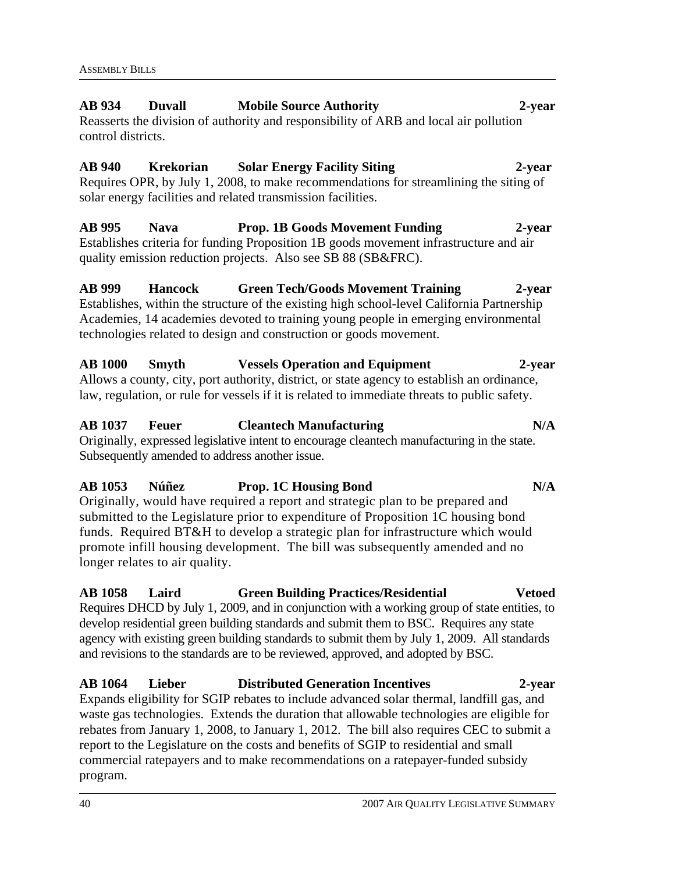# **AB 934 Duvall Mobile Source Authority 2-year**  Reasserts the division of authority and responsibility of ARB and local air pollution

control districts.

# **AB 940 Krekorian Solar Energy Facility Siting 2-year**

Requires OPR, by July 1, 2008, to make recommendations for streamlining the siting of solar energy facilities and related transmission facilities.

# **AB 995 Nava Prop. 1B Goods Movement Funding 2-year**  Establishes criteria for funding Proposition 1B goods movement infrastructure and air quality emission reduction projects. Also see SB 88 (SB&FRC).

# **AB 999 Hancock Green Tech/Goods Movement Training 2-year**

Establishes, within the structure of the existing high school-level California Partnership Academies, 14 academies devoted to training young people in emerging environmental technologies related to design and construction or goods movement.

# **AB 1000 Smyth Vessels Operation and Equipment 2-year**

Allows a county, city, port authority, district, or state agency to establish an ordinance, law, regulation, or rule for vessels if it is related to immediate threats to public safety.

# **AB 1037 Feuer Cleantech Manufacturing N/A**

Originally, expressed legislative intent to encourage cleantech manufacturing in the state. Subsequently amended to address another issue.

# **AB 1053 Núñez Prop. 1C Housing Bond N/A**

Originally, would have required a report and strategic plan to be prepared and submitted to the Legislature prior to expenditure of Proposition 1C housing bond funds. Required BT&H to develop a strategic plan for infrastructure which would promote infill housing development. The bill was subsequently amended and no longer relates to air quality.

# **AB 1058 Laird Green Building Practices/Residential Vetoed**

Requires DHCD by July 1, 2009, and in conjunction with a working group of state entities, to develop residential green building standards and submit them to BSC. Requires any state agency with existing green building standards to submit them by July 1, 2009. All standards and revisions to the standards are to be reviewed, approved, and adopted by BSC.

# **AB 1064 Lieber Distributed Generation Incentives 2-year**

Expands eligibility for SGIP rebates to include advanced solar thermal, landfill gas, and waste gas technologies. Extends the duration that allowable technologies are eligible for rebates from January 1, 2008, to January 1, 2012. The bill also requires CEC to submit a report to the Legislature on the costs and benefits of SGIP to residential and small commercial ratepayers and to make recommendations on a ratepayer-funded subsidy program.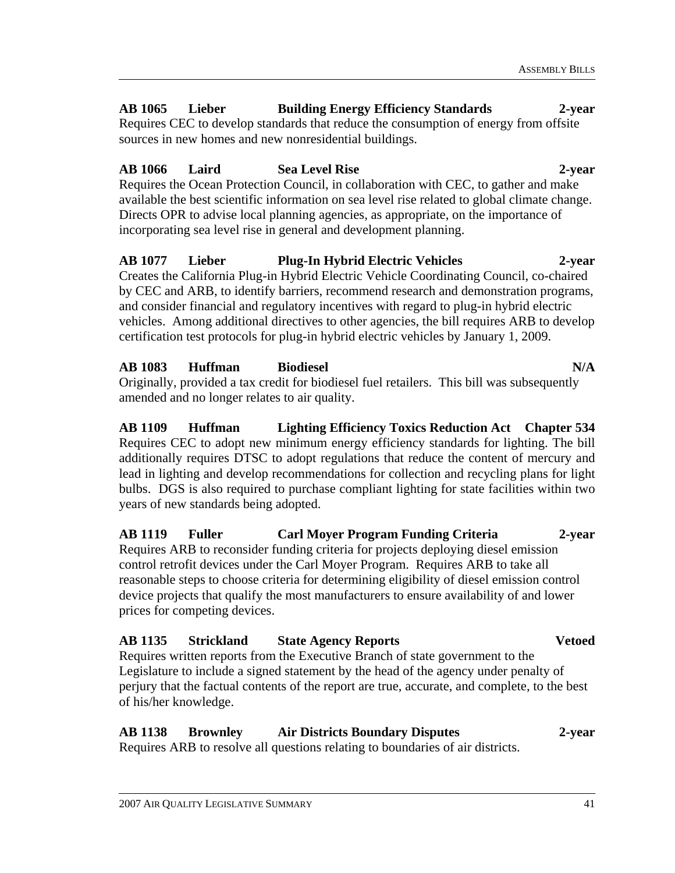# **AB 1065 Lieber Building Energy Efficiency Standards 2-year**

Requires CEC to develop standards that reduce the consumption of energy from offsite sources in new homes and new nonresidential buildings.

# **AB 1066 Laird Sea Level Rise 2-year**

Requires the Ocean Protection Council, in collaboration with CEC, to gather and make available the best scientific information on sea level rise related to global climate change. Directs OPR to advise local planning agencies, as appropriate, on the importance of incorporating sea level rise in general and development planning.

#### **AB 1077 Lieber Plug-In Hybrid Electric Vehicles 2-year**  Creates the California Plug-in Hybrid Electric Vehicle Coordinating Council, co-chaired by CEC and ARB, to identify barriers, recommend research and demonstration programs,

and consider financial and regulatory incentives with regard to plug-in hybrid electric vehicles. Among additional directives to other agencies, the bill requires ARB to develop certification test protocols for plug-in hybrid electric vehicles by January 1, 2009.

# **AB 1083 Huffman Biodiesel N/A**

Originally, provided a tax credit for biodiesel fuel retailers. This bill was subsequently amended and no longer relates to air quality.

# **AB 1109 Huffman Lighting Efficiency Toxics Reduction Act Chapter 534**  Requires CEC to adopt new minimum energy efficiency standards for lighting. The bill additionally requires DTSC to adopt regulations that reduce the content of mercury and lead in lighting and develop recommendations for collection and recycling plans for light bulbs. DGS is also required to purchase compliant lighting for state facilities within two years of new standards being adopted.

**AB 1119 Fuller Carl Moyer Program Funding Criteria 2-year**  Requires ARB to reconsider funding criteria for projects deploying diesel emission control retrofit devices under the Carl Moyer Program. Requires ARB to take all reasonable steps to choose criteria for determining eligibility of diesel emission control device projects that qualify the most manufacturers to ensure availability of and lower prices for competing devices.

# **AB 1135 Strickland State Agency Reports Vetoed**

Requires written reports from the Executive Branch of state government to the Legislature to include a signed statement by the head of the agency under penalty of perjury that the factual contents of the report are true, accurate, and complete, to the best of his/her knowledge.

# **AB 1138 Brownley Air Districts Boundary Disputes 2-year**

Requires ARB to resolve all questions relating to boundaries of air districts.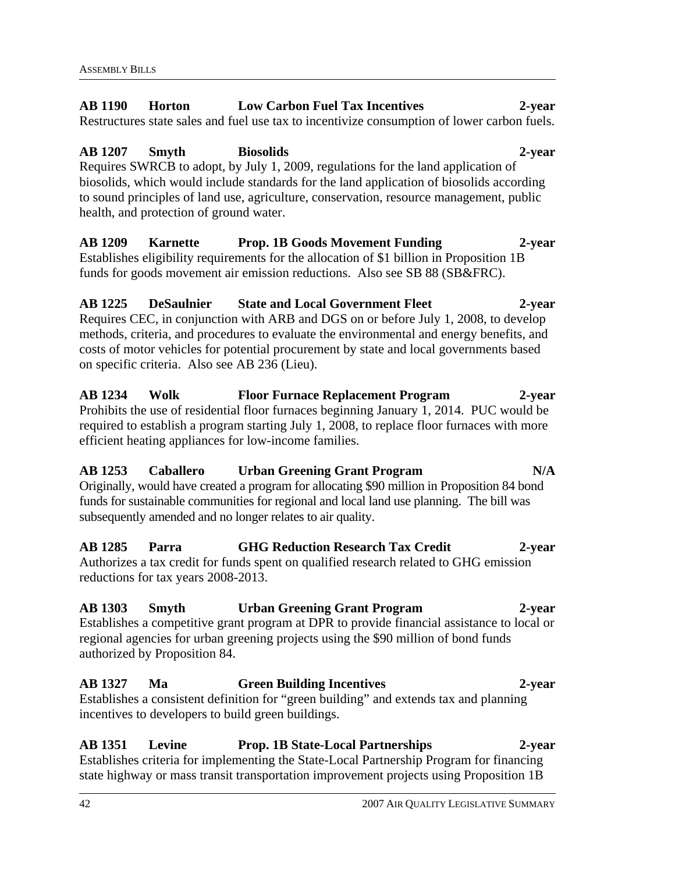#### **AB 1190 Horton Low Carbon Fuel Tax Incentives 2-year**  Restructures state sales and fuel use tax to incentivize consumption of lower carbon fuels.

**AB 1207 Smyth Biosolids 2-year**  Requires SWRCB to adopt, by July 1, 2009, regulations for the land application of biosolids, which would include standards for the land application of biosolids according to sound principles of land use, agriculture, conservation, resource management, public health, and protection of ground water.

**AB 1209 Karnette Prop. 1B Goods Movement Funding 2-year** Establishes eligibility requirements for the allocation of \$1 billion in Proposition 1B funds for goods movement air emission reductions. Also see SB 88 (SB&FRC).

**AB 1225 DeSaulnier State and Local Government Fleet 2-year**  Requires CEC, in conjunction with ARB and DGS on or before July 1, 2008, to develop methods, criteria, and procedures to evaluate the environmental and energy benefits, and costs of motor vehicles for potential procurement by state and local governments based on specific criteria. Also see AB 236 (Lieu).

**AB 1234 Wolk Floor Furnace Replacement Program 2-year**  Prohibits the use of residential floor furnaces beginning January 1, 2014. PUC would be required to establish a program starting July 1, 2008, to replace floor furnaces with more efficient heating appliances for low-income families.

### **AB 1253 Caballero Urban Greening Grant Program N/A**  Originally, would have created a program for allocating \$90 million in Proposition 84 bond funds for sustainable communities for regional and local land use planning. The bill was subsequently amended and no longer relates to air quality.

**AB 1285 Parra GHG Reduction Research Tax Credit 2-year**  Authorizes a tax credit for funds spent on qualified research related to GHG emission reductions for tax years 2008-2013.

# **AB 1303 Smyth Urban Greening Grant Program 2-year**  Establishes a competitive grant program at DPR to provide financial assistance to local or regional agencies for urban greening projects using the \$90 million of bond funds authorized by Proposition 84.

# **AB 1327 Ma Green Building Incentives 2-year**  Establishes a consistent definition for "green building" and extends tax and planning incentives to developers to build green buildings.

**AB 1351 Levine Prop. 1B State-Local Partnerships 2-year**  Establishes criteria for implementing the State-Local Partnership Program for financing state highway or mass transit transportation improvement projects using Proposition 1B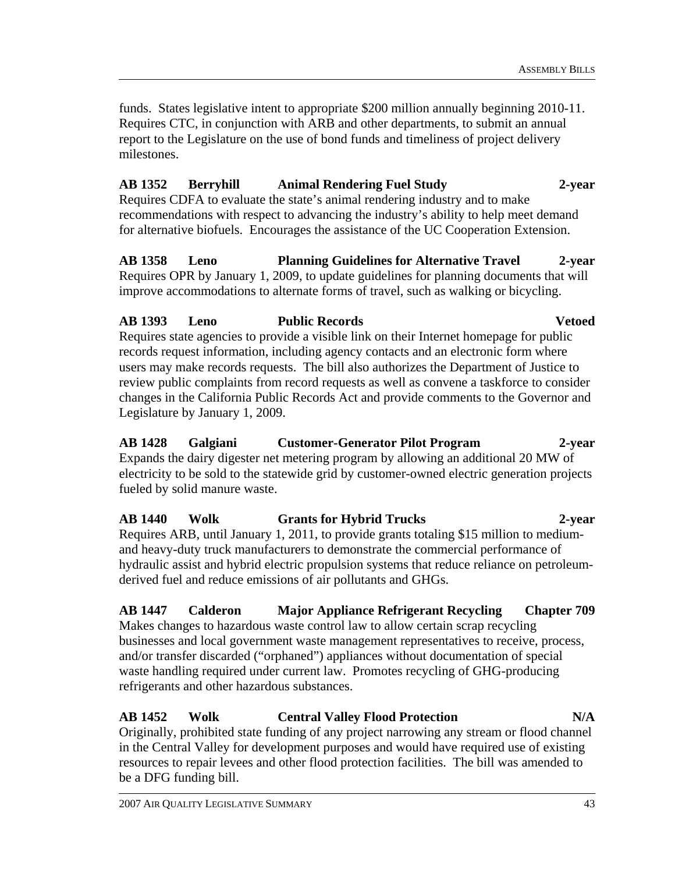funds. States legislative intent to appropriate \$200 million annually beginning 2010-11. Requires CTC, in conjunction with ARB and other departments, to submit an annual report to the Legislature on the use of bond funds and timeliness of project delivery milestones.

# **AB 1352 Berryhill Animal Rendering Fuel Study 2-year**

Requires CDFA to evaluate the state's animal rendering industry and to make recommendations with respect to advancing the industry's ability to help meet demand for alternative biofuels. Encourages the assistance of the UC Cooperation Extension.

# **AB 1358 Leno Planning Guidelines for Alternative Travel 2-year**

Requires OPR by January 1, 2009, to update guidelines for planning documents that will improve accommodations to alternate forms of travel, such as walking or bicycling.

# **AB 1393 Leno Public Records Vetoed**

Requires state agencies to provide a visible link on their Internet homepage for public records request information, including agency contacts and an electronic form where users may make records requests. The bill also authorizes the Department of Justice to review public complaints from record requests as well as convene a taskforce to consider changes in the California Public Records Act and provide comments to the Governor and Legislature by January 1, 2009.

# **AB 1428 Galgiani Customer-Generator Pilot Program 2-year**

Expands the dairy digester net metering program by allowing an additional 20 MW of electricity to be sold to the statewide grid by customer-owned electric generation projects fueled by solid manure waste.

# **AB 1440 Wolk Grants for Hybrid Trucks 2-year**

Requires ARB, until January 1, 2011, to provide grants totaling \$15 million to mediumand heavy-duty truck manufacturers to demonstrate the commercial performance of hydraulic assist and hybrid electric propulsion systems that reduce reliance on petroleumderived fuel and reduce emissions of air pollutants and GHGs.

# **AB 1447 Calderon Major Appliance Refrigerant Recycling Chapter 709**

Makes changes to hazardous waste control law to allow certain scrap recycling businesses and local government waste management representatives to receive, process, and/or transfer discarded ("orphaned") appliances without documentation of special waste handling required under current law. Promotes recycling of GHG-producing refrigerants and other hazardous substances.

# **AB 1452 Wolk Central Valley Flood Protection N/A**

Originally, prohibited state funding of any project narrowing any stream or flood channel in the Central Valley for development purposes and would have required use of existing resources to repair levees and other flood protection facilities. The bill was amended to be a DFG funding bill.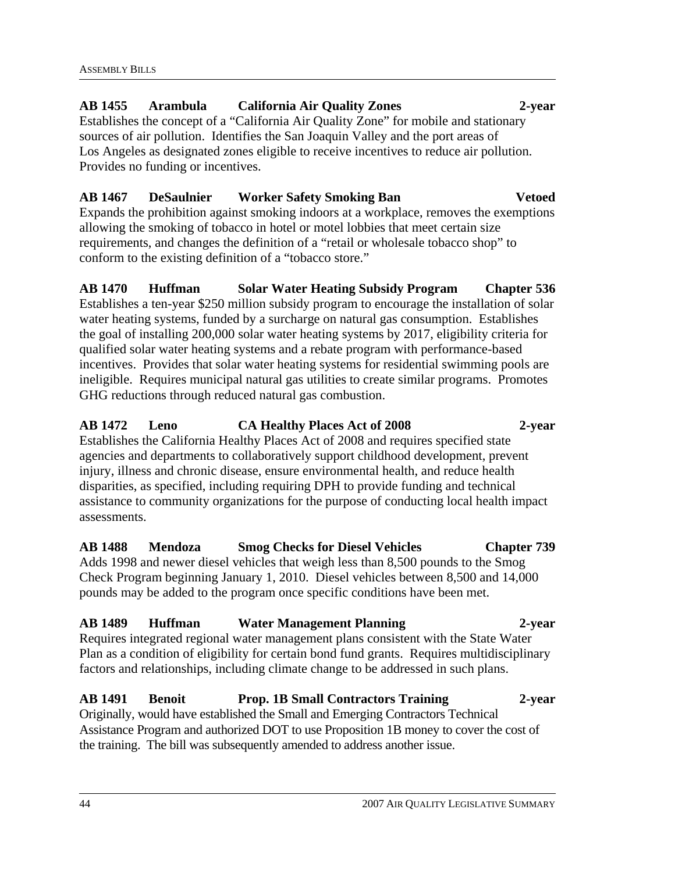# **AB 1455 Arambula California Air Quality Zones 2-year**  Establishes the concept of a "California Air Quality Zone" for mobile and stationary

sources of air pollution. Identifies the San Joaquin Valley and the port areas of Los Angeles as designated zones eligible to receive incentives to reduce air pollution. Provides no funding or incentives.

# **AB 1467 DeSaulnier Worker Safety Smoking Ban Vetoed**

Expands the prohibition against smoking indoors at a workplace, removes the exemptions allowing the smoking of tobacco in hotel or motel lobbies that meet certain size requirements, and changes the definition of a "retail or wholesale tobacco shop" to conform to the existing definition of a "tobacco store."

# **AB 1470 Huffman Solar Water Heating Subsidy Program Chapter 536**  Establishes a ten-year \$250 million subsidy program to encourage the installation of solar water heating systems, funded by a surcharge on natural gas consumption. Establishes the goal of installing 200,000 solar water heating systems by 2017, eligibility criteria for qualified solar water heating systems and a rebate program with performance-based incentives. Provides that solar water heating systems for residential swimming pools are ineligible. Requires municipal natural gas utilities to create similar programs. Promotes GHG reductions through reduced natural gas combustion.

# **AB 1472 Leno CA Healthy Places Act of 2008 2-year**  Establishes the California Healthy Places Act of 2008 and requires specified state agencies and departments to collaboratively support childhood development, prevent injury, illness and chronic disease, ensure environmental health, and reduce health disparities, as specified, including requiring DPH to provide funding and technical assistance to community organizations for the purpose of conducting local health impact assessments.

## **AB 1488 Mendoza Smog Checks for Diesel Vehicles Chapter 739**  Adds 1998 and newer diesel vehicles that weigh less than 8,500 pounds to the Smog Check Program beginning January 1, 2010. Diesel vehicles between 8,500 and 14,000 pounds may be added to the program once specific conditions have been met.

# **AB 1489 Huffman Water Management Planning 2-year**

Requires integrated regional water management plans consistent with the State Water Plan as a condition of eligibility for certain bond fund grants. Requires multidisciplinary factors and relationships, including climate change to be addressed in such plans.

#### **AB 1491 Benoit Prop. 1B Small Contractors Training 2-year**  Originally, would have established the Small and Emerging Contractors Technical

Assistance Program and authorized DOT to use Proposition 1B money to cover the cost of the training. The bill was subsequently amended to address another issue.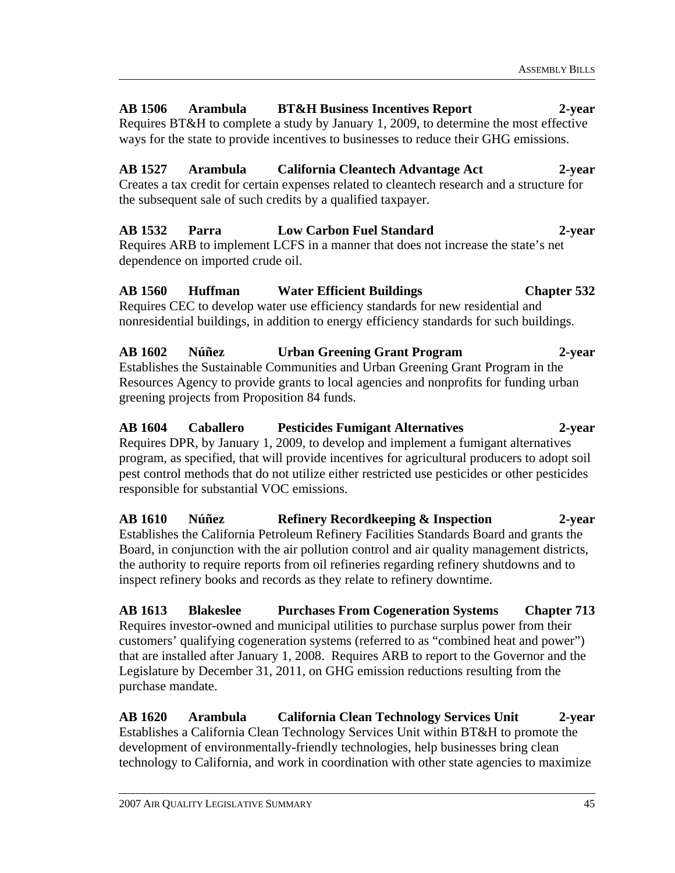# **AB 1506 Arambula BT&H Business Incentives Report 2-year**  Requires BT&H to complete a study by January 1, 2009, to determine the most effective

ways for the state to provide incentives to businesses to reduce their GHG emissions.

# **AB 1527 Arambula California Cleantech Advantage Act 2-year**

Creates a tax credit for certain expenses related to cleantech research and a structure for the subsequent sale of such credits by a qualified taxpayer.

# **AB 1532 Parra Low Carbon Fuel Standard 2-year**  Requires ARB to implement LCFS in a manner that does not increase the state's net

dependence on imported crude oil.

# **AB 1560 Huffman Water Efficient Buildings Chapter 532**

Requires CEC to develop water use efficiency standards for new residential and nonresidential buildings, in addition to energy efficiency standards for such buildings.

## **AB 1602 Núñez Urban Greening Grant Program 2-year**  Establishes the Sustainable Communities and Urban Greening Grant Program in the Resources Agency to provide grants to local agencies and nonprofits for funding urban greening projects from Proposition 84 funds.

# **AB 1604 Caballero Pesticides Fumigant Alternatives 2-year**  Requires DPR, by January 1, 2009, to develop and implement a fumigant alternatives program, as specified, that will provide incentives for agricultural producers to adopt soil pest control methods that do not utilize either restricted use pesticides or other pesticides responsible for substantial VOC emissions.

**AB 1610 Núñez Refinery Recordkeeping & Inspection 2-year**  Establishes the California Petroleum Refinery Facilities Standards Board and grants the Board, in conjunction with the air pollution control and air quality management districts, the authority to require reports from oil refineries regarding refinery shutdowns and to inspect refinery books and records as they relate to refinery downtime.

**AB 1613 Blakeslee Purchases From Cogeneration Systems Chapter 713**  Requires investor-owned and municipal utilities to purchase surplus power from their customers' qualifying cogeneration systems (referred to as "combined heat and power") that are installed after January 1, 2008. Requires ARB to report to the Governor and the Legislature by December 31, 2011, on GHG emission reductions resulting from the purchase mandate.

**AB 1620 Arambula California Clean Technology Services Unit 2-year**  Establishes a California Clean Technology Services Unit within BT&H to promote the development of environmentally-friendly technologies, help businesses bring clean technology to California, and work in coordination with other state agencies to maximize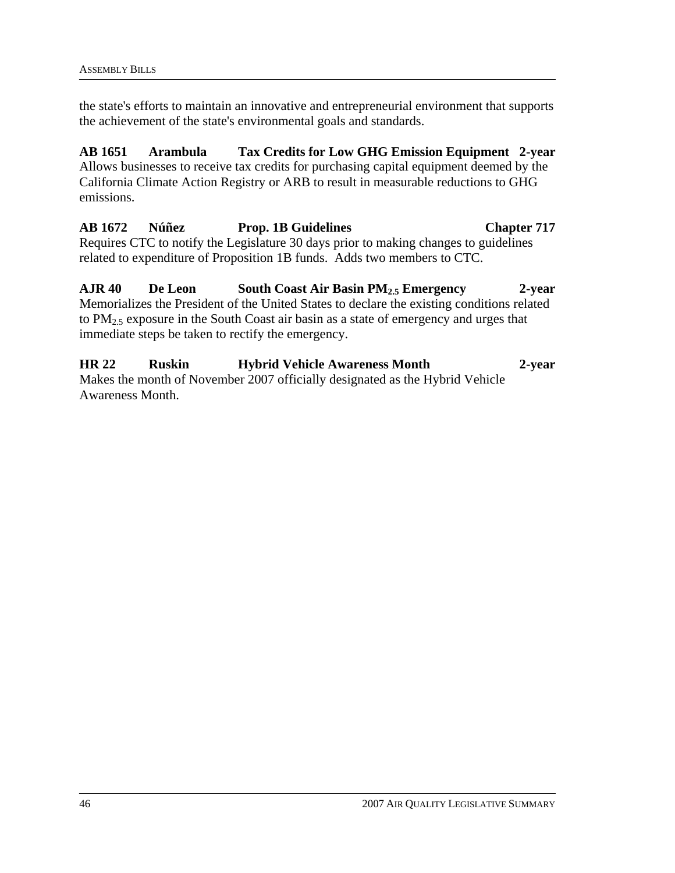the state's efforts to maintain an innovative and entrepreneurial environment that supports the achievement of the state's environmental goals and standards.

**AB 1651 Arambula Tax Credits for Low GHG Emission Equipment 2-year** Allows businesses to receive tax credits for purchasing capital equipment deemed by the California Climate Action Registry or ARB to result in measurable reductions to GHG emissions.

**AB 1672 Núñez Prop. 1B Guidelines Chapter 717**  Requires CTC to notify the Legislature 30 days prior to making changes to guidelines related to expenditure of Proposition 1B funds. Adds two members to CTC.

**AJR 40 De Leon South Coast Air Basin PM2.5 Emergency 2-year**  Memorializes the President of the United States to declare the existing conditions related to PM2.5 exposure in the South Coast air basin as a state of emergency and urges that immediate steps be taken to rectify the emergency.

**HR 22 Ruskin Hybrid Vehicle Awareness Month 2-year**  Makes the month of November 2007 officially designated as the Hybrid Vehicle Awareness Month.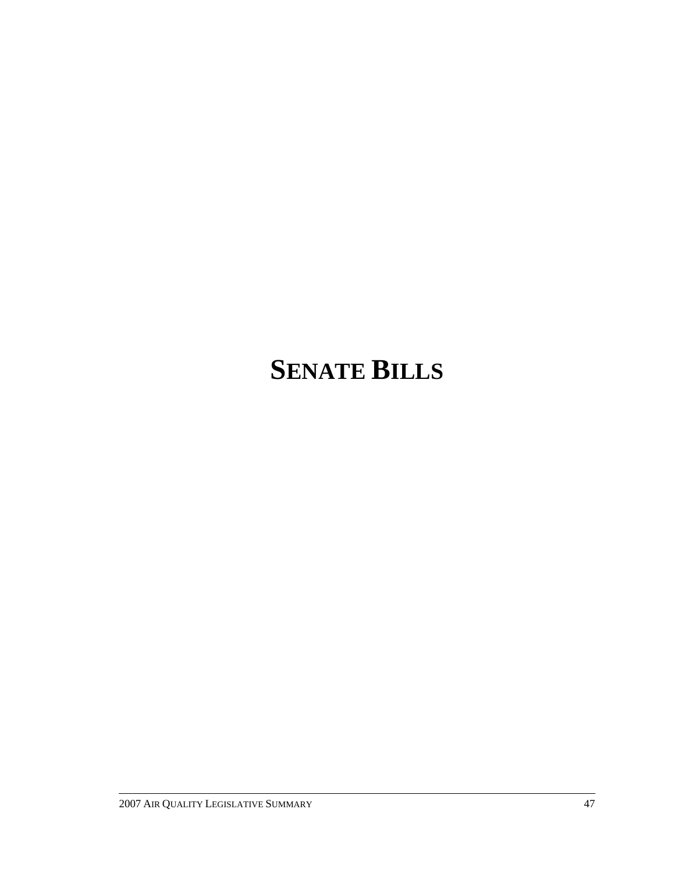# **SENATE BILLS**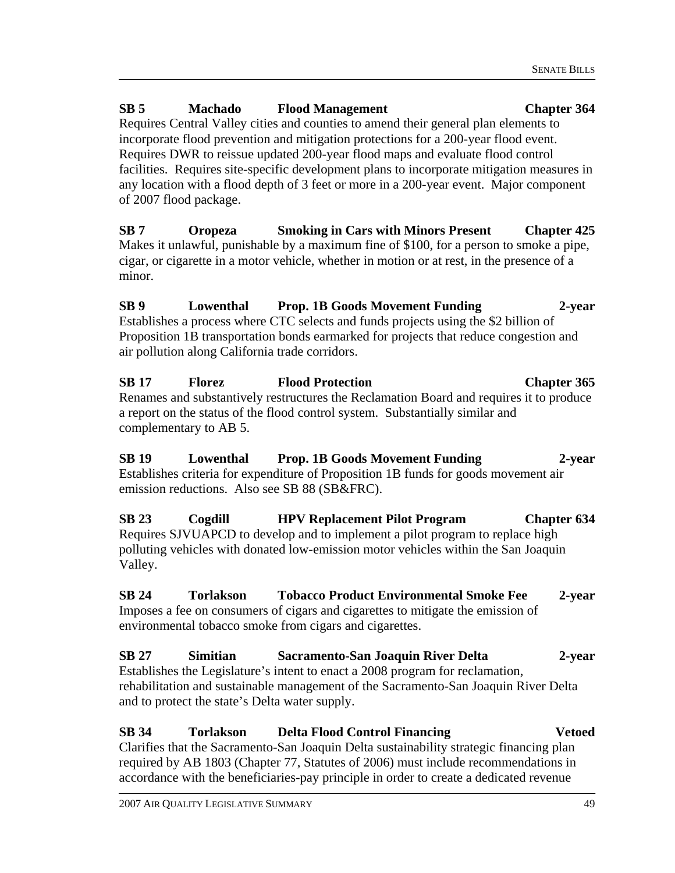# **SB 5 Machado Flood Management Chapter 364**

Requires Central Valley cities and counties to amend their general plan elements to incorporate flood prevention and mitigation protections for a 200-year flood event. Requires DWR to reissue updated 200-year flood maps and evaluate flood control facilities. Requires site-specific development plans to incorporate mitigation measures in any location with a flood depth of 3 feet or more in a 200-year event. Major component of 2007 flood package.

**SB 7 Oropeza Smoking in Cars with Minors Present Chapter 425**  Makes it unlawful, punishable by a maximum fine of \$100, for a person to smoke a pipe, cigar, or cigarette in a motor vehicle, whether in motion or at rest, in the presence of a minor.

**SB 9 Lowenthal Prop. 1B Goods Movement Funding 2-year**  Establishes a process where CTC selects and funds projects using the \$2 billion of Proposition 1B transportation bonds earmarked for projects that reduce congestion and air pollution along California trade corridors.

**SB 17 Florez Flood Protection Chapter 365**  Renames and substantively restructures the Reclamation Board and requires it to produce a report on the status of the flood control system. Substantially similar and complementary to AB 5.

**SB 19 Lowenthal Prop. 1B Goods Movement Funding 2-year**  Establishes criteria for expenditure of Proposition 1B funds for goods movement air emission reductions. Also see SB 88 (SB&FRC).

**SB 23 Cogdill HPV Replacement Pilot Program Chapter 634**  Requires SJVUAPCD to develop and to implement a pilot program to replace high polluting vehicles with donated low-emission motor vehicles within the San Joaquin Valley.

**SB 24 Torlakson Tobacco Product Environmental Smoke Fee 2-year**  Imposes a fee on consumers of cigars and cigarettes to mitigate the emission of environmental tobacco smoke from cigars and cigarettes.

# **SB 27 Simitian Sacramento-San Joaquin River Delta 2-year**  Establishes the Legislature's intent to enact a 2008 program for reclamation, rehabilitation and sustainable management of the Sacramento-San Joaquin River Delta and to protect the state's Delta water supply.

# **SB 34 Torlakson Delta Flood Control Financing Vetoed**

Clarifies that the Sacramento-San Joaquin Delta sustainability strategic financing plan required by AB 1803 (Chapter 77, Statutes of 2006) must include recommendations in accordance with the beneficiaries-pay principle in order to create a dedicated revenue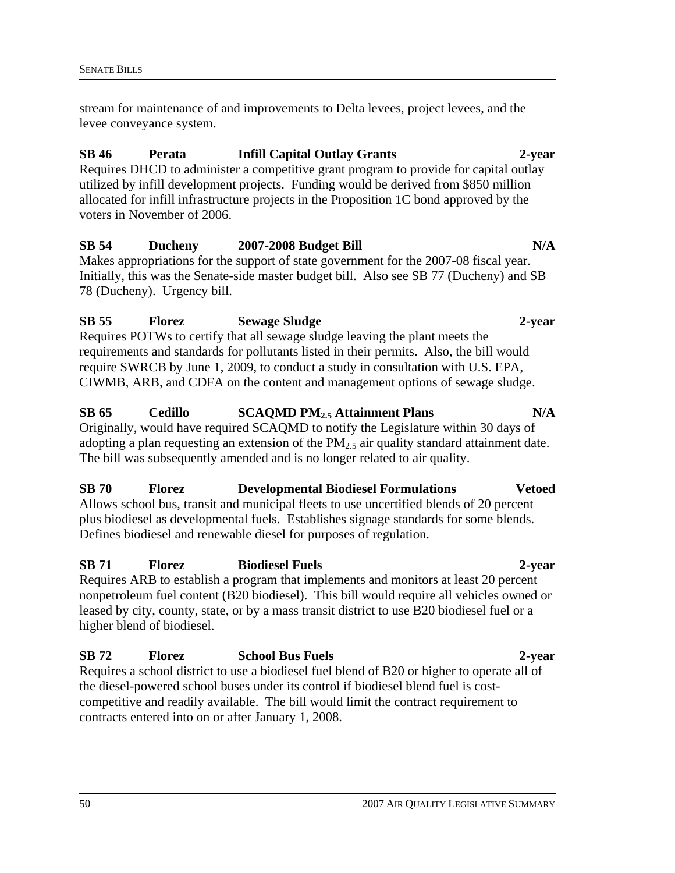stream for maintenance of and improvements to Delta levees, project levees, and the levee conveyance system.

#### **SB 46 Perata Infill Capital Outlay Grants 2-year**

Requires DHCD to administer a competitive grant program to provide for capital outlay utilized by infill development projects. Funding would be derived from \$850 million allocated for infill infrastructure projects in the Proposition 1C bond approved by the voters in November of 2006.

# SB 54 Ducheny 2007-2008 Budget Bill N/A

Makes appropriations for the support of state government for the 2007-08 fiscal year. Initially, this was the Senate-side master budget bill. Also see SB 77 (Ducheny) and SB 78 (Ducheny). Urgency bill.

# **SB 55 Florez Sewage Sludge 2-year**  Requires POTWs to certify that all sewage sludge leaving the plant meets the requirements and standards for pollutants listed in their permits. Also, the bill would

require SWRCB by June 1, 2009, to conduct a study in consultation with U.S. EPA, CIWMB, ARB, and CDFA on the content and management options of sewage sludge.

#### **SB 65 Cedillo SCAQMD PM2.5 Attainment Plans N/A**

Originally, would have required SCAQMD to notify the Legislature within 30 days of adopting a plan requesting an extension of the  $PM<sub>2.5</sub>$  air quality standard attainment date. The bill was subsequently amended and is no longer related to air quality.

#### **SB 70 Florez Developmental Biodiesel Formulations Vetoed**

Allows school bus, transit and municipal fleets to use uncertified blends of 20 percent plus biodiesel as developmental fuels. Establishes signage standards for some blends. Defines biodiesel and renewable diesel for purposes of regulation.

#### **SB 71 Florez Biodiesel Fuels 2-year**

Requires ARB to establish a program that implements and monitors at least 20 percent nonpetroleum fuel content (B20 biodiesel). This bill would require all vehicles owned or leased by city, county, state, or by a mass transit district to use B20 biodiesel fuel or a higher blend of biodiesel.

# **SB 72 Florez School Bus Fuels 2-year**

Requires a school district to use a biodiesel fuel blend of B20 or higher to operate all of the diesel-powered school buses under its control if biodiesel blend fuel is costcompetitive and readily available. The bill would limit the contract requirement to contracts entered into on or after January 1, 2008.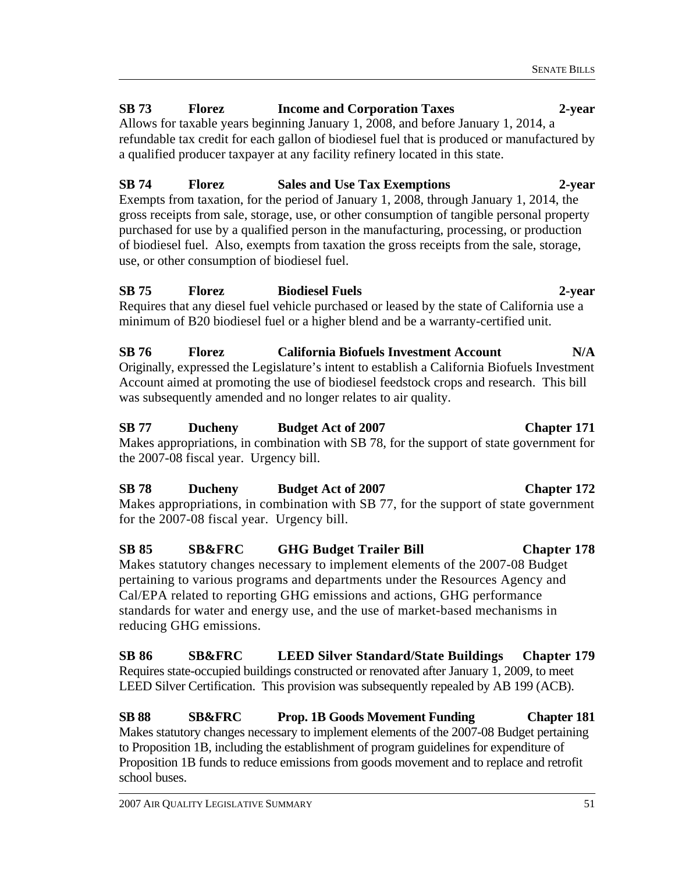# **SB 73 Florez Income and Corporation Taxes 2-year**

Allows for taxable years beginning January 1, 2008, and before January 1, 2014, a refundable tax credit for each gallon of biodiesel fuel that is produced or manufactured by a qualified producer taxpayer at any facility refinery located in this state.

# **SB 74 Florez Sales and Use Tax Exemptions 2-year**

Exempts from taxation, for the period of January 1, 2008, through January 1, 2014, the gross receipts from sale, storage, use, or other consumption of tangible personal property purchased for use by a qualified person in the manufacturing, processing, or production of biodiesel fuel. Also, exempts from taxation the gross receipts from the sale, storage, use, or other consumption of biodiesel fuel.

# **SB 75 Florez Biodiesel Fuels 2-year**

Requires that any diesel fuel vehicle purchased or leased by the state of California use a minimum of B20 biodiesel fuel or a higher blend and be a warranty-certified unit.

**SB 76 Florez California Biofuels Investment Account N/A**  Originally, expressed the Legislature's intent to establish a California Biofuels Investment Account aimed at promoting the use of biodiesel feedstock crops and research. This bill was subsequently amended and no longer relates to air quality.

# **SB 77 Ducheny Budget Act of 2007 Chapter 171**  Makes appropriations, in combination with SB 78, for the support of state government for the 2007-08 fiscal year. Urgency bill.

**SB 78 Ducheny Budget Act of 2007 Chapter 172**  Makes appropriations, in combination with SB 77, for the support of state government for the 2007-08 fiscal year. Urgency bill.

**SB 85 SB&FRC GHG Budget Trailer Bill Chapter 178**  Makes statutory changes necessary to implement elements of the 2007-08 Budget pertaining to various programs and departments under the Resources Agency and Cal/EPA related to reporting GHG emissions and actions, GHG performance standards for water and energy use, and the use of market-based mechanisms in reducing GHG emissions.

**SB 86 SB&FRC LEED Silver Standard/State Buildings Chapter 179**  Requires state-occupied buildings constructed or renovated after January 1, 2009, to meet LEED Silver Certification. This provision was subsequently repealed by AB 199 (ACB).

**SB 88 SB&FRC Prop. 1B Goods Movement Funding Chapter 181**  Makes statutory changes necessary to implement elements of the 2007-08 Budget pertaining to Proposition 1B, including the establishment of program guidelines for expenditure of Proposition 1B funds to reduce emissions from goods movement and to replace and retrofit school buses.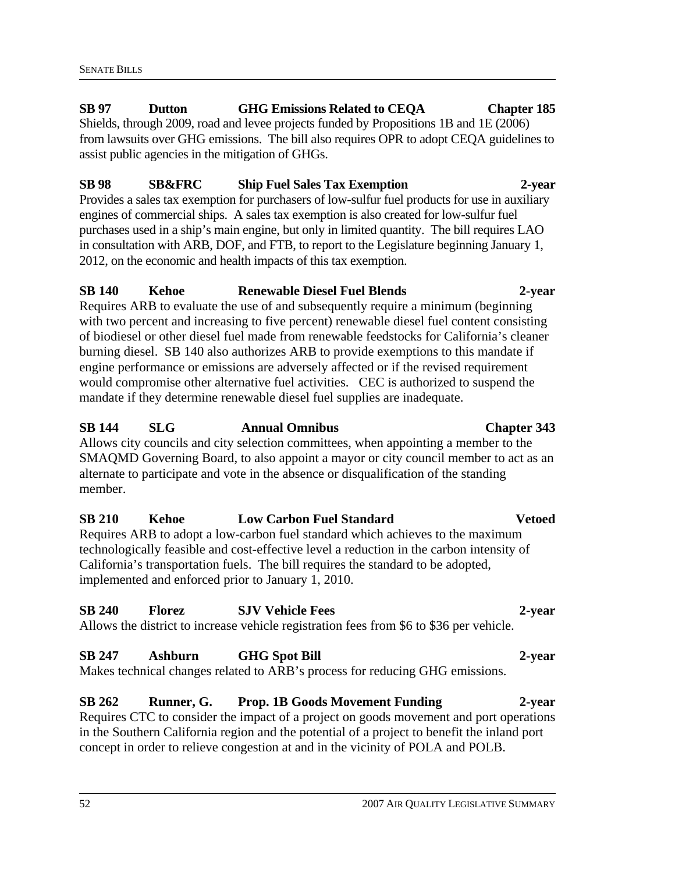# **SB 97 Dutton GHG Emissions Related to CEQA Chapter 185**

Shields, through 2009, road and levee projects funded by Propositions 1B and 1E (2006) from lawsuits over GHG emissions. The bill also requires OPR to adopt CEQA guidelines to assist public agencies in the mitigation of GHGs.

# **SB 98 SB&FRC Ship Fuel Sales Tax Exemption 2-year**

Provides a sales tax exemption for purchasers of low-sulfur fuel products for use in auxiliary engines of commercial ships. A sales tax exemption is also created for low-sulfur fuel purchases used in a ship's main engine, but only in limited quantity. The bill requires LAO in consultation with ARB, DOF, and FTB, to report to the Legislature beginning January 1, 2012, on the economic and health impacts of this tax exemption.

# **SB 140 Kehoe Renewable Diesel Fuel Blends 2-year**

Requires ARB to evaluate the use of and subsequently require a minimum (beginning with two percent and increasing to five percent) renewable diesel fuel content consisting of biodiesel or other diesel fuel made from renewable feedstocks for California's cleaner burning diesel. SB 140 also authorizes ARB to provide exemptions to this mandate if engine performance or emissions are adversely affected or if the revised requirement would compromise other alternative fuel activities. CEC is authorized to suspend the mandate if they determine renewable diesel fuel supplies are inadequate.

# **SB 144 SLG Annual Omnibus Chapter 343**

Allows city councils and city selection committees, when appointing a member to the SMAQMD Governing Board, to also appoint a mayor or city council member to act as an alternate to participate and vote in the absence or disqualification of the standing member.

# **SB 210 Kehoe Low Carbon Fuel Standard Vetoed**

Requires ARB to adopt a low-carbon fuel standard which achieves to the maximum technologically feasible and cost-effective level a reduction in the carbon intensity of California's transportation fuels. The bill requires the standard to be adopted, implemented and enforced prior to January 1, 2010.

# **SB 240 Florez SJV Vehicle Fees 2-year**

Allows the district to increase vehicle registration fees from \$6 to \$36 per vehicle.

# **SB 247 Ashburn GHG Spot Bill 2-year**

Makes technical changes related to ARB's process for reducing GHG emissions.

# **SB 262 Runner, G. Prop. 1B Goods Movement Funding 2-year**

Requires CTC to consider the impact of a project on goods movement and port operations in the Southern California region and the potential of a project to benefit the inland port concept in order to relieve congestion at and in the vicinity of POLA and POLB.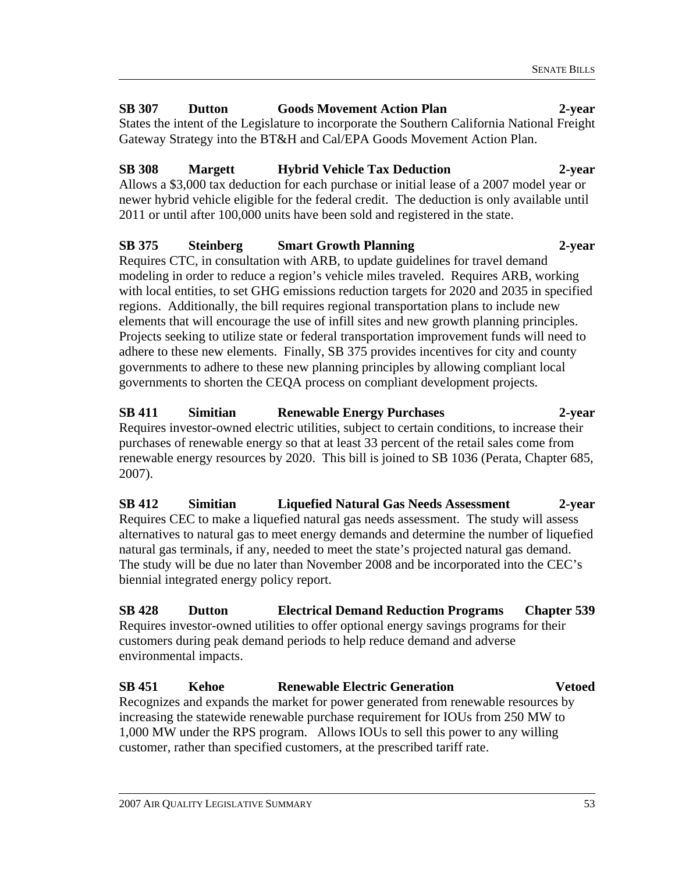# **SB 307 Dutton Goods Movement Action Plan 2-year**

States the intent of the Legislature to incorporate the Southern California National Freight Gateway Strategy into the BT&H and Cal/EPA Goods Movement Action Plan.

# **SB 308 Margett Hybrid Vehicle Tax Deduction 2-year**

Allows a \$3,000 tax deduction for each purchase or initial lease of a 2007 model year or newer hybrid vehicle eligible for the federal credit. The deduction is only available until 2011 or until after 100,000 units have been sold and registered in the state.

# **SB 375 Steinberg Smart Growth Planning 2-year**

Requires CTC, in consultation with ARB, to update guidelines for travel demand modeling in order to reduce a region's vehicle miles traveled. Requires ARB, working with local entities, to set GHG emissions reduction targets for 2020 and 2035 in specified regions. Additionally, the bill requires regional transportation plans to include new elements that will encourage the use of infill sites and new growth planning principles. Projects seeking to utilize state or federal transportation improvement funds will need to adhere to these new elements. Finally, SB 375 provides incentives for city and county governments to adhere to these new planning principles by allowing compliant local governments to shorten the CEQA process on compliant development projects.

# **SB 411 Simitian Renewable Energy Purchases 2-year**  Requires investor-owned electric utilities, subject to certain conditions, to increase their

purchases of renewable energy so that at least 33 percent of the retail sales come from renewable energy resources by 2020. This bill is joined to SB 1036 (Perata, Chapter 685, 2007).

**SB 412 Simitian Liquefied Natural Gas Needs Assessment 2-year**  Requires CEC to make a liquefied natural gas needs assessment. The study will assess alternatives to natural gas to meet energy demands and determine the number of liquefied natural gas terminals, if any, needed to meet the state's projected natural gas demand. The study will be due no later than November 2008 and be incorporated into the CEC's biennial integrated energy policy report.

**SB 428 Dutton Electrical Demand Reduction Programs Chapter 539**  Requires investor-owned utilities to offer optional energy savings programs for their customers during peak demand periods to help reduce demand and adverse environmental impacts.

### **SB 451 Kehoe Renewable Electric Generation Vetoed**  Recognizes and expands the market for power generated from renewable resources by increasing the statewide renewable purchase requirement for IOUs from 250 MW to 1,000 MW under the RPS program. Allows IOUs to sell this power to any willing customer, rather than specified customers, at the prescribed tariff rate.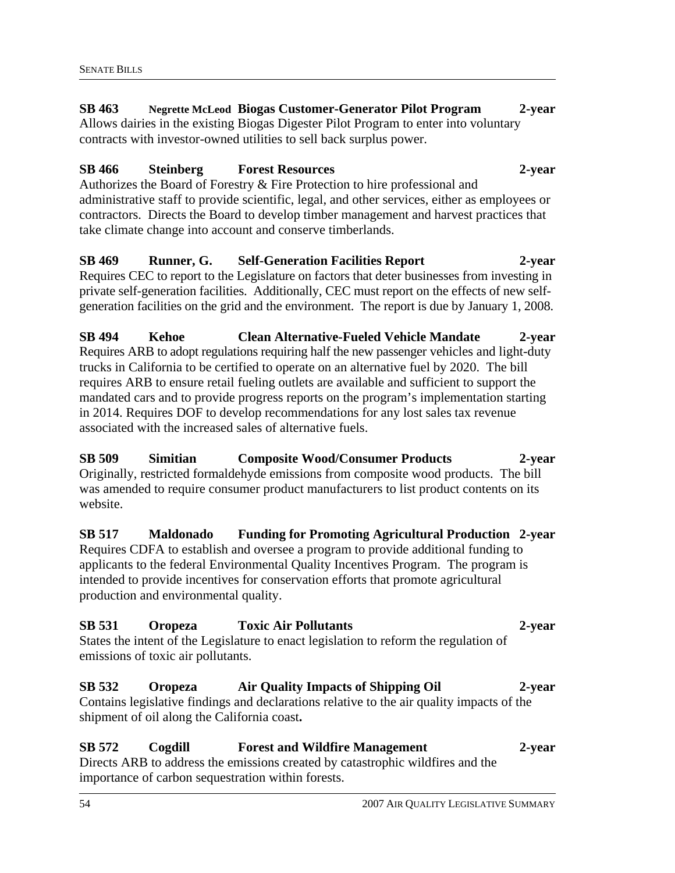#### **SB 463 Negrette McLeod Biogas Customer-Generator Pilot Program 2-year**  Allows dairies in the existing Biogas Digester Pilot Program to enter into voluntary contracts with investor-owned utilities to sell back surplus power.

## **SB 466 Steinberg Forest Resources 2-year**

Authorizes the Board of Forestry & Fire Protection to hire professional and administrative staff to provide scientific, legal, and other services, either as employees or contractors. Directs the Board to develop timber management and harvest practices that take climate change into account and conserve timberlands.

**SB 469 Runner, G. Self-Generation Facilities Report 2-year**  Requires CEC to report to the Legislature on factors that deter businesses from investing in private self-generation facilities. Additionally, CEC must report on the effects of new selfgeneration facilities on the grid and the environment. The report is due by January 1, 2008.

**SB 494 Kehoe Clean Alternative-Fueled Vehicle Mandate 2-year**  Requires ARB to adopt regulations requiring half the new passenger vehicles and light-duty trucks in California to be certified to operate on an alternative fuel by 2020. The bill requires ARB to ensure retail fueling outlets are available and sufficient to support the mandated cars and to provide progress reports on the program's implementation starting in 2014. Requires DOF to develop recommendations for any lost sales tax revenue associated with the increased sales of alternative fuels.

**SB 509 Simitian Composite Wood/Consumer Products 2-year**  Originally, restricted formaldehyde emissions from composite wood products. The bill was amended to require consumer product manufacturers to list product contents on its website.

# **SB 517 Maldonado Funding for Promoting Agricultural Production 2-year**

Requires CDFA to establish and oversee a program to provide additional funding to applicants to the federal Environmental Quality Incentives Program. The program is intended to provide incentives for conservation efforts that promote agricultural production and environmental quality.

# **SB 531 Oropeza Toxic Air Pollutants 2-year**

States the intent of the Legislature to enact legislation to reform the regulation of emissions of toxic air pollutants.

# **SB 532 Oropeza Air Quality Impacts of Shipping Oil 2-year**

Contains legislative findings and declarations relative to the air quality impacts of the shipment of oil along the California coast**.** 

#### **SB 572 Cogdill Forest and Wildfire Management 2-year**  Directs ARB to address the emissions created by catastrophic wildfires and the importance of carbon sequestration within forests.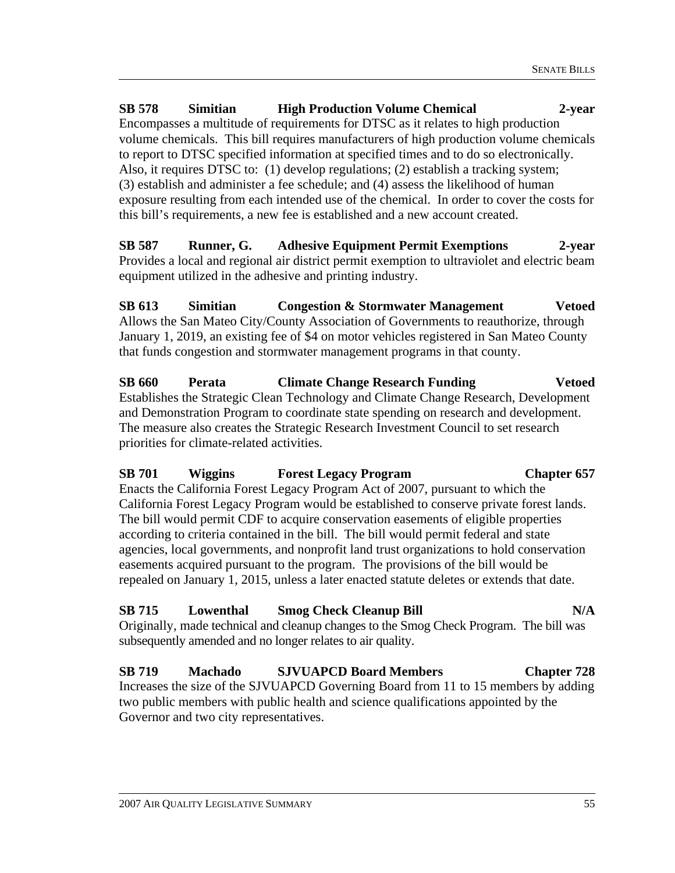**SB 578 Simitian High Production Volume Chemical 2-year**  Encompasses a multitude of requirements for DTSC as it relates to high production volume chemicals. This bill requires manufacturers of high production volume chemicals to report to DTSC specified information at specified times and to do so electronically. Also, it requires DTSC to: (1) develop regulations; (2) establish a tracking system; (3) establish and administer a fee schedule; and (4) assess the likelihood of human exposure resulting from each intended use of the chemical. In order to cover the costs for this bill's requirements, a new fee is established and a new account created.

**SB 587 Runner, G. Adhesive Equipment Permit Exemptions 2-year**  Provides a local and regional air district permit exemption to ultraviolet and electric beam equipment utilized in the adhesive and printing industry.

**SB 613 Simitian Congestion & Stormwater Management Vetoed**  Allows the San Mateo City/County Association of Governments to reauthorize, through January 1, 2019, an existing fee of \$4 on motor vehicles registered in San Mateo County that funds congestion and stormwater management programs in that county.

**SB 660 Perata Climate Change Research Funding Vetoed**  Establishes the Strategic Clean Technology and Climate Change Research, Development and Demonstration Program to coordinate state spending on research and development. The measure also creates the Strategic Research Investment Council to set research priorities for climate-related activities.

**SB 701 Wiggins Forest Legacy Program Chapter 657**  Enacts the California Forest Legacy Program Act of 2007, pursuant to which the California Forest Legacy Program would be established to conserve private forest lands. The bill would permit CDF to acquire conservation easements of eligible properties according to criteria contained in the bill. The bill would permit federal and state agencies, local governments, and nonprofit land trust organizations to hold conservation easements acquired pursuant to the program. The provisions of the bill would be repealed on January 1, 2015, unless a later enacted statute deletes or extends that date.

# **SB 715 Lowenthal Smog Check Cleanup Bill N/A**

Originally, made technical and cleanup changes to the Smog Check Program. The bill was subsequently amended and no longer relates to air quality.

**SB 719 Machado SJVUAPCD Board Members Chapter 728**  Increases the size of the SJVUAPCD Governing Board from 11 to 15 members by adding two public members with public health and science qualifications appointed by the Governor and two city representatives.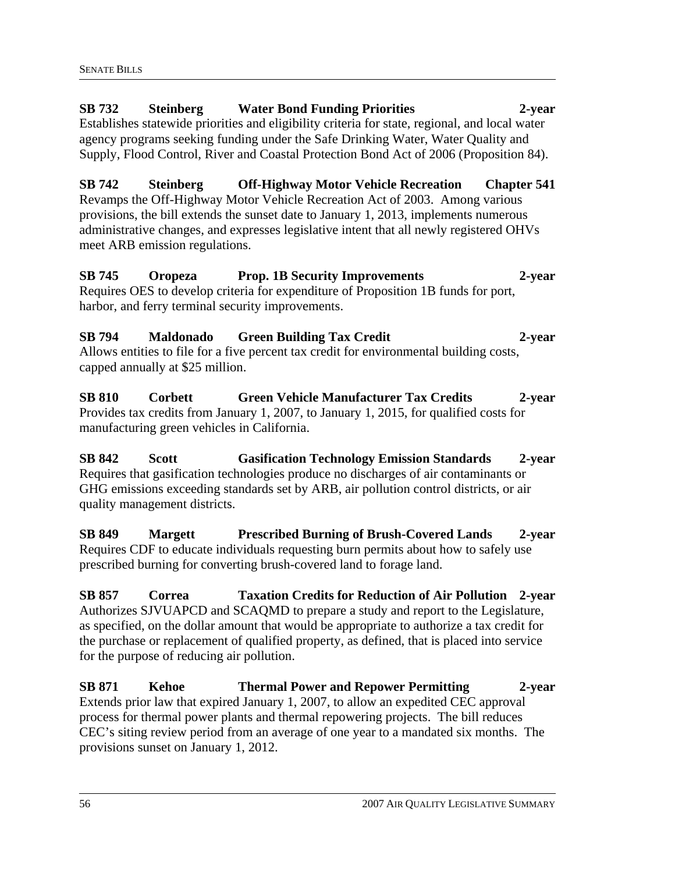# **SB 732 Steinberg Water Bond Funding Priorities 2-year**  Establishes statewide priorities and eligibility criteria for state, regional, and local water agency programs seeking funding under the Safe Drinking Water, Water Quality and Supply, Flood Control, River and Coastal Protection Bond Act of 2006 (Proposition 84). **SB 742 Steinberg Off-Highway Motor Vehicle Recreation Chapter 541**  Revamps the Off-Highway Motor Vehicle Recreation Act of 2003. Among various

provisions, the bill extends the sunset date to January 1, 2013, implements numerous administrative changes, and expresses legislative intent that all newly registered OHVs meet ARB emission regulations.

# **SB 745 Oropeza Prop. 1B Security Improvements 2-year**  Requires OES to develop criteria for expenditure of Proposition 1B funds for port, harbor, and ferry terminal security improvements.

# **SB 794 Maldonado Green Building Tax Credit 2-year**  Allows entities to file for a five percent tax credit for environmental building costs, capped annually at \$25 million.

**SB 810 Corbett Green Vehicle Manufacturer Tax Credits 2-year**  Provides tax credits from January 1, 2007, to January 1, 2015, for qualified costs for manufacturing green vehicles in California.

**SB 842 Scott Gasification Technology Emission Standards 2-year**  Requires that gasification technologies produce no discharges of air contaminants or GHG emissions exceeding standards set by ARB, air pollution control districts, or air quality management districts.

**SB 849 Margett Prescribed Burning of Brush-Covered Lands 2-year**  Requires CDF to educate individuals requesting burn permits about how to safely use prescribed burning for converting brush-covered land to forage land.

**SB 857 Correa Taxation Credits for Reduction of Air Pollution 2-year**  Authorizes SJVUAPCD and SCAQMD to prepare a study and report to the Legislature, as specified, on the dollar amount that would be appropriate to authorize a tax credit for the purchase or replacement of qualified property, as defined, that is placed into service for the purpose of reducing air pollution.

**SB 871 Kehoe Thermal Power and Repower Permitting 2-year**  Extends prior law that expired January 1, 2007, to allow an expedited CEC approval process for thermal power plants and thermal repowering projects. The bill reduces CEC's siting review period from an average of one year to a mandated six months. The provisions sunset on January 1, 2012.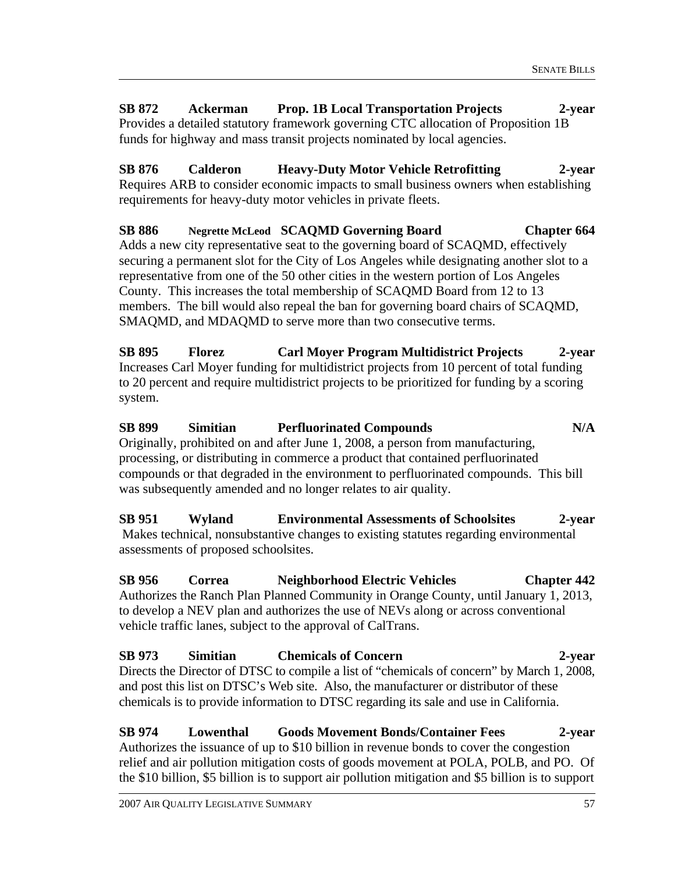**SB 872 Ackerman Prop. 1B Local Transportation Projects 2-year**  Provides a detailed statutory framework governing CTC allocation of Proposition 1B funds for highway and mass transit projects nominated by local agencies.

**SB 876 Calderon Heavy-Duty Motor Vehicle Retrofitting 2-year**  Requires ARB to consider economic impacts to small business owners when establishing requirements for heavy-duty motor vehicles in private fleets.

SB 886 Negrette McLeod SCAQMD Governing Board Chapter 664 Adds a new city representative seat to the governing board of SCAQMD, effectively securing a permanent slot for the City of Los Angeles while designating another slot to a representative from one of the 50 other cities in the western portion of Los Angeles County. This increases the total membership of SCAQMD Board from 12 to 13 members. The bill would also repeal the ban for governing board chairs of SCAQMD, SMAQMD, and MDAQMD to serve more than two consecutive terms.

**SB 895 Florez Carl Moyer Program Multidistrict Projects 2-year**  Increases Carl Moyer funding for multidistrict projects from 10 percent of total funding to 20 percent and require multidistrict projects to be prioritized for funding by a scoring system.

**SB 899 Simitian Perfluorinated Compounds N/A**  Originally, prohibited on and after June 1, 2008, a person from manufacturing, processing, or distributing in commerce a product that contained perfluorinated compounds or that degraded in the environment to perfluorinated compounds. This bill was subsequently amended and no longer relates to air quality.

**SB 951 Wyland Environmental Assessments of Schoolsites 2-year**  Makes technical, nonsubstantive changes to existing statutes regarding environmental assessments of proposed schoolsites.

**SB 956 Correa Neighborhood Electric Vehicles Chapter 442**  Authorizes the Ranch Plan Planned Community in Orange County, until January 1, 2013, to develop a NEV plan and authorizes the use of NEVs along or across conventional vehicle traffic lanes, subject to the approval of CalTrans.

**SB 973 Simitian Chemicals of Concern 2-year**  Directs the Director of DTSC to compile a list of "chemicals of concern" by March 1, 2008, and post this list on DTSC's Web site. Also, the manufacturer or distributor of these chemicals is to provide information to DTSC regarding its sale and use in California.

**SB 974 Lowenthal Goods Movement Bonds/Container Fees 2-year**  Authorizes the issuance of up to \$10 billion in revenue bonds to cover the congestion relief and air pollution mitigation costs of goods movement at POLA, POLB, and PO. Of the \$10 billion, \$5 billion is to support air pollution mitigation and \$5 billion is to support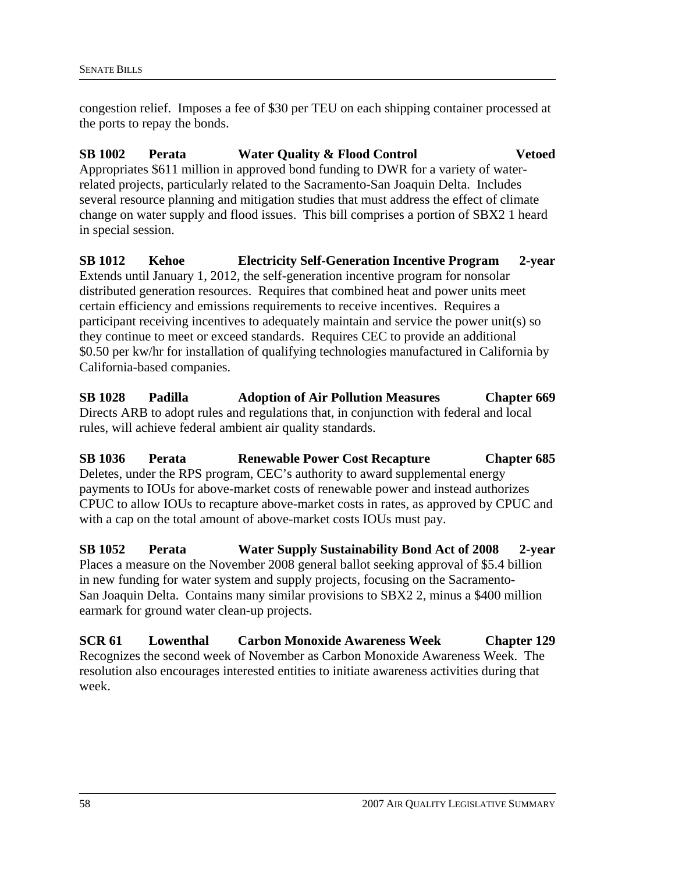congestion relief. Imposes a fee of \$30 per TEU on each shipping container processed at the ports to repay the bonds.

# **SB 1002 Perata Water Quality & Flood Control Vetoed**

Appropriates \$611 million in approved bond funding to DWR for a variety of waterrelated projects, particularly related to the Sacramento-San Joaquin Delta. Includes several resource planning and mitigation studies that must address the effect of climate change on water supply and flood issues. This bill comprises a portion of SBX2 1 heard in special session.

**SB 1012 Kehoe Electricity Self-Generation Incentive Program 2-year**  Extends until January 1, 2012, the self-generation incentive program for nonsolar distributed generation resources. Requires that combined heat and power units meet certain efficiency and emissions requirements to receive incentives. Requires a participant receiving incentives to adequately maintain and service the power unit(s) so they continue to meet or exceed standards. Requires CEC to provide an additional \$0.50 per kw/hr for installation of qualifying technologies manufactured in California by California-based companies.

**SB 1028 Padilla Adoption of Air Pollution Measures Chapter 669**  Directs ARB to adopt rules and regulations that, in conjunction with federal and local rules, will achieve federal ambient air quality standards.

**SB 1036 Perata Renewable Power Cost Recapture Chapter 685**  Deletes, under the RPS program, CEC's authority to award supplemental energy payments to IOUs for above-market costs of renewable power and instead authorizes CPUC to allow IOUs to recapture above-market costs in rates, as approved by CPUC and with a cap on the total amount of above-market costs IOUs must pay.

**SB 1052 Perata Water Supply Sustainability Bond Act of 2008 2-year**  Places a measure on the November 2008 general ballot seeking approval of \$5.4 billion in new funding for water system and supply projects, focusing on the Sacramento-San Joaquin Delta. Contains many similar provisions to SBX2 2, minus a \$400 million earmark for ground water clean-up projects.

**SCR 61 Lowenthal Carbon Monoxide Awareness Week Chapter 129**  Recognizes the second week of November as Carbon Monoxide Awareness Week. The resolution also encourages interested entities to initiate awareness activities during that week.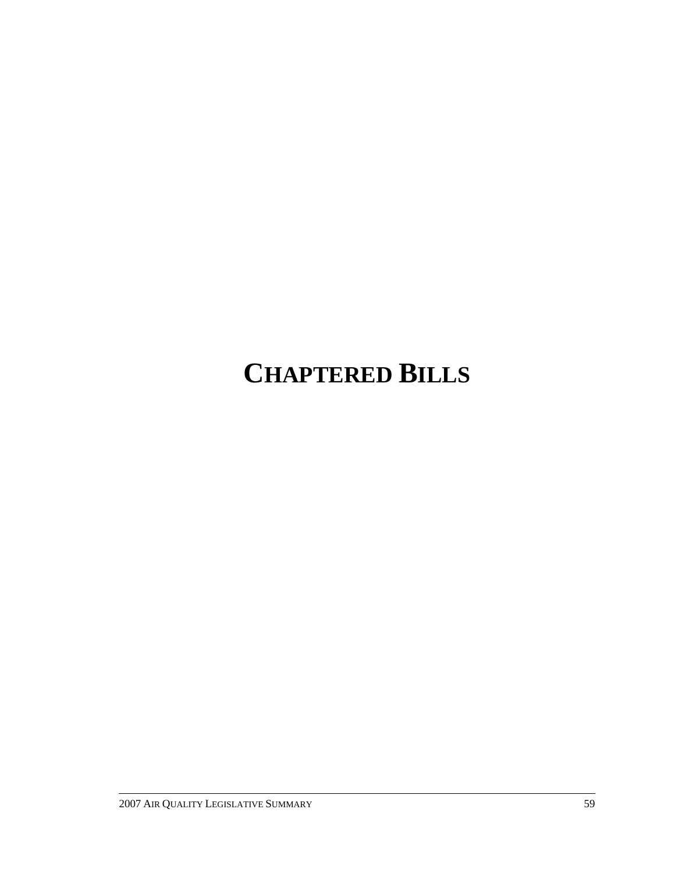# **CHAPTERED BILLS**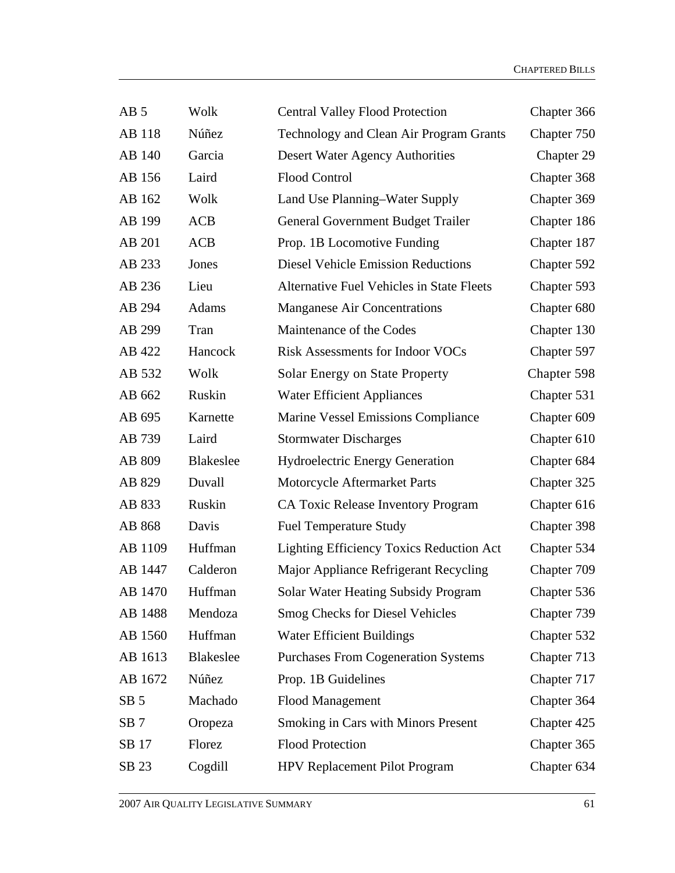| AB <sub>5</sub> | Wolk             | <b>Central Valley Flood Protection</b>           | Chapter 366 |
|-----------------|------------------|--------------------------------------------------|-------------|
| AB 118          | Núñez            | Technology and Clean Air Program Grants          | Chapter 750 |
| AB 140          | Garcia           | Desert Water Agency Authorities                  | Chapter 29  |
| AB 156          | Laird            | <b>Flood Control</b>                             | Chapter 368 |
| AB 162          | Wolk             | Land Use Planning-Water Supply                   | Chapter 369 |
| AB 199          | <b>ACB</b>       | General Government Budget Trailer                | Chapter 186 |
| AB 201          | <b>ACB</b>       | Prop. 1B Locomotive Funding                      | Chapter 187 |
| AB 233          | Jones            | <b>Diesel Vehicle Emission Reductions</b>        | Chapter 592 |
| AB 236          | Lieu             | <b>Alternative Fuel Vehicles in State Fleets</b> | Chapter 593 |
| AB 294          | Adams            | <b>Manganese Air Concentrations</b>              | Chapter 680 |
| AB 299          | Tran             | Maintenance of the Codes                         | Chapter 130 |
| AB 422          | Hancock          | <b>Risk Assessments for Indoor VOCs</b>          | Chapter 597 |
| AB 532          | Wolk             | Solar Energy on State Property                   | Chapter 598 |
| AB 662          | Ruskin           | <b>Water Efficient Appliances</b>                | Chapter 531 |
| AB 695          | Karnette         | Marine Vessel Emissions Compliance               | Chapter 609 |
| AB 739          | Laird            | <b>Stormwater Discharges</b>                     | Chapter 610 |
| AB 809          | <b>Blakeslee</b> | <b>Hydroelectric Energy Generation</b>           | Chapter 684 |
| AB 829          | Duvall           | Motorcycle Aftermarket Parts                     | Chapter 325 |
| AB 833          | Ruskin           | CA Toxic Release Inventory Program               | Chapter 616 |
| AB 868          | Davis            | <b>Fuel Temperature Study</b>                    | Chapter 398 |
| AB 1109         | Huffman          | <b>Lighting Efficiency Toxics Reduction Act</b>  | Chapter 534 |
| AB 1447         | Calderon         | Major Appliance Refrigerant Recycling            | Chapter 709 |
| AB 1470         | Huffman          | Solar Water Heating Subsidy Program              | Chapter 536 |
| AB 1488         | Mendoza          | <b>Smog Checks for Diesel Vehicles</b>           | Chapter 739 |
| AB 1560         | Huffman          | <b>Water Efficient Buildings</b>                 | Chapter 532 |
| AB 1613         | <b>Blakeslee</b> | <b>Purchases From Cogeneration Systems</b>       | Chapter 713 |
| AB 1672         | Núñez            | Prop. 1B Guidelines                              | Chapter 717 |
| SB <sub>5</sub> | Machado          | <b>Flood Management</b>                          | Chapter 364 |
| SB <sub>7</sub> | Oropeza          | <b>Smoking in Cars with Minors Present</b>       | Chapter 425 |
| SB 17           | Florez           | <b>Flood Protection</b>                          | Chapter 365 |
| SB 23           | Cogdill          | HPV Replacement Pilot Program                    | Chapter 634 |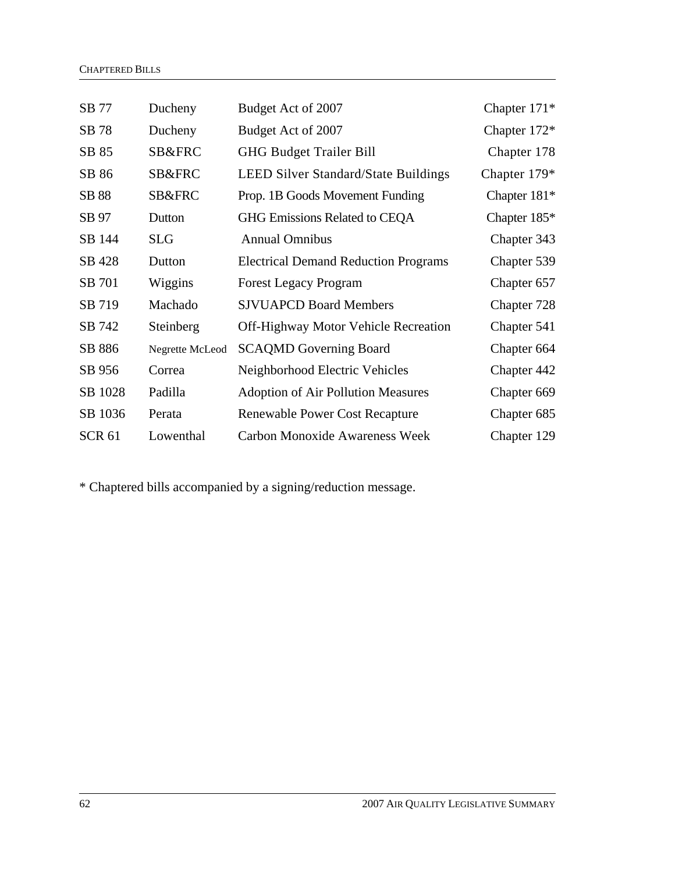| SB 77         | Ducheny         | Budget Act of 2007                          | Chapter $171*$ |
|---------------|-----------------|---------------------------------------------|----------------|
| SB 78         | Ducheny         | Budget Act of 2007                          | Chapter 172*   |
| SB 85         | SB&FRC          | <b>GHG Budget Trailer Bill</b>              | Chapter 178    |
| SB 86         | SB&FRC          | <b>LEED Silver Standard/State Buildings</b> | Chapter $179*$ |
| SB 88         | SB&FRC          | Prop. 1B Goods Movement Funding             | Chapter $181*$ |
| SB 97         | Dutton          | GHG Emissions Related to CEQA               | Chapter $185*$ |
| SB 144        | <b>SLG</b>      | <b>Annual Omnibus</b>                       | Chapter 343    |
| SB 428        | Dutton          | <b>Electrical Demand Reduction Programs</b> | Chapter 539    |
| SB 701        | Wiggins         | <b>Forest Legacy Program</b>                | Chapter 657    |
| SB 719        | Machado         | <b>SJVUAPCD Board Members</b>               | Chapter 728    |
| SB 742        | Steinberg       | <b>Off-Highway Motor Vehicle Recreation</b> | Chapter 541    |
| SB 886        | Negrette McLeod | <b>SCAQMD Governing Board</b>               | Chapter 664    |
| SB 956        | Correa          | Neighborhood Electric Vehicles              | Chapter 442    |
| SB 1028       | Padilla         | <b>Adoption of Air Pollution Measures</b>   | Chapter 669    |
| SB 1036       | Perata          | <b>Renewable Power Cost Recapture</b>       | Chapter 685    |
| <b>SCR 61</b> | Lowenthal       | <b>Carbon Monoxide Awareness Week</b>       | Chapter 129    |

\* Chaptered bills accompanied by a signing/reduction message.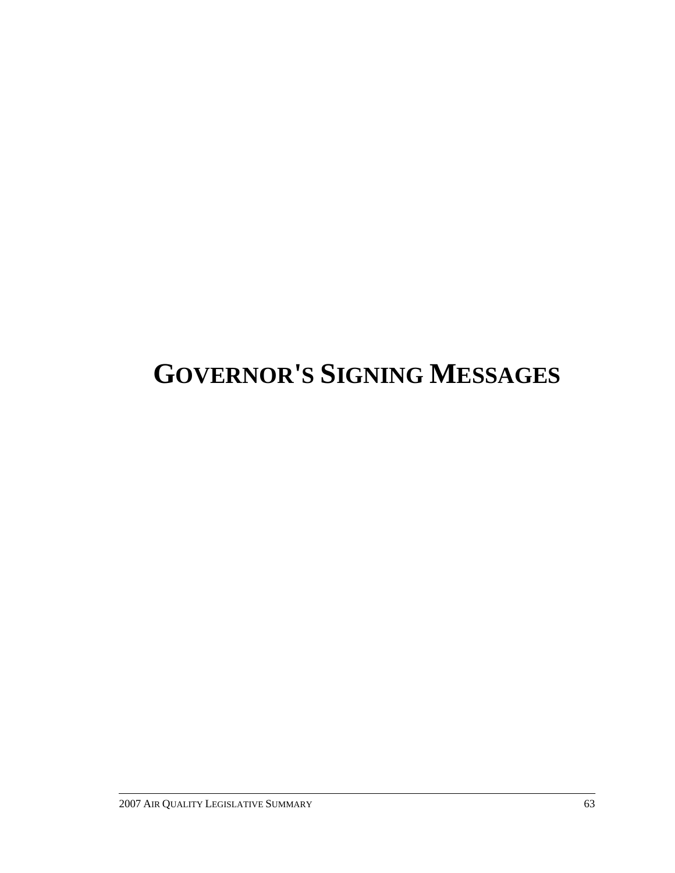# **GOVERNOR'S SIGNING MESSAGES**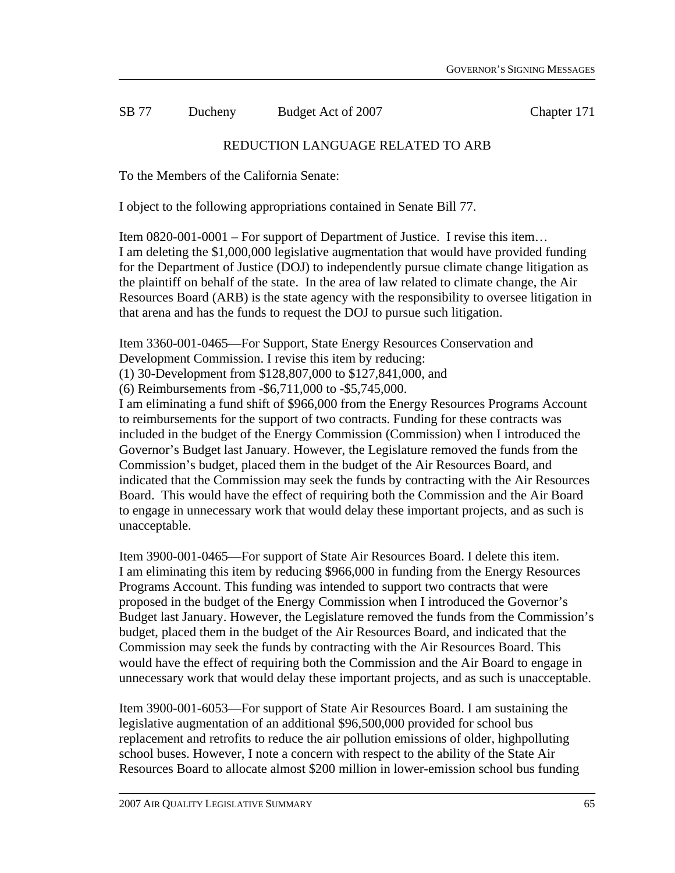SB 77 Ducheny Budget Act of 2007 Chapter 171

# REDUCTION LANGUAGE RELATED TO ARB

To the Members of the California Senate:

I object to the following appropriations contained in Senate Bill 77.

Item 0820-001-0001 – For support of Department of Justice. I revise this item… I am deleting the \$1,000,000 legislative augmentation that would have provided funding for the Department of Justice (DOJ) to independently pursue climate change litigation as the plaintiff on behalf of the state. In the area of law related to climate change, the Air Resources Board (ARB) is the state agency with the responsibility to oversee litigation in that arena and has the funds to request the DOJ to pursue such litigation.

Item 3360-001-0465—For Support, State Energy Resources Conservation and Development Commission. I revise this item by reducing:

(1) 30-Development from \$128,807,000 to \$127,841,000, and

(6) Reimbursements from -\$6,711,000 to -\$5,745,000.

I am eliminating a fund shift of \$966,000 from the Energy Resources Programs Account to reimbursements for the support of two contracts. Funding for these contracts was included in the budget of the Energy Commission (Commission) when I introduced the Governor's Budget last January. However, the Legislature removed the funds from the Commission's budget, placed them in the budget of the Air Resources Board, and indicated that the Commission may seek the funds by contracting with the Air Resources Board. This would have the effect of requiring both the Commission and the Air Board to engage in unnecessary work that would delay these important projects, and as such is unacceptable.

Item 3900-001-0465—For support of State Air Resources Board. I delete this item. I am eliminating this item by reducing \$966,000 in funding from the Energy Resources Programs Account. This funding was intended to support two contracts that were proposed in the budget of the Energy Commission when I introduced the Governor's Budget last January. However, the Legislature removed the funds from the Commission's budget, placed them in the budget of the Air Resources Board, and indicated that the Commission may seek the funds by contracting with the Air Resources Board. This would have the effect of requiring both the Commission and the Air Board to engage in unnecessary work that would delay these important projects, and as such is unacceptable.

Item 3900-001-6053—For support of State Air Resources Board. I am sustaining the legislative augmentation of an additional \$96,500,000 provided for school bus replacement and retrofits to reduce the air pollution emissions of older, highpolluting school buses. However, I note a concern with respect to the ability of the State Air Resources Board to allocate almost \$200 million in lower-emission school bus funding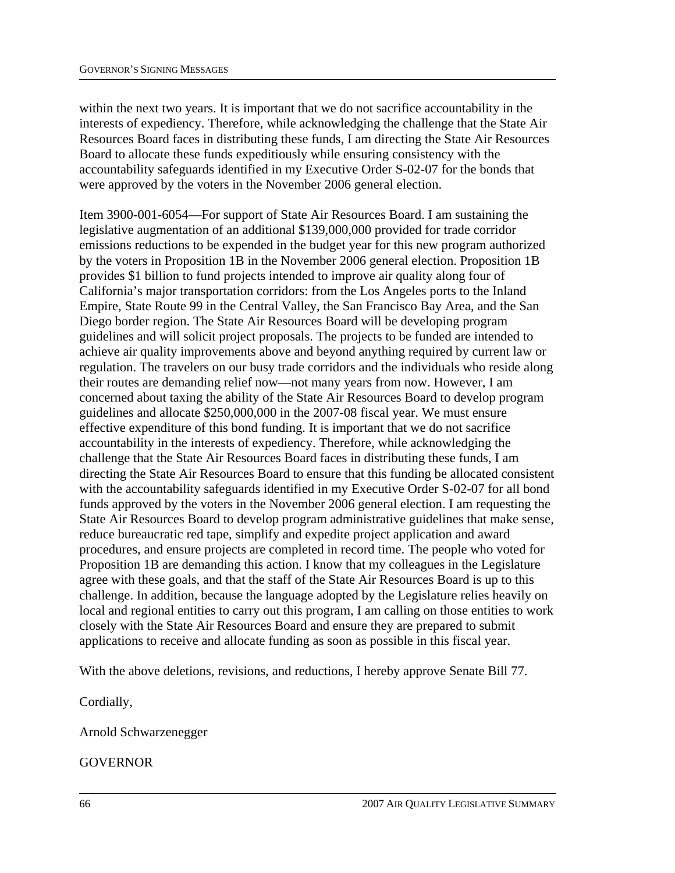within the next two years. It is important that we do not sacrifice accountability in the interests of expediency. Therefore, while acknowledging the challenge that the State Air Resources Board faces in distributing these funds, I am directing the State Air Resources Board to allocate these funds expeditiously while ensuring consistency with the accountability safeguards identified in my Executive Order S-02-07 for the bonds that were approved by the voters in the November 2006 general election.

Item 3900-001-6054—For support of State Air Resources Board. I am sustaining the legislative augmentation of an additional \$139,000,000 provided for trade corridor emissions reductions to be expended in the budget year for this new program authorized by the voters in Proposition 1B in the November 2006 general election. Proposition 1B provides \$1 billion to fund projects intended to improve air quality along four of California's major transportation corridors: from the Los Angeles ports to the Inland Empire, State Route 99 in the Central Valley, the San Francisco Bay Area, and the San Diego border region. The State Air Resources Board will be developing program guidelines and will solicit project proposals. The projects to be funded are intended to achieve air quality improvements above and beyond anything required by current law or regulation. The travelers on our busy trade corridors and the individuals who reside along their routes are demanding relief now—not many years from now. However, I am concerned about taxing the ability of the State Air Resources Board to develop program guidelines and allocate \$250,000,000 in the 2007-08 fiscal year. We must ensure effective expenditure of this bond funding. It is important that we do not sacrifice accountability in the interests of expediency. Therefore, while acknowledging the challenge that the State Air Resources Board faces in distributing these funds, I am directing the State Air Resources Board to ensure that this funding be allocated consistent with the accountability safeguards identified in my Executive Order S-02-07 for all bond funds approved by the voters in the November 2006 general election. I am requesting the State Air Resources Board to develop program administrative guidelines that make sense, reduce bureaucratic red tape, simplify and expedite project application and award procedures, and ensure projects are completed in record time. The people who voted for Proposition 1B are demanding this action. I know that my colleagues in the Legislature agree with these goals, and that the staff of the State Air Resources Board is up to this challenge. In addition, because the language adopted by the Legislature relies heavily on local and regional entities to carry out this program, I am calling on those entities to work closely with the State Air Resources Board and ensure they are prepared to submit applications to receive and allocate funding as soon as possible in this fiscal year.

With the above deletions, revisions, and reductions, I hereby approve Senate Bill 77.

Cordially,

Arnold Schwarzenegger

GOVERNOR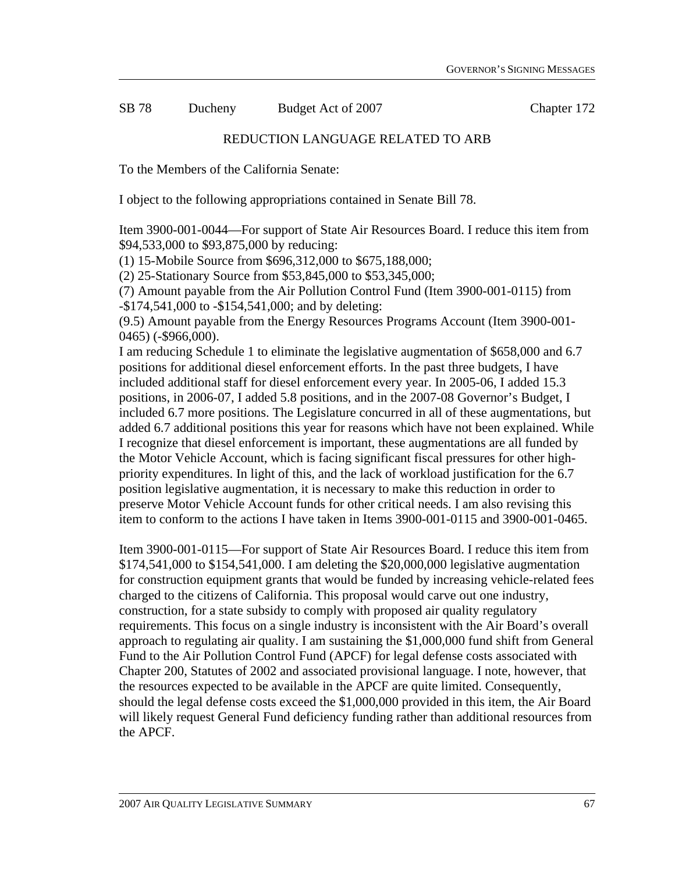SB 78 Ducheny Budget Act of 2007 Chapter 172

#### REDUCTION LANGUAGE RELATED TO ARB

To the Members of the California Senate:

I object to the following appropriations contained in Senate Bill 78.

Item 3900-001-0044—For support of State Air Resources Board. I reduce this item from \$94,533,000 to \$93,875,000 by reducing:

(1) 15-Mobile Source from \$696,312,000 to \$675,188,000;

(2) 25-Stationary Source from \$53,845,000 to \$53,345,000;

(7) Amount payable from the Air Pollution Control Fund (Item 3900-001-0115) from -\$174,541,000 to -\$154,541,000; and by deleting:

(9.5) Amount payable from the Energy Resources Programs Account (Item 3900-001- 0465) (-\$966,000).

I am reducing Schedule 1 to eliminate the legislative augmentation of \$658,000 and 6.7 positions for additional diesel enforcement efforts. In the past three budgets, I have included additional staff for diesel enforcement every year. In 2005-06, I added 15.3 positions, in 2006-07, I added 5.8 positions, and in the 2007-08 Governor's Budget, I included 6.7 more positions. The Legislature concurred in all of these augmentations, but added 6.7 additional positions this year for reasons which have not been explained. While I recognize that diesel enforcement is important, these augmentations are all funded by the Motor Vehicle Account, which is facing significant fiscal pressures for other highpriority expenditures. In light of this, and the lack of workload justification for the 6.7 position legislative augmentation, it is necessary to make this reduction in order to preserve Motor Vehicle Account funds for other critical needs. I am also revising this item to conform to the actions I have taken in Items 3900-001-0115 and 3900-001-0465.

Item 3900-001-0115—For support of State Air Resources Board. I reduce this item from \$174,541,000 to \$154,541,000. I am deleting the \$20,000,000 legislative augmentation for construction equipment grants that would be funded by increasing vehicle-related fees charged to the citizens of California. This proposal would carve out one industry, construction, for a state subsidy to comply with proposed air quality regulatory requirements. This focus on a single industry is inconsistent with the Air Board's overall approach to regulating air quality. I am sustaining the \$1,000,000 fund shift from General Fund to the Air Pollution Control Fund (APCF) for legal defense costs associated with Chapter 200, Statutes of 2002 and associated provisional language. I note, however, that the resources expected to be available in the APCF are quite limited. Consequently, should the legal defense costs exceed the \$1,000,000 provided in this item, the Air Board will likely request General Fund deficiency funding rather than additional resources from the APCF.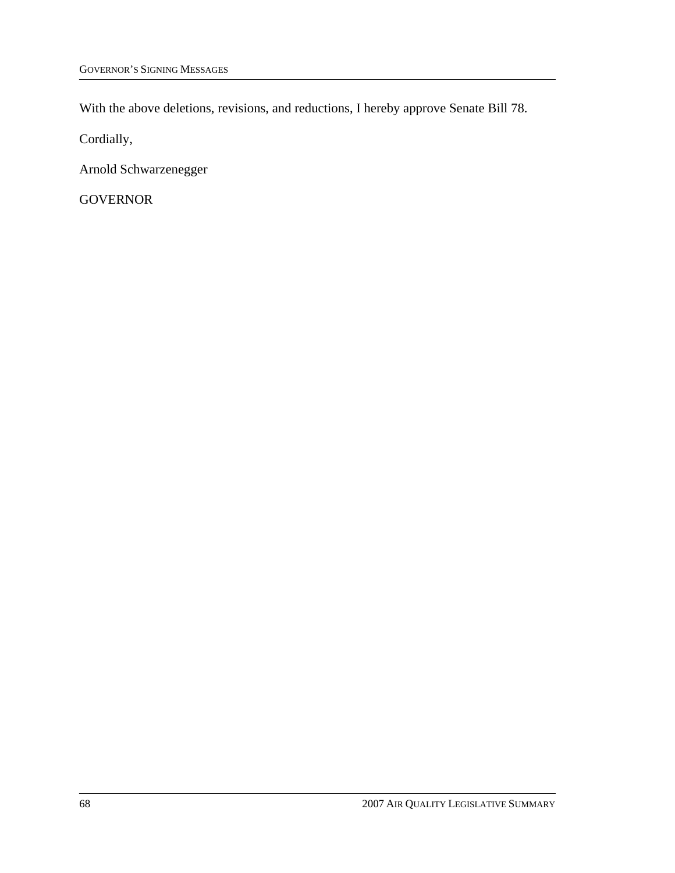With the above deletions, revisions, and reductions, I hereby approve Senate Bill 78.

Cordially,

Arnold Schwarzenegger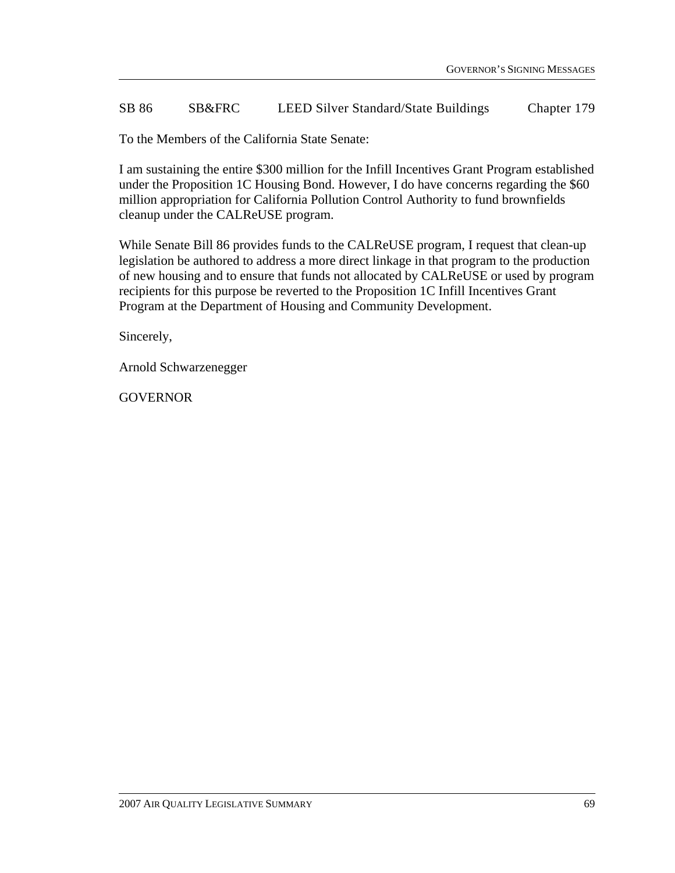#### SB 86 SB&FRC LEED Silver Standard/State Buildings Chapter 179

To the Members of the California State Senate:

I am sustaining the entire \$300 million for the Infill Incentives Grant Program established under the Proposition 1C Housing Bond. However, I do have concerns regarding the \$60 million appropriation for California Pollution Control Authority to fund brownfields cleanup under the CALReUSE program.

While Senate Bill 86 provides funds to the CALReUSE program, I request that clean-up legislation be authored to address a more direct linkage in that program to the production of new housing and to ensure that funds not allocated by CALReUSE or used by program recipients for this purpose be reverted to the Proposition 1C Infill Incentives Grant Program at the Department of Housing and Community Development.

Sincerely,

Arnold Schwarzenegger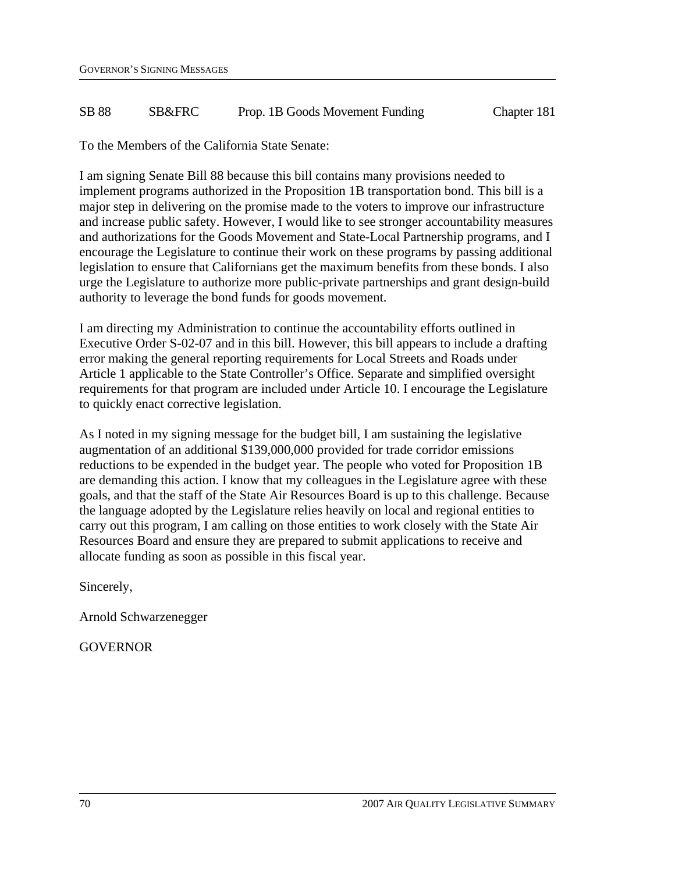#### SB 88 SB&FRC Prop. 1B Goods Movement Funding Chapter 181

To the Members of the California State Senate:

I am signing Senate Bill 88 because this bill contains many provisions needed to implement programs authorized in the Proposition 1B transportation bond. This bill is a major step in delivering on the promise made to the voters to improve our infrastructure and increase public safety. However, I would like to see stronger accountability measures and authorizations for the Goods Movement and State-Local Partnership programs, and I encourage the Legislature to continue their work on these programs by passing additional legislation to ensure that Californians get the maximum benefits from these bonds. I also urge the Legislature to authorize more public-private partnerships and grant design-build authority to leverage the bond funds for goods movement.

I am directing my Administration to continue the accountability efforts outlined in Executive Order S-02-07 and in this bill. However, this bill appears to include a drafting error making the general reporting requirements for Local Streets and Roads under Article 1 applicable to the State Controller's Office. Separate and simplified oversight requirements for that program are included under Article 10. I encourage the Legislature to quickly enact corrective legislation.

As I noted in my signing message for the budget bill, I am sustaining the legislative augmentation of an additional \$139,000,000 provided for trade corridor emissions reductions to be expended in the budget year. The people who voted for Proposition 1B are demanding this action. I know that my colleagues in the Legislature agree with these goals, and that the staff of the State Air Resources Board is up to this challenge. Because the language adopted by the Legislature relies heavily on local and regional entities to carry out this program, I am calling on those entities to work closely with the State Air Resources Board and ensure they are prepared to submit applications to receive and allocate funding as soon as possible in this fiscal year.

Sincerely,

Arnold Schwarzenegger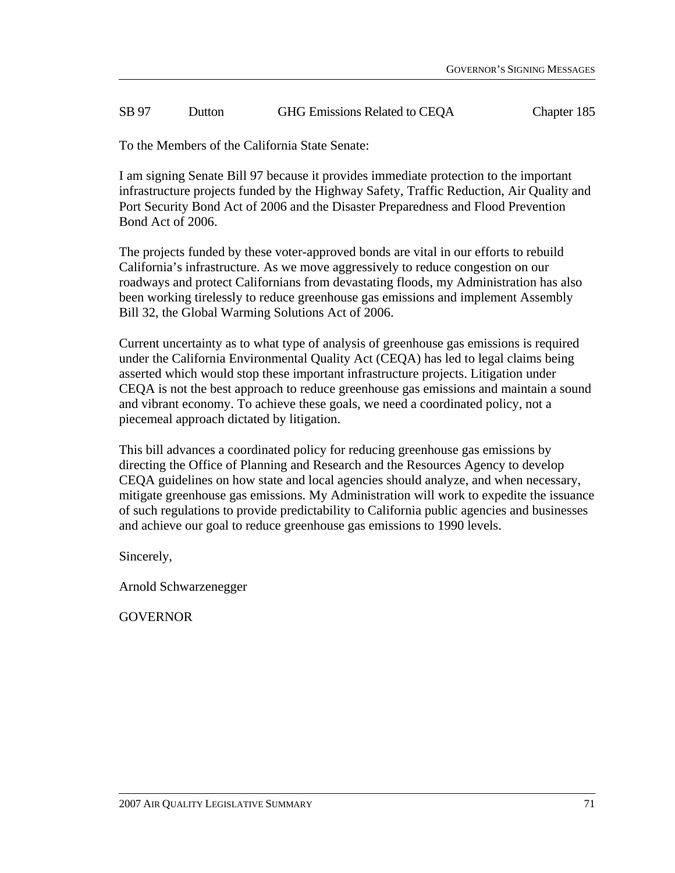#### SB 97 Dutton GHG Emissions Related to CEQA Chapter 185

To the Members of the California State Senate:

I am signing Senate Bill 97 because it provides immediate protection to the important infrastructure projects funded by the Highway Safety, Traffic Reduction, Air Quality and Port Security Bond Act of 2006 and the Disaster Preparedness and Flood Prevention Bond Act of 2006.

The projects funded by these voter-approved bonds are vital in our efforts to rebuild California's infrastructure. As we move aggressively to reduce congestion on our roadways and protect Californians from devastating floods, my Administration has also been working tirelessly to reduce greenhouse gas emissions and implement Assembly Bill 32, the Global Warming Solutions Act of 2006.

Current uncertainty as to what type of analysis of greenhouse gas emissions is required under the California Environmental Quality Act (CEQA) has led to legal claims being asserted which would stop these important infrastructure projects. Litigation under CEQA is not the best approach to reduce greenhouse gas emissions and maintain a sound and vibrant economy. To achieve these goals, we need a coordinated policy, not a piecemeal approach dictated by litigation.

This bill advances a coordinated policy for reducing greenhouse gas emissions by directing the Office of Planning and Research and the Resources Agency to develop CEQA guidelines on how state and local agencies should analyze, and when necessary, mitigate greenhouse gas emissions. My Administration will work to expedite the issuance of such regulations to provide predictability to California public agencies and businesses and achieve our goal to reduce greenhouse gas emissions to 1990 levels.

Sincerely,

Arnold Schwarzenegger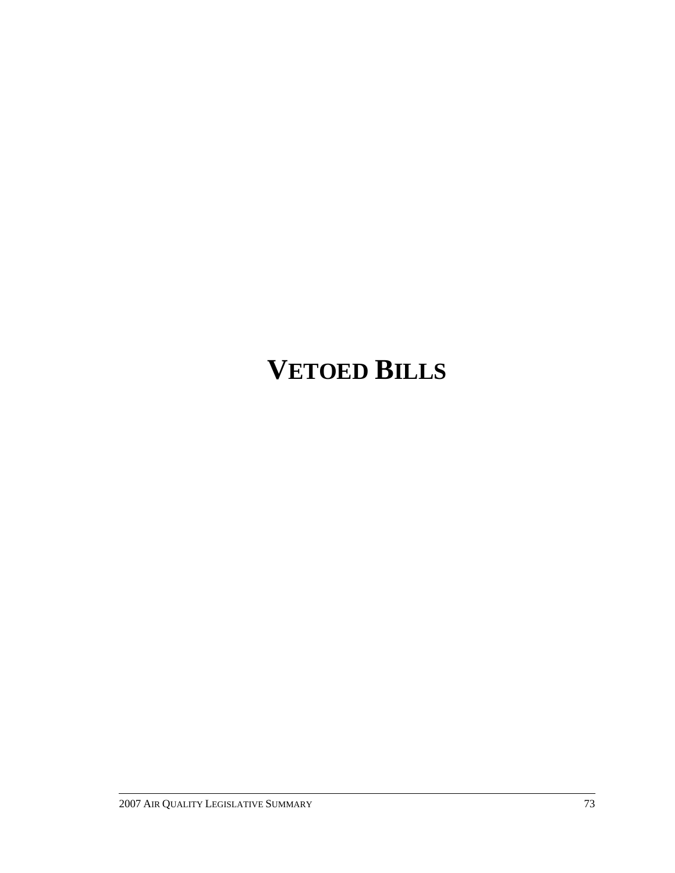## **VETOED BILLS**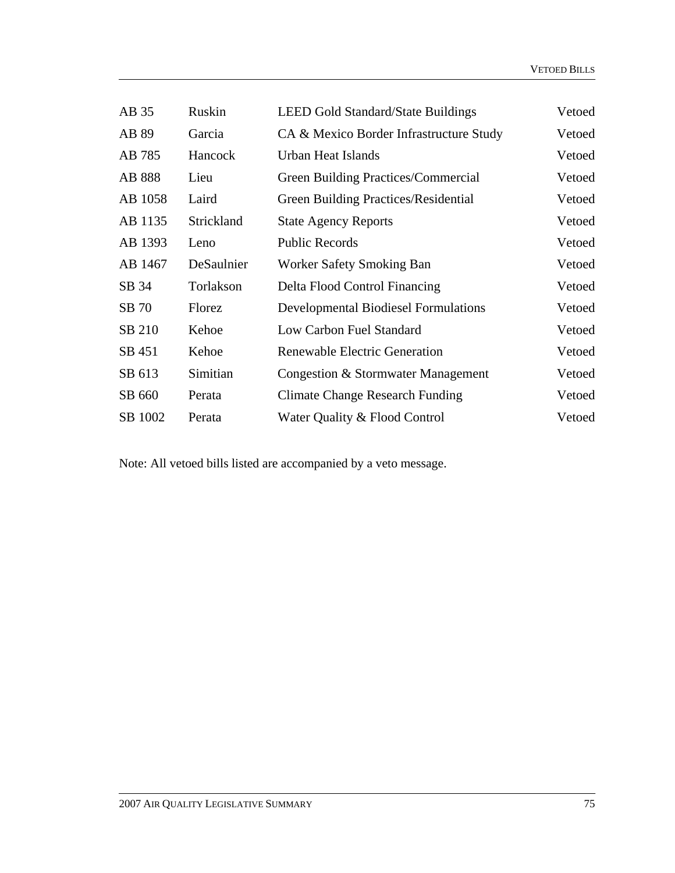| Vetoed |
|--------|
| Vetoed |
| Vetoed |
| Vetoed |
| Vetoed |
| Vetoed |
| Vetoed |
| Vetoed |
| Vetoed |
| Vetoed |
| Vetoed |
| Vetoed |
| Vetoed |
| Vetoed |
| Vetoed |
|        |

Note: All vetoed bills listed are accompanied by a veto message.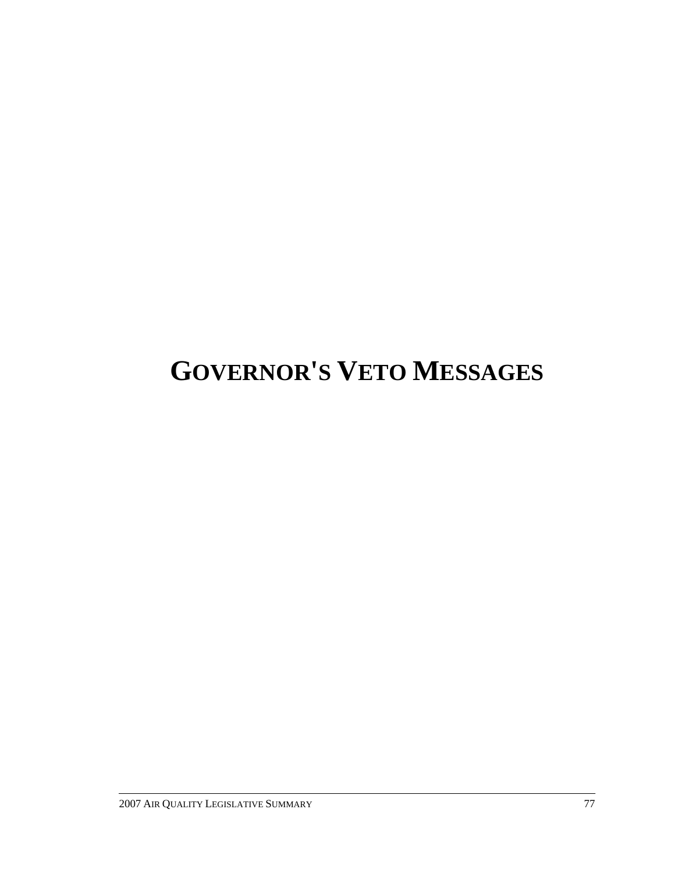# **GOVERNOR'S VETO MESSAGES**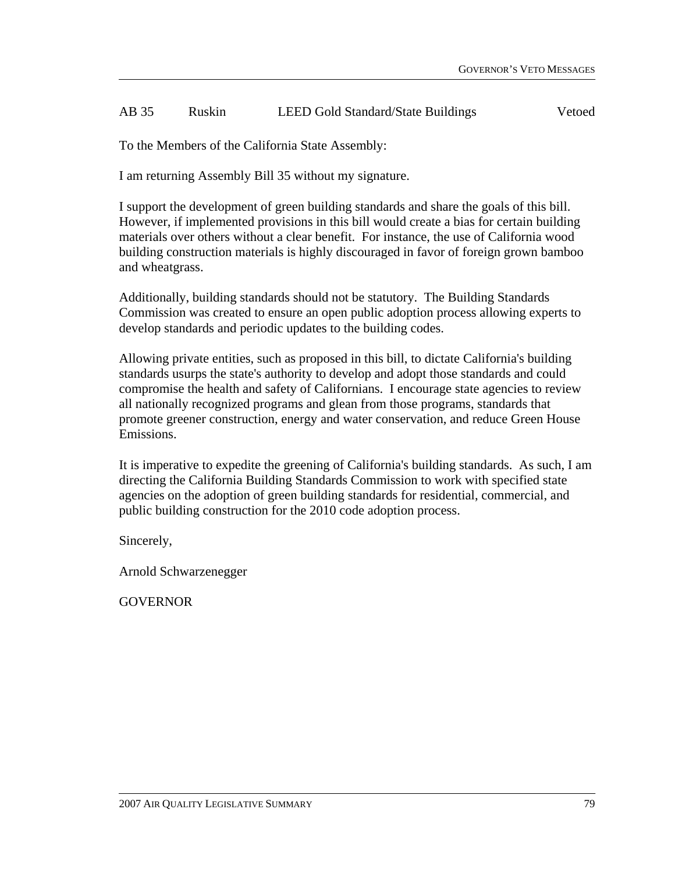#### AB 35 Ruskin LEED Gold Standard/State Buildings Vetoed

To the Members of the California State Assembly:

I am returning Assembly Bill 35 without my signature.

I support the development of green building standards and share the goals of this bill. However, if implemented provisions in this bill would create a bias for certain building materials over others without a clear benefit. For instance, the use of California wood building construction materials is highly discouraged in favor of foreign grown bamboo and wheatgrass.

Additionally, building standards should not be statutory. The Building Standards Commission was created to ensure an open public adoption process allowing experts to develop standards and periodic updates to the building codes.

Allowing private entities, such as proposed in this bill, to dictate California's building standards usurps the state's authority to develop and adopt those standards and could compromise the health and safety of Californians. I encourage state agencies to review all nationally recognized programs and glean from those programs, standards that promote greener construction, energy and water conservation, and reduce Green House Emissions.

It is imperative to expedite the greening of California's building standards. As such, I am directing the California Building Standards Commission to work with specified state agencies on the adoption of green building standards for residential, commercial, and public building construction for the 2010 code adoption process.

Sincerely,

Arnold Schwarzenegger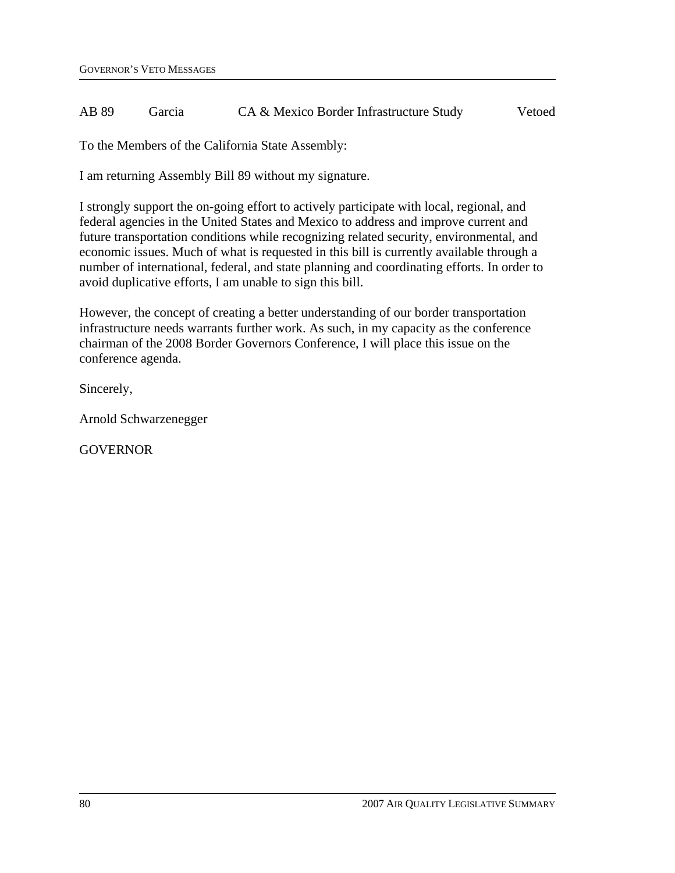#### AB 89 Garcia CA & Mexico Border Infrastructure Study Vetoed

To the Members of the California State Assembly:

I am returning Assembly Bill 89 without my signature.

I strongly support the on-going effort to actively participate with local, regional, and federal agencies in the United States and Mexico to address and improve current and future transportation conditions while recognizing related security, environmental, and economic issues. Much of what is requested in this bill is currently available through a number of international, federal, and state planning and coordinating efforts. In order to avoid duplicative efforts, I am unable to sign this bill.

However, the concept of creating a better understanding of our border transportation infrastructure needs warrants further work. As such, in my capacity as the conference chairman of the 2008 Border Governors Conference, I will place this issue on the conference agenda.

Sincerely,

Arnold Schwarzenegger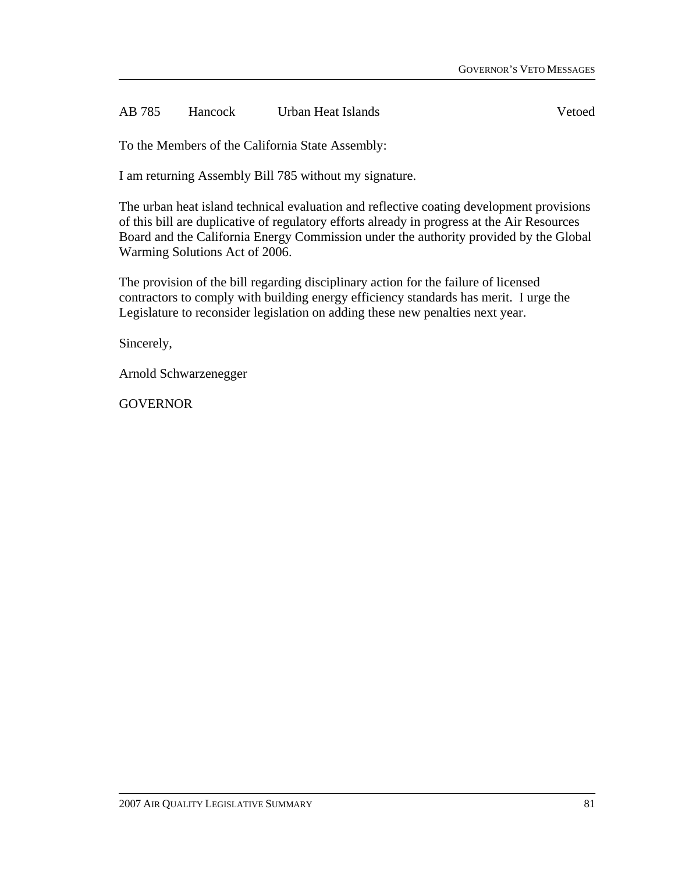AB 785 Hancock Urban Heat Islands Vetoed

To the Members of the California State Assembly:

I am returning Assembly Bill 785 without my signature.

The urban heat island technical evaluation and reflective coating development provisions of this bill are duplicative of regulatory efforts already in progress at the Air Resources Board and the California Energy Commission under the authority provided by the Global Warming Solutions Act of 2006.

The provision of the bill regarding disciplinary action for the failure of licensed contractors to comply with building energy efficiency standards has merit. I urge the Legislature to reconsider legislation on adding these new penalties next year.

Sincerely,

Arnold Schwarzenegger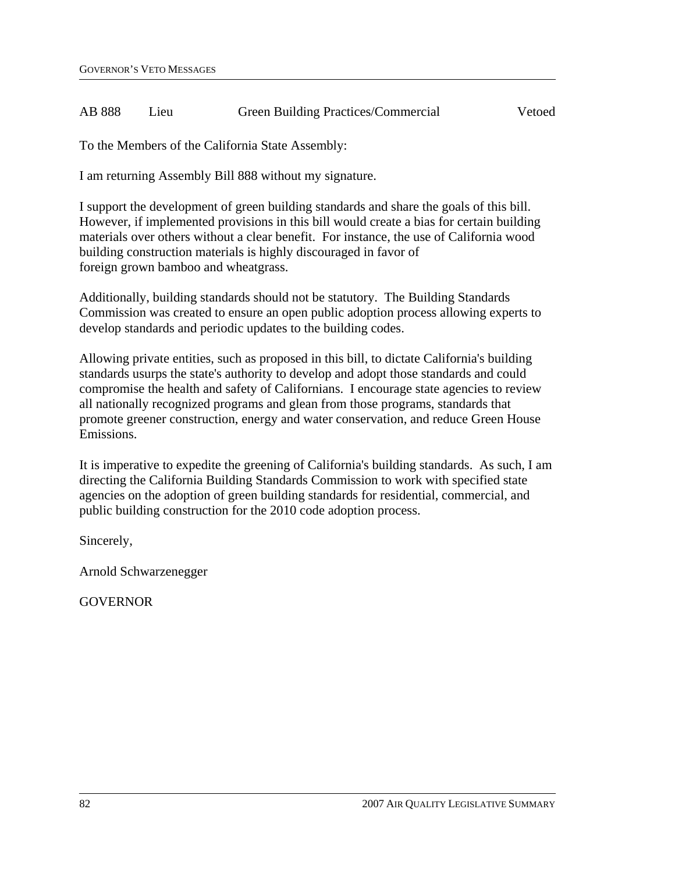#### AB 888 Lieu Green Building Practices/Commercial Vetoed

To the Members of the California State Assembly:

I am returning Assembly Bill 888 without my signature.

I support the development of green building standards and share the goals of this bill. However, if implemented provisions in this bill would create a bias for certain building materials over others without a clear benefit. For instance, the use of California wood building construction materials is highly discouraged in favor of foreign grown bamboo and wheatgrass.

Additionally, building standards should not be statutory. The Building Standards Commission was created to ensure an open public adoption process allowing experts to develop standards and periodic updates to the building codes.

Allowing private entities, such as proposed in this bill, to dictate California's building standards usurps the state's authority to develop and adopt those standards and could compromise the health and safety of Californians. I encourage state agencies to review all nationally recognized programs and glean from those programs, standards that promote greener construction, energy and water conservation, and reduce Green House Emissions.

It is imperative to expedite the greening of California's building standards. As such, I am directing the California Building Standards Commission to work with specified state agencies on the adoption of green building standards for residential, commercial, and public building construction for the 2010 code adoption process.

Sincerely,

Arnold Schwarzenegger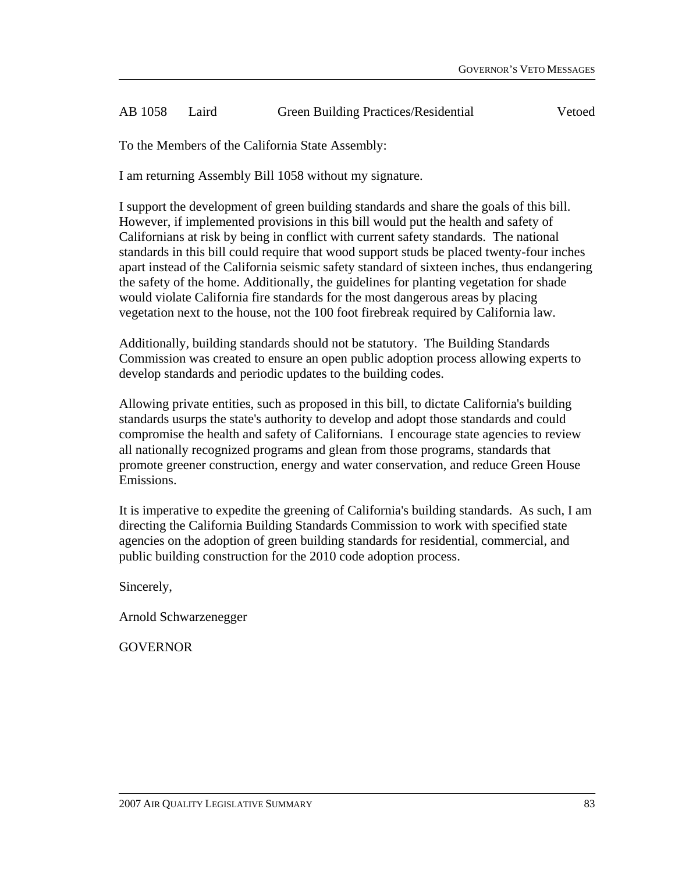#### AB 1058 Laird Green Building Practices/Residential Vetoed

To the Members of the California State Assembly:

I am returning Assembly Bill 1058 without my signature.

I support the development of green building standards and share the goals of this bill. However, if implemented provisions in this bill would put the health and safety of Californians at risk by being in conflict with current safety standards. The national standards in this bill could require that wood support studs be placed twenty-four inches apart instead of the California seismic safety standard of sixteen inches, thus endangering the safety of the home. Additionally, the guidelines for planting vegetation for shade would violate California fire standards for the most dangerous areas by placing vegetation next to the house, not the 100 foot firebreak required by California law.

Additionally, building standards should not be statutory. The Building Standards Commission was created to ensure an open public adoption process allowing experts to develop standards and periodic updates to the building codes.

Allowing private entities, such as proposed in this bill, to dictate California's building standards usurps the state's authority to develop and adopt those standards and could compromise the health and safety of Californians. I encourage state agencies to review all nationally recognized programs and glean from those programs, standards that promote greener construction, energy and water conservation, and reduce Green House Emissions.

It is imperative to expedite the greening of California's building standards. As such, I am directing the California Building Standards Commission to work with specified state agencies on the adoption of green building standards for residential, commercial, and public building construction for the 2010 code adoption process.

Sincerely,

Arnold Schwarzenegger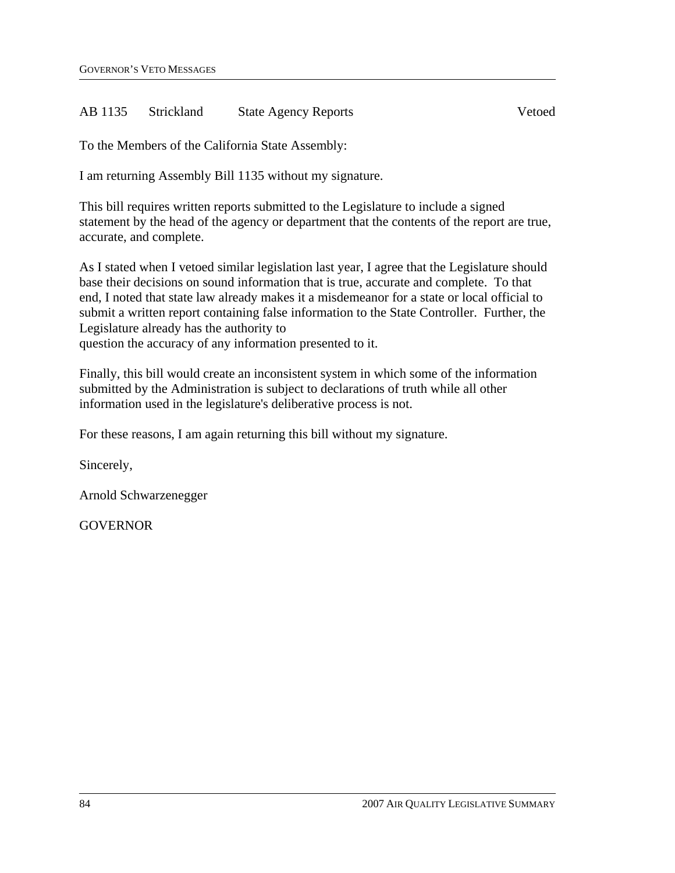#### AB 1135 Strickland State Agency Reports Vetoed

To the Members of the California State Assembly:

I am returning Assembly Bill 1135 without my signature.

This bill requires written reports submitted to the Legislature to include a signed statement by the head of the agency or department that the contents of the report are true, accurate, and complete.

As I stated when I vetoed similar legislation last year, I agree that the Legislature should base their decisions on sound information that is true, accurate and complete. To that end, I noted that state law already makes it a misdemeanor for a state or local official to submit a written report containing false information to the State Controller. Further, the Legislature already has the authority to question the accuracy of any information presented to it.

Finally, this bill would create an inconsistent system in which some of the information submitted by the Administration is subject to declarations of truth while all other information used in the legislature's deliberative process is not.

For these reasons, I am again returning this bill without my signature.

Sincerely,

Arnold Schwarzenegger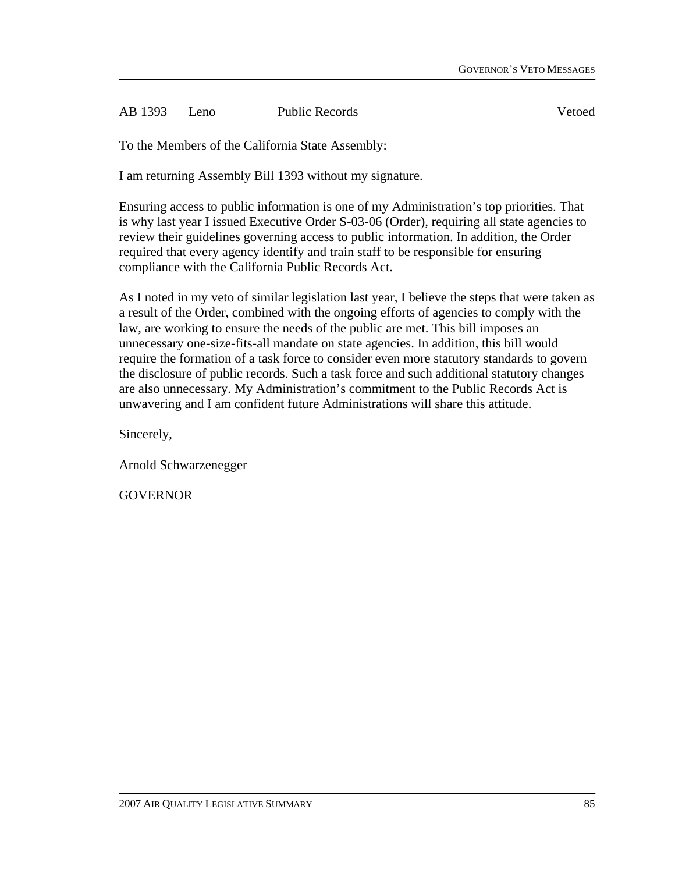AB 1393 Leno Public Records Vetoed

To the Members of the California State Assembly:

I am returning Assembly Bill 1393 without my signature.

Ensuring access to public information is one of my Administration's top priorities. That is why last year I issued Executive Order S-03-06 (Order), requiring all state agencies to review their guidelines governing access to public information. In addition, the Order required that every agency identify and train staff to be responsible for ensuring compliance with the California Public Records Act.

As I noted in my veto of similar legislation last year, I believe the steps that were taken as a result of the Order, combined with the ongoing efforts of agencies to comply with the law, are working to ensure the needs of the public are met. This bill imposes an unnecessary one-size-fits-all mandate on state agencies. In addition, this bill would require the formation of a task force to consider even more statutory standards to govern the disclosure of public records. Such a task force and such additional statutory changes are also unnecessary. My Administration's commitment to the Public Records Act is unwavering and I am confident future Administrations will share this attitude.

Sincerely,

Arnold Schwarzenegger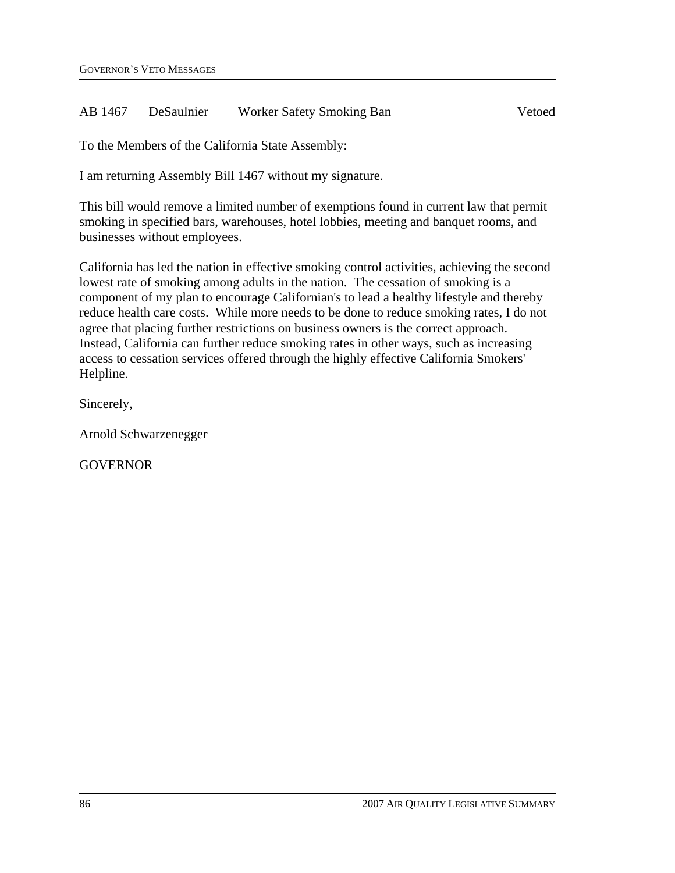#### AB 1467 DeSaulnier Worker Safety Smoking Ban Vetoed

To the Members of the California State Assembly:

I am returning Assembly Bill 1467 without my signature.

This bill would remove a limited number of exemptions found in current law that permit smoking in specified bars, warehouses, hotel lobbies, meeting and banquet rooms, and businesses without employees.

California has led the nation in effective smoking control activities, achieving the second lowest rate of smoking among adults in the nation. The cessation of smoking is a component of my plan to encourage Californian's to lead a healthy lifestyle and thereby reduce health care costs. While more needs to be done to reduce smoking rates, I do not agree that placing further restrictions on business owners is the correct approach. Instead, California can further reduce smoking rates in other ways, such as increasing access to cessation services offered through the highly effective California Smokers' Helpline.

Sincerely,

Arnold Schwarzenegger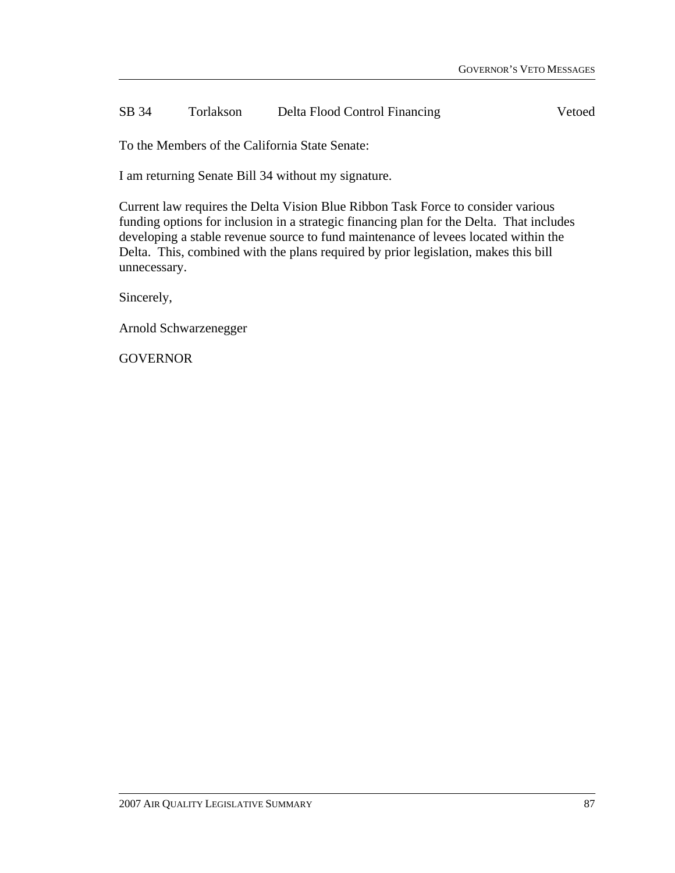#### SB 34 Torlakson Delta Flood Control Financing Vetoed

To the Members of the California State Senate:

I am returning Senate Bill 34 without my signature.

Current law requires the Delta Vision Blue Ribbon Task Force to consider various funding options for inclusion in a strategic financing plan for the Delta. That includes developing a stable revenue source to fund maintenance of levees located within the Delta. This, combined with the plans required by prior legislation, makes this bill unnecessary.

Sincerely,

Arnold Schwarzenegger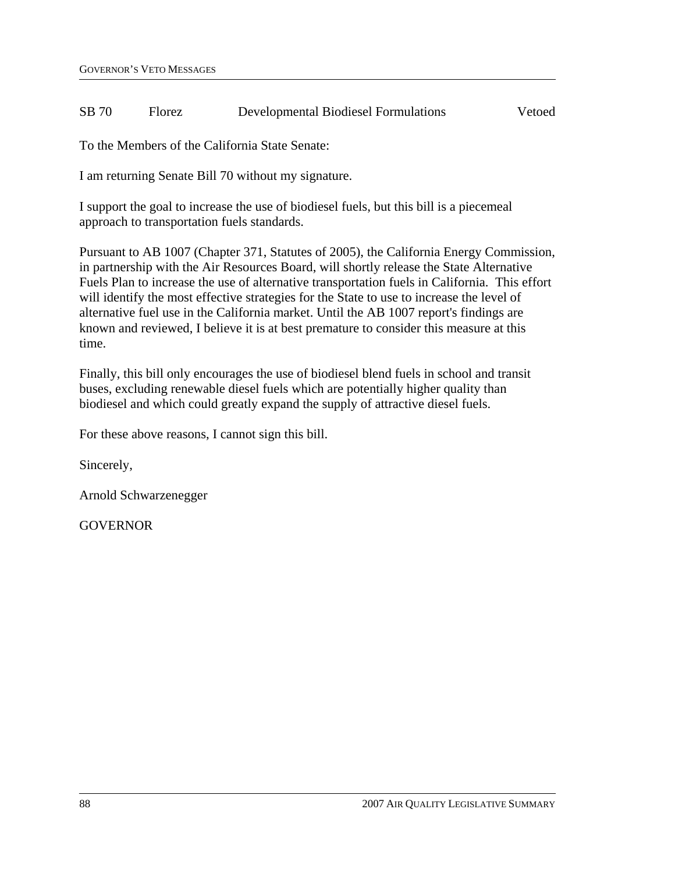#### SB 70 Florez Developmental Biodiesel Formulations Vetoed

To the Members of the California State Senate:

I am returning Senate Bill 70 without my signature.

I support the goal to increase the use of biodiesel fuels, but this bill is a piecemeal approach to transportation fuels standards.

Pursuant to AB 1007 (Chapter 371, Statutes of 2005), the California Energy Commission, in partnership with the Air Resources Board, will shortly release the State Alternative Fuels Plan to increase the use of alternative transportation fuels in California. This effort will identify the most effective strategies for the State to use to increase the level of alternative fuel use in the California market. Until the AB 1007 report's findings are known and reviewed, I believe it is at best premature to consider this measure at this time.

Finally, this bill only encourages the use of biodiesel blend fuels in school and transit buses, excluding renewable diesel fuels which are potentially higher quality than biodiesel and which could greatly expand the supply of attractive diesel fuels.

For these above reasons, I cannot sign this bill.

Sincerely,

Arnold Schwarzenegger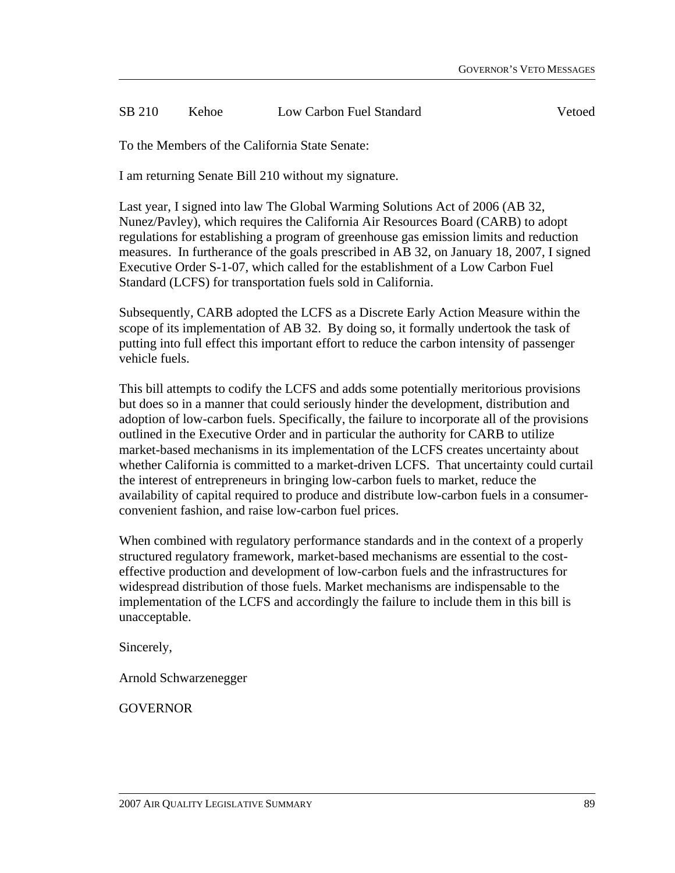#### SB 210 Kehoe Low Carbon Fuel Standard Vetoed

To the Members of the California State Senate:

I am returning Senate Bill 210 without my signature.

Last year, I signed into law The Global Warming Solutions Act of 2006 (AB 32, Nunez/Pavley), which requires the California Air Resources Board (CARB) to adopt regulations for establishing a program of greenhouse gas emission limits and reduction measures. In furtherance of the goals prescribed in AB 32, on January 18, 2007, I signed Executive Order S-1-07, which called for the establishment of a Low Carbon Fuel Standard (LCFS) for transportation fuels sold in California.

Subsequently, CARB adopted the LCFS as a Discrete Early Action Measure within the scope of its implementation of AB 32. By doing so, it formally undertook the task of putting into full effect this important effort to reduce the carbon intensity of passenger vehicle fuels.

This bill attempts to codify the LCFS and adds some potentially meritorious provisions but does so in a manner that could seriously hinder the development, distribution and adoption of low-carbon fuels. Specifically, the failure to incorporate all of the provisions outlined in the Executive Order and in particular the authority for CARB to utilize market-based mechanisms in its implementation of the LCFS creates uncertainty about whether California is committed to a market-driven LCFS. That uncertainty could curtail the interest of entrepreneurs in bringing low-carbon fuels to market, reduce the availability of capital required to produce and distribute low-carbon fuels in a consumerconvenient fashion, and raise low-carbon fuel prices.

When combined with regulatory performance standards and in the context of a properly structured regulatory framework, market-based mechanisms are essential to the costeffective production and development of low-carbon fuels and the infrastructures for widespread distribution of those fuels. Market mechanisms are indispensable to the implementation of the LCFS and accordingly the failure to include them in this bill is unacceptable.

Sincerely,

Arnold Schwarzenegger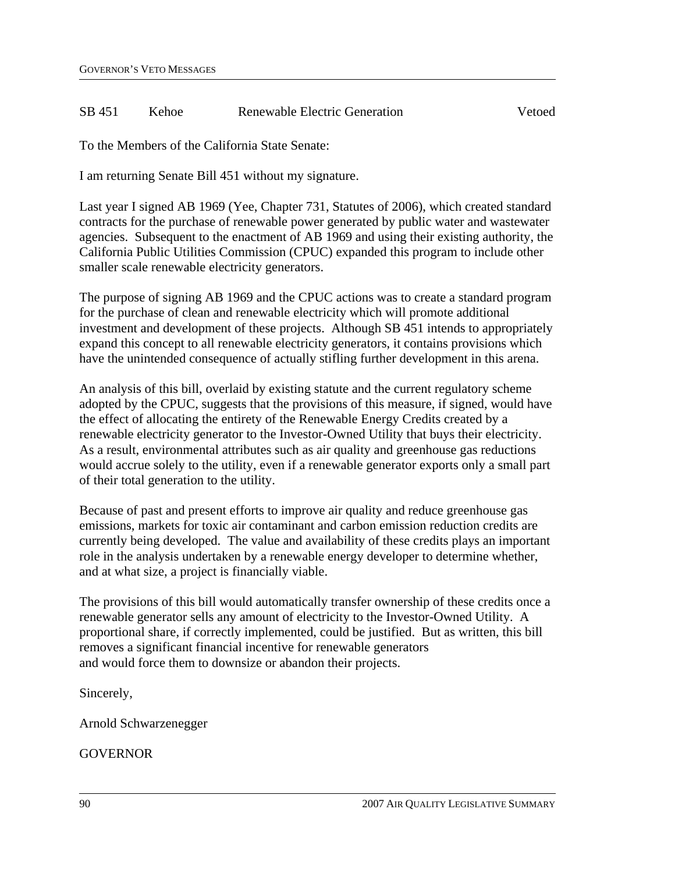#### SB 451 Kehoe Renewable Electric Generation Vetoed

To the Members of the California State Senate:

I am returning Senate Bill 451 without my signature.

Last year I signed AB 1969 (Yee, Chapter 731, Statutes of 2006), which created standard contracts for the purchase of renewable power generated by public water and wastewater agencies. Subsequent to the enactment of AB 1969 and using their existing authority, the California Public Utilities Commission (CPUC) expanded this program to include other smaller scale renewable electricity generators.

The purpose of signing AB 1969 and the CPUC actions was to create a standard program for the purchase of clean and renewable electricity which will promote additional investment and development of these projects. Although SB 451 intends to appropriately expand this concept to all renewable electricity generators, it contains provisions which have the unintended consequence of actually stifling further development in this arena.

An analysis of this bill, overlaid by existing statute and the current regulatory scheme adopted by the CPUC, suggests that the provisions of this measure, if signed, would have the effect of allocating the entirety of the Renewable Energy Credits created by a renewable electricity generator to the Investor-Owned Utility that buys their electricity. As a result, environmental attributes such as air quality and greenhouse gas reductions would accrue solely to the utility, even if a renewable generator exports only a small part of their total generation to the utility.

Because of past and present efforts to improve air quality and reduce greenhouse gas emissions, markets for toxic air contaminant and carbon emission reduction credits are currently being developed. The value and availability of these credits plays an important role in the analysis undertaken by a renewable energy developer to determine whether, and at what size, a project is financially viable.

The provisions of this bill would automatically transfer ownership of these credits once a renewable generator sells any amount of electricity to the Investor-Owned Utility. A proportional share, if correctly implemented, could be justified. But as written, this bill removes a significant financial incentive for renewable generators and would force them to downsize or abandon their projects.

Sincerely,

Arnold Schwarzenegger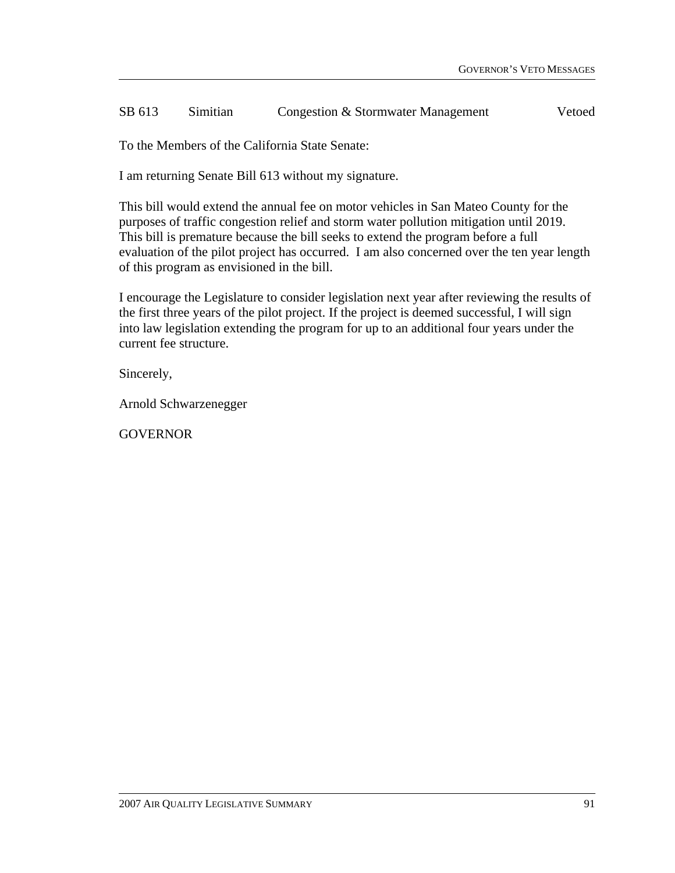#### SB 613 Simitian Congestion & Stormwater Management Vetoed

To the Members of the California State Senate:

I am returning Senate Bill 613 without my signature.

This bill would extend the annual fee on motor vehicles in San Mateo County for the purposes of traffic congestion relief and storm water pollution mitigation until 2019. This bill is premature because the bill seeks to extend the program before a full evaluation of the pilot project has occurred. I am also concerned over the ten year length of this program as envisioned in the bill.

I encourage the Legislature to consider legislation next year after reviewing the results of the first three years of the pilot project. If the project is deemed successful, I will sign into law legislation extending the program for up to an additional four years under the current fee structure.

Sincerely,

Arnold Schwarzenegger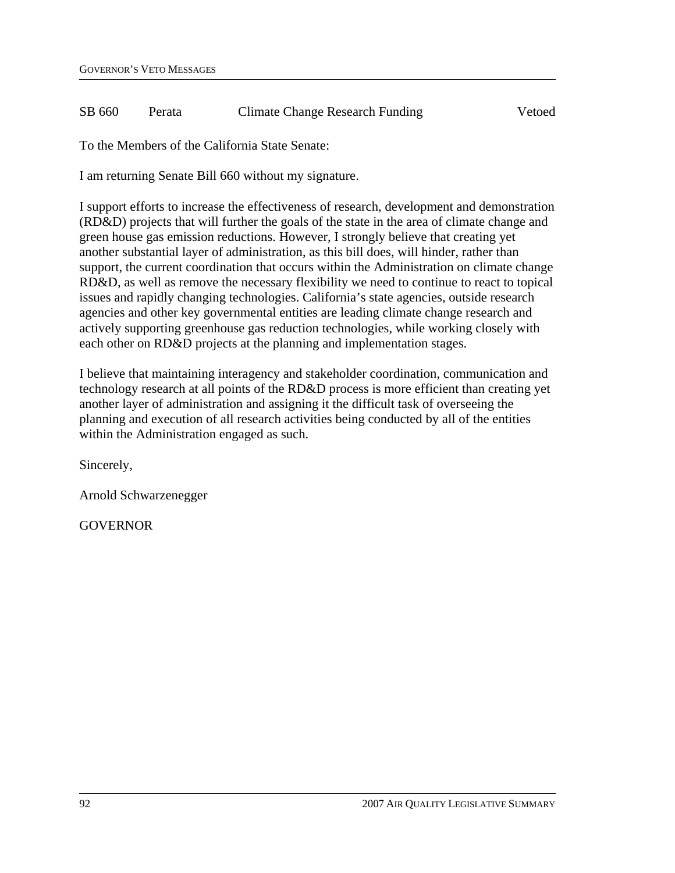#### SB 660 Perata Climate Change Research Funding Vetoed

To the Members of the California State Senate:

I am returning Senate Bill 660 without my signature.

I support efforts to increase the effectiveness of research, development and demonstration (RD&D) projects that will further the goals of the state in the area of climate change and green house gas emission reductions. However, I strongly believe that creating yet another substantial layer of administration, as this bill does, will hinder, rather than support, the current coordination that occurs within the Administration on climate change RD&D, as well as remove the necessary flexibility we need to continue to react to topical issues and rapidly changing technologies. California's state agencies, outside research agencies and other key governmental entities are leading climate change research and actively supporting greenhouse gas reduction technologies, while working closely with each other on RD&D projects at the planning and implementation stages.

I believe that maintaining interagency and stakeholder coordination, communication and technology research at all points of the RD&D process is more efficient than creating yet another layer of administration and assigning it the difficult task of overseeing the planning and execution of all research activities being conducted by all of the entities within the Administration engaged as such.

Sincerely,

Arnold Schwarzenegger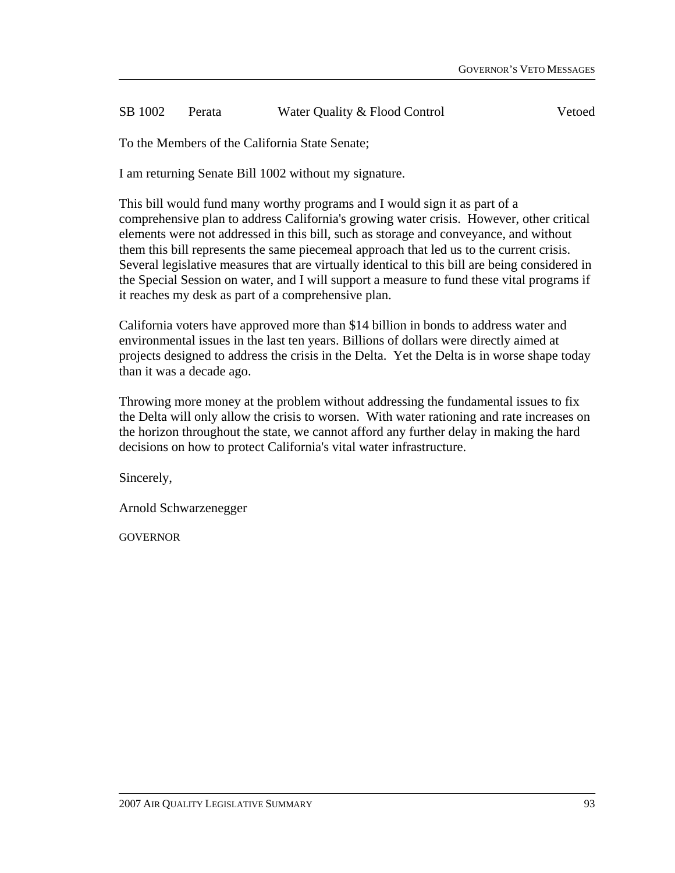#### SB 1002 Perata Water Quality & Flood Control Vetoed

To the Members of the California State Senate;

I am returning Senate Bill 1002 without my signature.

This bill would fund many worthy programs and I would sign it as part of a comprehensive plan to address California's growing water crisis. However, other critical elements were not addressed in this bill, such as storage and conveyance, and without them this bill represents the same piecemeal approach that led us to the current crisis. Several legislative measures that are virtually identical to this bill are being considered in the Special Session on water, and I will support a measure to fund these vital programs if it reaches my desk as part of a comprehensive plan.

California voters have approved more than \$14 billion in bonds to address water and environmental issues in the last ten years. Billions of dollars were directly aimed at projects designed to address the crisis in the Delta. Yet the Delta is in worse shape today than it was a decade ago.

Throwing more money at the problem without addressing the fundamental issues to fix the Delta will only allow the crisis to worsen. With water rationing and rate increases on the horizon throughout the state, we cannot afford any further delay in making the hard decisions on how to protect California's vital water infrastructure.

Sincerely,

Arnold Schwarzenegger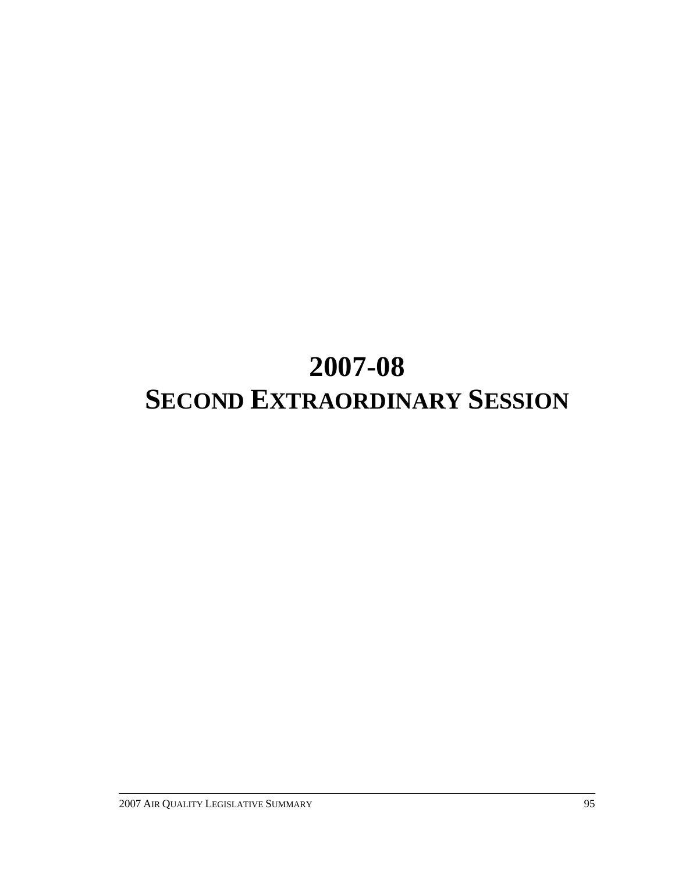# **2007-08 SECOND EXTRAORDINARY SESSION**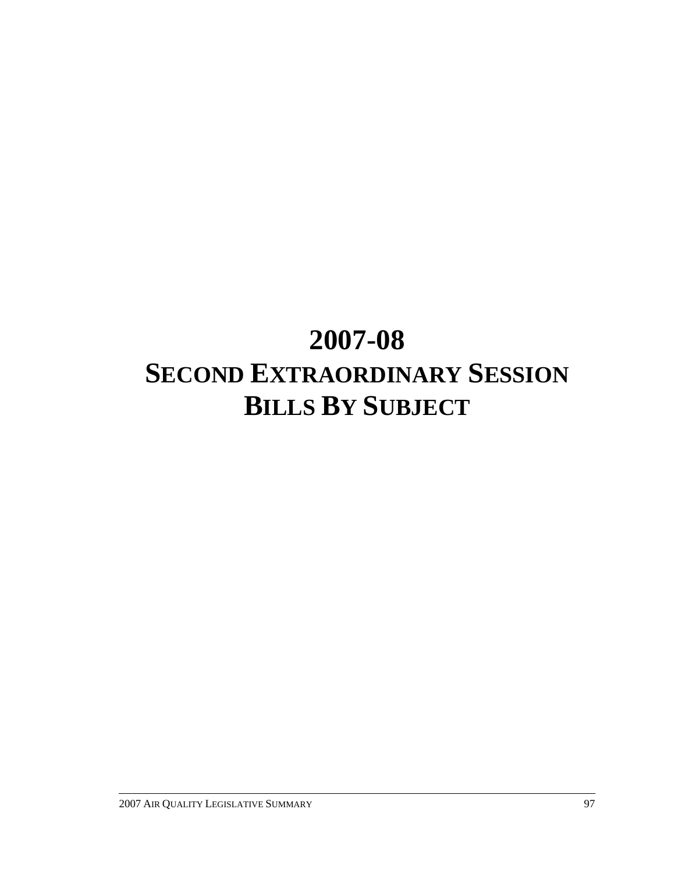## **2007-08 SECOND EXTRAORDINARY SESSION BILLS BY SUBJECT**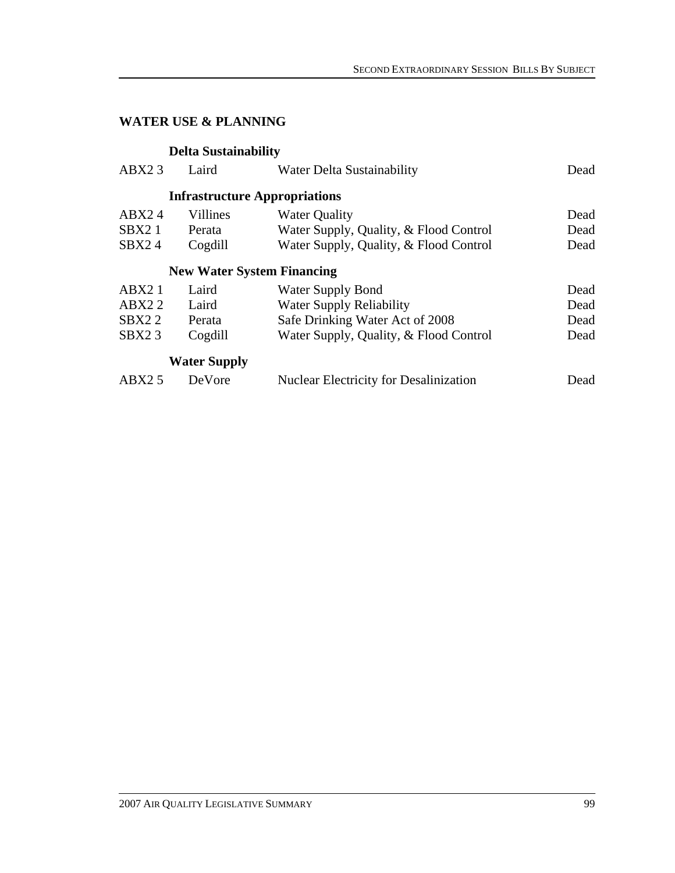### **WATER USE & PLANNING**

### **Delta Sustainability**

| Laird               | Water Delta Sustainability                    | Dead                                                                      |
|---------------------|-----------------------------------------------|---------------------------------------------------------------------------|
|                     |                                               |                                                                           |
| Villines            | <b>Water Quality</b>                          | Dead                                                                      |
| Perata              | Water Supply, Quality, & Flood Control        | Dead                                                                      |
| Cogdill             | Water Supply, Quality, & Flood Control        | Dead                                                                      |
|                     |                                               |                                                                           |
| Laird               | <b>Water Supply Bond</b>                      | Dead                                                                      |
| Laird               | <b>Water Supply Reliability</b>               | Dead                                                                      |
| Perata              | Safe Drinking Water Act of 2008               | Dead                                                                      |
| Cogdill             | Water Supply, Quality, & Flood Control        | Dead                                                                      |
| <b>Water Supply</b> |                                               |                                                                           |
| DeVore              | <b>Nuclear Electricity for Desalinization</b> | Dead                                                                      |
|                     |                                               | <b>Infrastructure Appropriations</b><br><b>New Water System Financing</b> |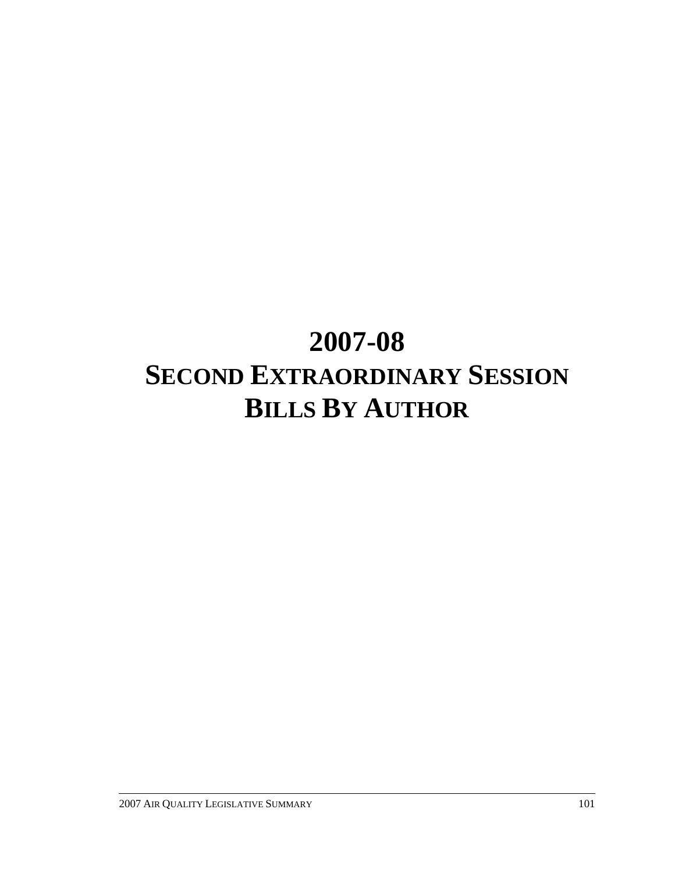## **2007-08 SECOND EXTRAORDINARY SESSION BILLS BY AUTHOR**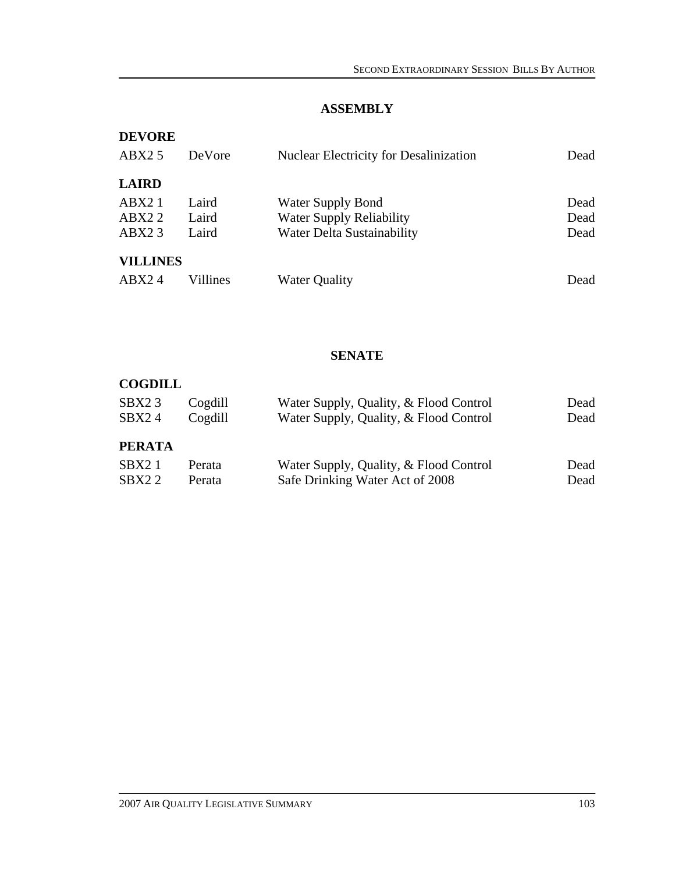### **ASSEMBLY**

| <b>DEVORE</b>   |          |                                               |      |
|-----------------|----------|-----------------------------------------------|------|
| ABX25           | DeVore   | <b>Nuclear Electricity for Desalinization</b> | Dead |
| <b>LAIRD</b>    |          |                                               |      |
| ABX21           | Laird    | <b>Water Supply Bond</b>                      | Dead |
| ABX22           | Laird    | <b>Water Supply Reliability</b>               | Dead |
| ABX23           | Laird    | Water Delta Sustainability                    | Dead |
| <b>VILLINES</b> |          |                                               |      |
| ABX24           | Villines | Water Quality                                 | Dead |

#### **SENATE**

#### **COGDILL**

| SBX <sub>2</sub> 3<br>SBX24 | Cogdill<br>Cogdill | Water Supply, Quality, & Flood Control<br>Water Supply, Quality, & Flood Control | Dead<br>Dead |
|-----------------------------|--------------------|----------------------------------------------------------------------------------|--------------|
| <b>PERATA</b>               |                    |                                                                                  |              |
| SBX21                       | Perata             | Water Supply, Quality, & Flood Control                                           | Dead         |
| SBX22                       | Perata             | Safe Drinking Water Act of 2008                                                  | Dead         |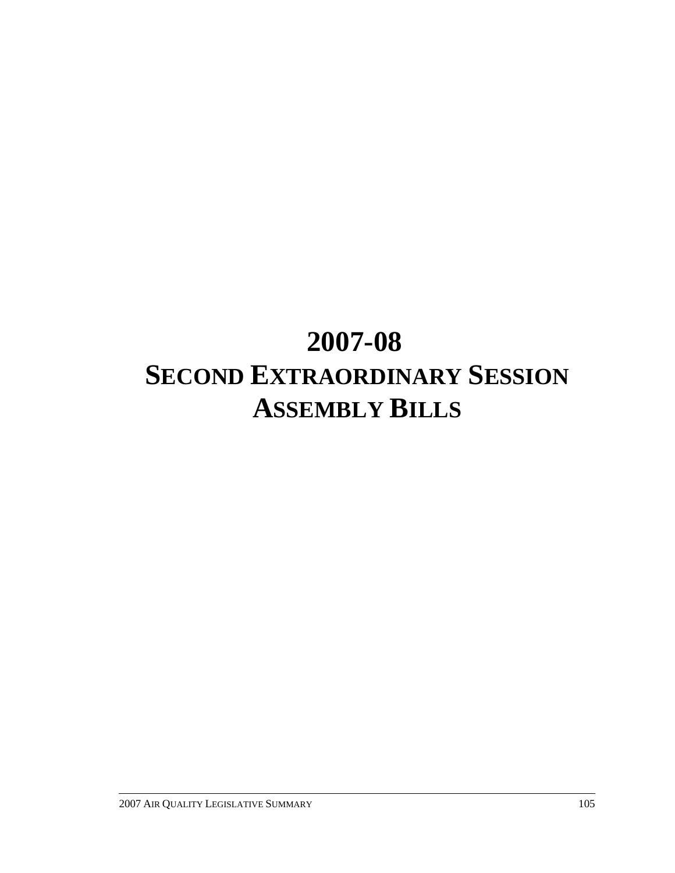# **2007-08 SECOND EXTRAORDINARY SESSION ASSEMBLY BILLS**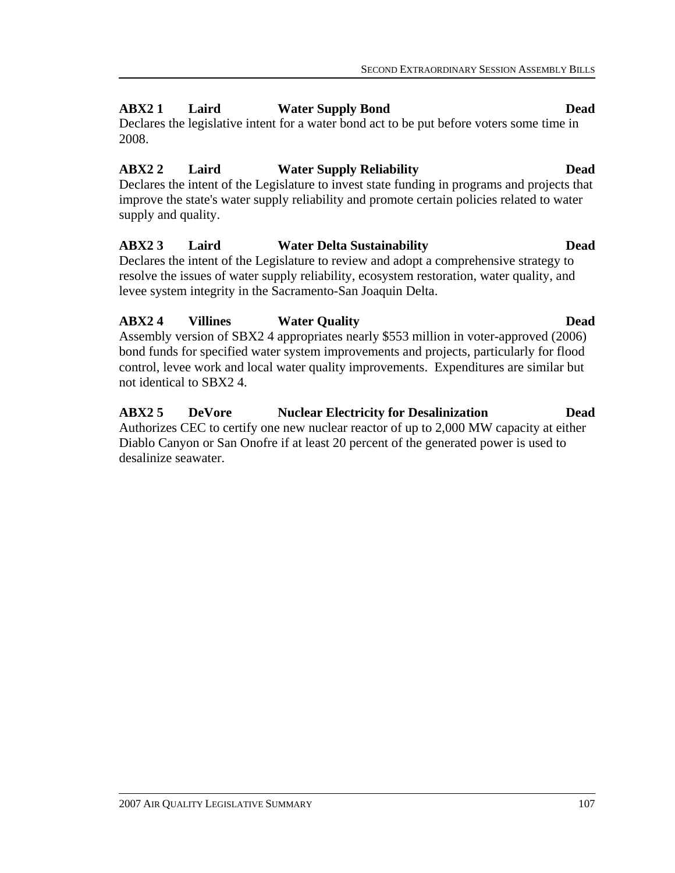### **ABX2 1 Laird Water Supply Bond Dead**

Declares the legislative intent for a water bond act to be put before voters some time in 2008.

#### **ABX2 2 Laird Water Supply Reliability Dead**

Declares the intent of the Legislature to invest state funding in programs and projects that improve the state's water supply reliability and promote certain policies related to water supply and quality.

#### **ABX2 3 Laird Water Delta Sustainability Dead**

Declares the intent of the Legislature to review and adopt a comprehensive strategy to resolve the issues of water supply reliability, ecosystem restoration, water quality, and levee system integrity in the Sacramento-San Joaquin Delta.

#### **ABX2 4 Villines Water Quality Dead**

Assembly version of SBX2 4 appropriates nearly \$553 million in voter-approved (2006) bond funds for specified water system improvements and projects, particularly for flood control, levee work and local water quality improvements. Expenditures are similar but not identical to SBX2 4.

#### **ABX2 5 DeVore Nuclear Electricity for Desalinization Dead** Authorizes CEC to certify one new nuclear reactor of up to 2,000 MW capacity at either Diablo Canyon or San Onofre if at least 20 percent of the generated power is used to desalinize seawater.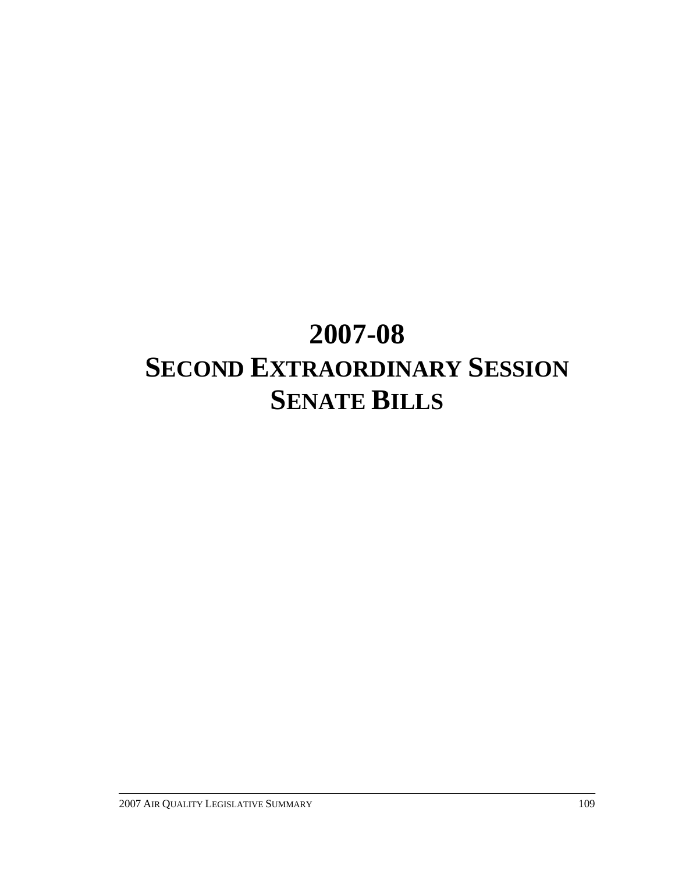# **2007-08 SECOND EXTRAORDINARY SESSION SENATE BILLS**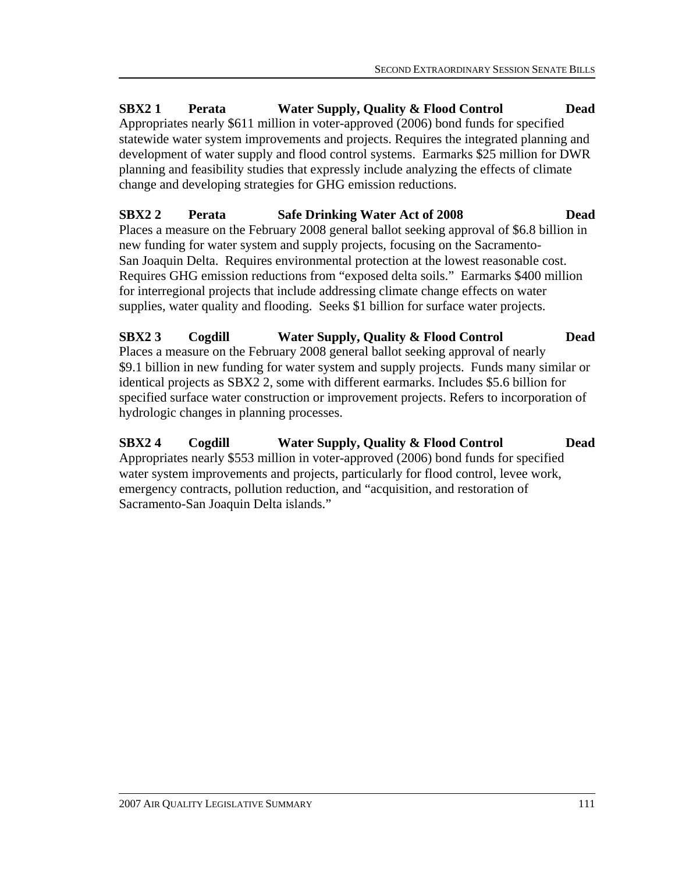**SBX2 1 Perata Water Supply, Quality & Flood Control Dead**  Appropriates nearly \$611 million in voter-approved (2006) bond funds for specified statewide water system improvements and projects. Requires the integrated planning and development of water supply and flood control systems. Earmarks \$25 million for DWR planning and feasibility studies that expressly include analyzing the effects of climate change and developing strategies for GHG emission reductions.

### **SBX2 2 Perata Safe Drinking Water Act of 2008 Dead**

Places a measure on the February 2008 general ballot seeking approval of \$6.8 billion in new funding for water system and supply projects, focusing on the Sacramento-San Joaquin Delta. Requires environmental protection at the lowest reasonable cost. Requires GHG emission reductions from "exposed delta soils." Earmarks \$400 million for interregional projects that include addressing climate change effects on water supplies, water quality and flooding. Seeks \$1 billion for surface water projects.

#### **SBX2 3 Cogdill Water Supply, Quality & Flood Control Dead**  Places a measure on the February 2008 general ballot seeking approval of nearly \$9.1 billion in new funding for water system and supply projects. Funds many similar or identical projects as SBX2 2, some with different earmarks. Includes \$5.6 billion for specified surface water construction or improvement projects. Refers to incorporation of hydrologic changes in planning processes.

## **SBX2 4 Cogdill Water Supply, Quality & Flood Control Dead**

Appropriates nearly \$553 million in voter-approved (2006) bond funds for specified water system improvements and projects, particularly for flood control, levee work, emergency contracts, pollution reduction, and "acquisition, and restoration of Sacramento-San Joaquin Delta islands."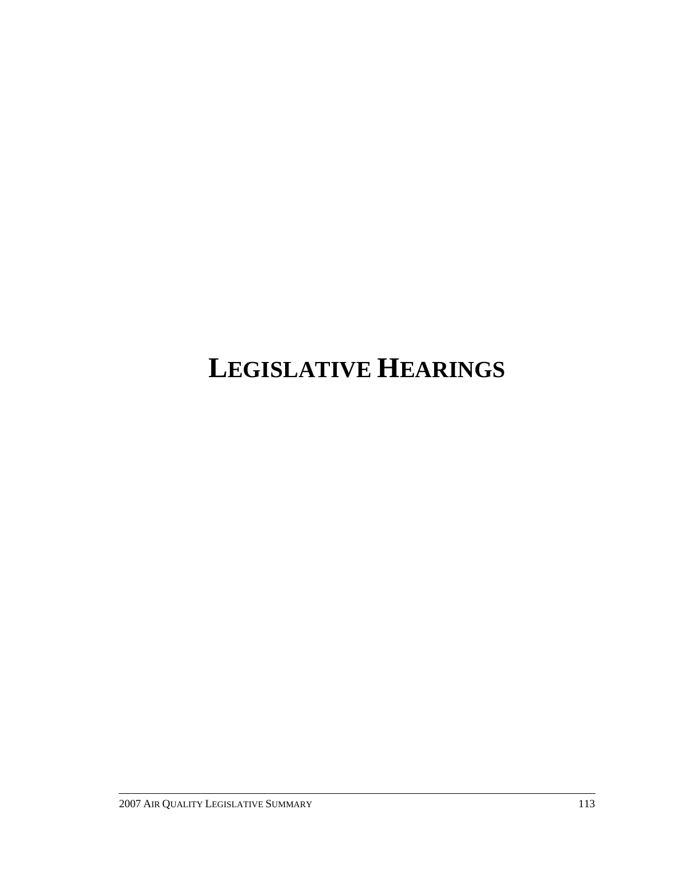# **LEGISLATIVE HEARINGS**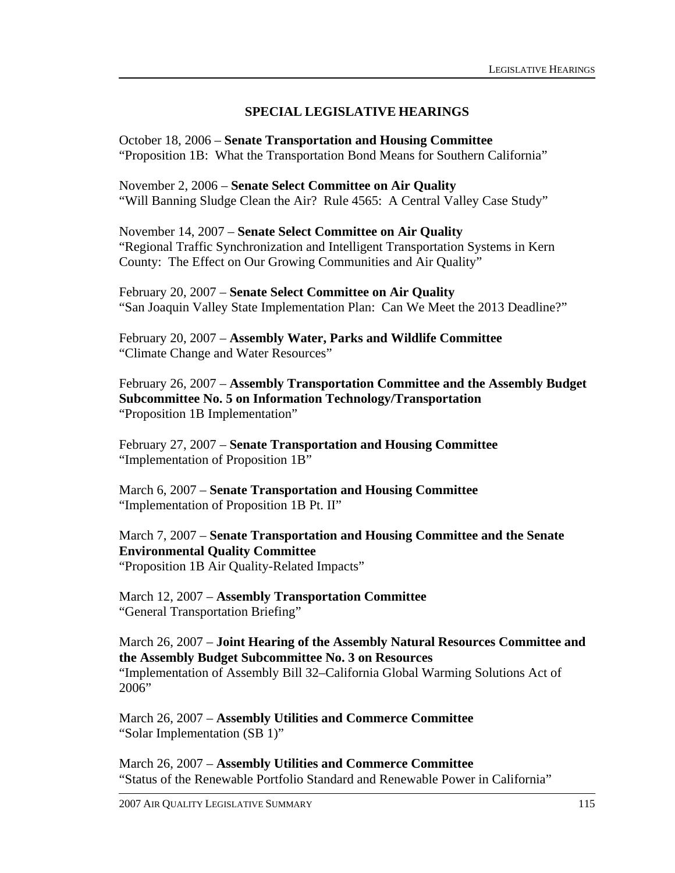#### **SPECIAL LEGISLATIVE HEARINGS**

October 18, 2006 – **Senate Transportation and Housing Committee**  "Proposition 1B: What the Transportation Bond Means for Southern California"

November 2, 2006 – **Senate Select Committee on Air Quality**  "Will Banning Sludge Clean the Air? Rule 4565: A Central Valley Case Study"

November 14, 2007 – **Senate Select Committee on Air Quality**  "Regional Traffic Synchronization and Intelligent Transportation Systems in Kern County: The Effect on Our Growing Communities and Air Quality"

February 20, 2007 – **Senate Select Committee on Air Quality**  "San Joaquin Valley State Implementation Plan: Can We Meet the 2013 Deadline?"

February 20, 2007 – **Assembly Water, Parks and Wildlife Committee**  "Climate Change and Water Resources"

February 26, 2007 – **Assembly Transportation Committee and the Assembly Budget Subcommittee No. 5 on Information Technology/Transportation**  "Proposition 1B Implementation"

February 27, 2007 – **Senate Transportation and Housing Committee**  "Implementation of Proposition 1B"

March 6, 2007 – **Senate Transportation and Housing Committee**  "Implementation of Proposition 1B Pt. II"

March 7, 2007 – **Senate Transportation and Housing Committee and the Senate Environmental Quality Committee**  "Proposition 1B Air Quality-Related Impacts"

March 12, 2007 – **Assembly Transportation Committee**  "General Transportation Briefing"

March 26, 2007 – **Joint Hearing of the Assembly Natural Resources Committee and the Assembly Budget Subcommittee No. 3 on Resources**  "Implementation of Assembly Bill 32–California Global Warming Solutions Act of 2006"

March 26, 2007 – **Assembly Utilities and Commerce Committee**  "Solar Implementation (SB 1)"

March 26, 2007 – **Assembly Utilities and Commerce Committee** "Status of the Renewable Portfolio Standard and Renewable Power in California"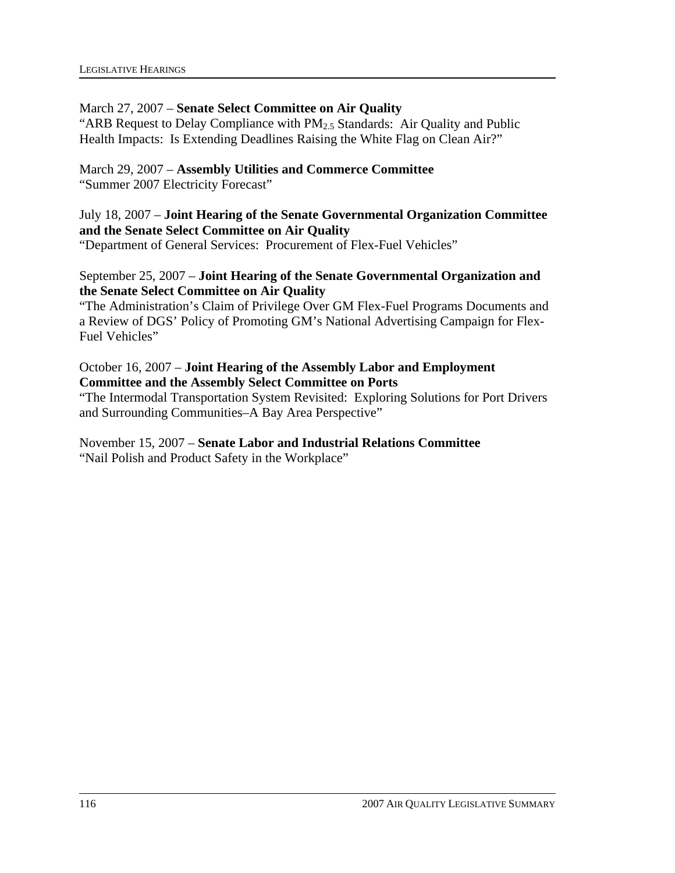#### March 27, 2007 – **Senate Select Committee on Air Quality**

"ARB Request to Delay Compliance with  $PM<sub>2.5</sub>$  Standards: Air Quality and Public Health Impacts: Is Extending Deadlines Raising the White Flag on Clean Air?"

#### March 29, 2007 – **Assembly Utilities and Commerce Committee**

"Summer 2007 Electricity Forecast"

July 18, 2007 – **Joint Hearing of the Senate Governmental Organization Committee and the Senate Select Committee on Air Quality** 

"Department of General Services: Procurement of Flex-Fuel Vehicles"

#### September 25, 2007 – **Joint Hearing of the Senate Governmental Organization and the Senate Select Committee on Air Quality**

"The Administration's Claim of Privilege Over GM Flex-Fuel Programs Documents and a Review of DGS' Policy of Promoting GM's National Advertising Campaign for Flex-Fuel Vehicles"

#### October 16, 2007 – **Joint Hearing of the Assembly Labor and Employment Committee and the Assembly Select Committee on Ports**

"The Intermodal Transportation System Revisited: Exploring Solutions for Port Drivers and Surrounding Communities–A Bay Area Perspective"

November 15, 2007 – **Senate Labor and Industrial Relations Committee**  "Nail Polish and Product Safety in the Workplace"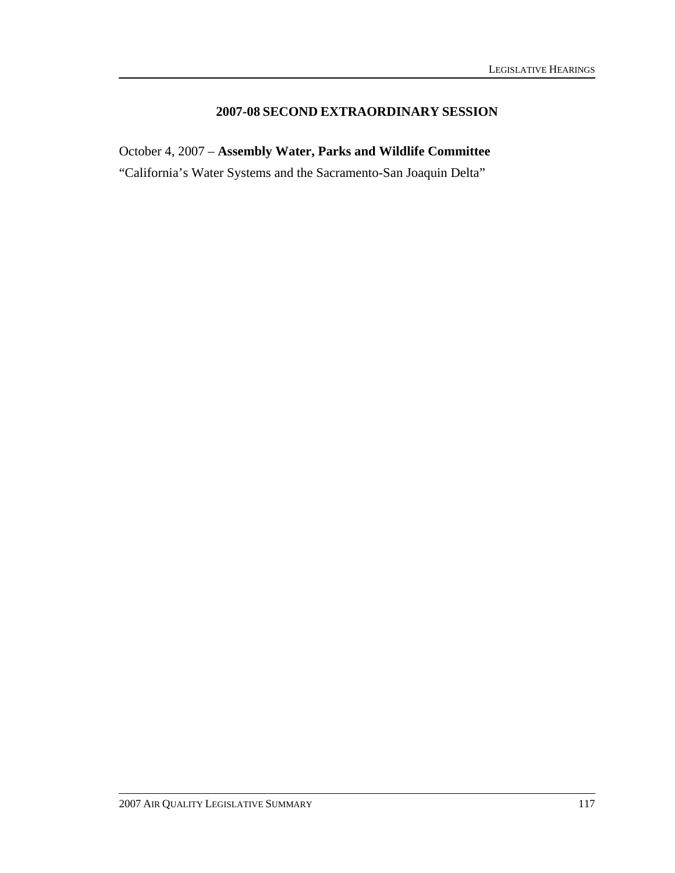#### **2007-08 SECOND EXTRAORDINARY SESSION**

October 4, 2007 – **Assembly Water, Parks and Wildlife Committee** 

"California's Water Systems and the Sacramento-San Joaquin Delta"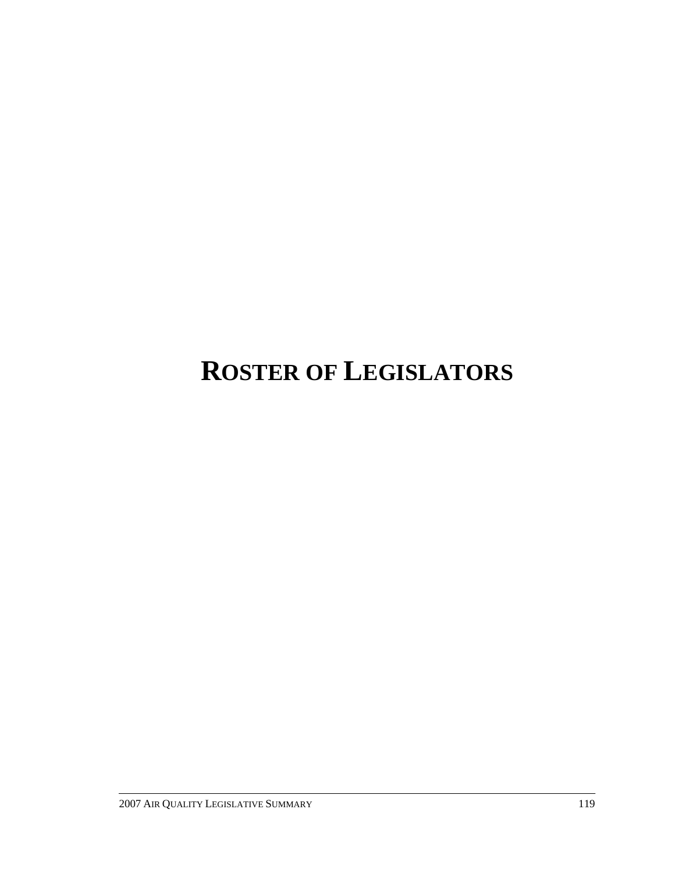# **ROSTER OF LEGISLATORS**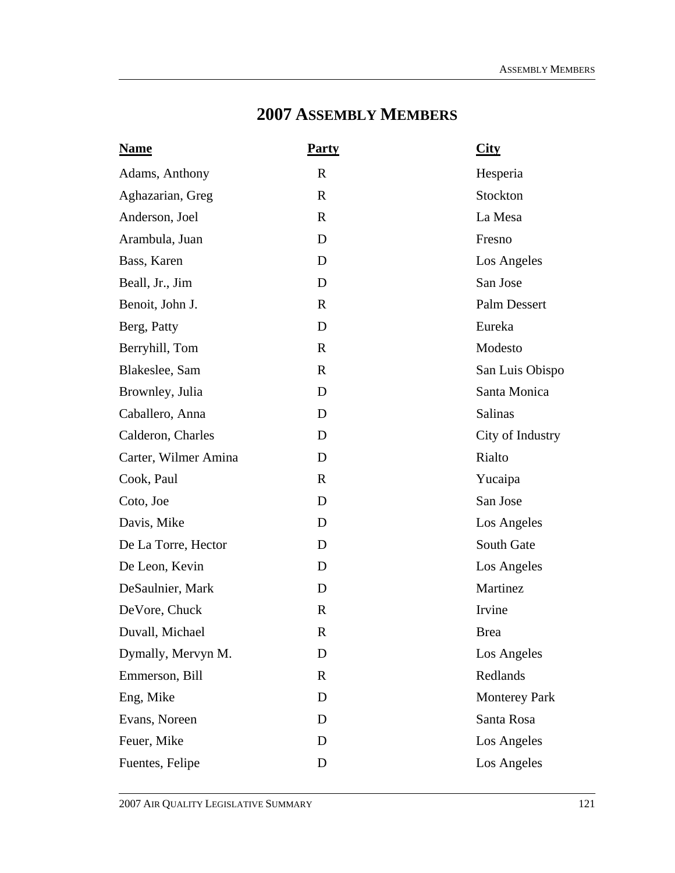### **2007 ASSEMBLY MEMBERS**

| <b>Name</b>          | <b>Party</b> | City                 |
|----------------------|--------------|----------------------|
| Adams, Anthony       | $\mathbf R$  | Hesperia             |
| Aghazarian, Greg     | $\mathbf R$  | Stockton             |
| Anderson, Joel       | $\mathbf R$  | La Mesa              |
| Arambula, Juan       | D            | Fresno               |
| Bass, Karen          | D            | Los Angeles          |
| Beall, Jr., Jim      | D            | San Jose             |
| Benoit, John J.      | $\mathbf R$  | <b>Palm Dessert</b>  |
| Berg, Patty          | D            | Eureka               |
| Berryhill, Tom       | $\mathbf R$  | Modesto              |
| Blakeslee, Sam       | $\mathbf R$  | San Luis Obispo      |
| Brownley, Julia      | D            | Santa Monica         |
| Caballero, Anna      | D            | Salinas              |
| Calderon, Charles    | D            | City of Industry     |
| Carter, Wilmer Amina | D            | Rialto               |
| Cook, Paul           | $\mathbf R$  | Yucaipa              |
| Coto, Joe            | D            | San Jose             |
| Davis, Mike          | D            | Los Angeles          |
| De La Torre, Hector  | D            | South Gate           |
| De Leon, Kevin       | D            | Los Angeles          |
| DeSaulnier, Mark     | D            | Martinez             |
| DeVore, Chuck        | $\mathbb{R}$ | Irvine               |
| Duvall, Michael      | $\mathbb{R}$ | Brea                 |
| Dymally, Mervyn M.   | D            | Los Angeles          |
| Emmerson, Bill       | $\mathbf R$  | Redlands             |
| Eng, Mike            | D            | <b>Monterey Park</b> |
| Evans, Noreen        | D            | Santa Rosa           |
| Feuer, Mike          | D            | Los Angeles          |
| Fuentes, Felipe      | D            | Los Angeles          |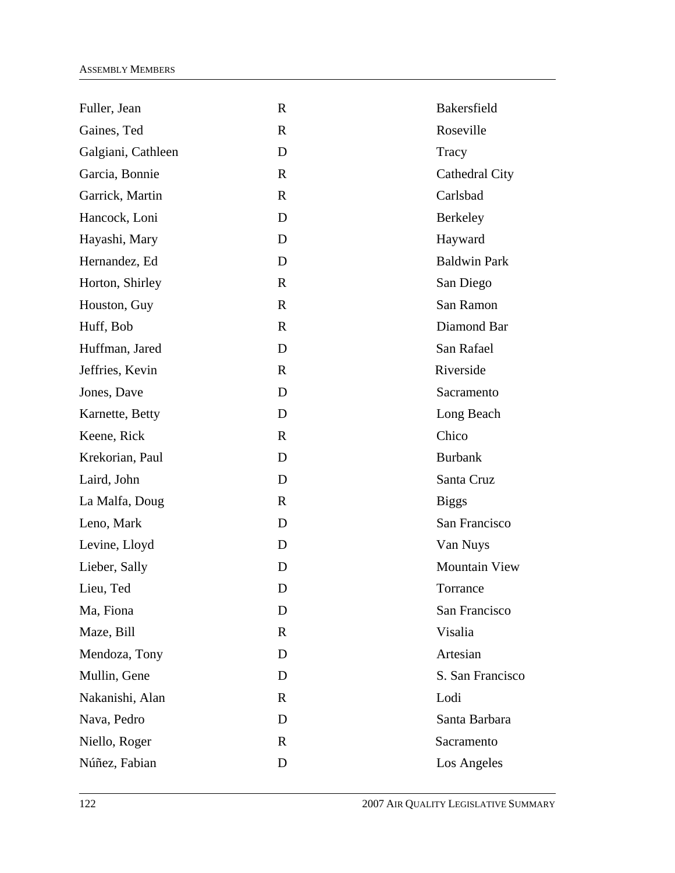| Fuller, Jean       | $\mathbf R$  | Bakersfield          |
|--------------------|--------------|----------------------|
| Gaines, Ted        | $\mathbf R$  | Roseville            |
| Galgiani, Cathleen | D            | Tracy                |
| Garcia, Bonnie     | $\mathbf R$  | Cathedral City       |
| Garrick, Martin    | $\mathbf{R}$ | Carlsbad             |
| Hancock, Loni      | D            | Berkeley             |
| Hayashi, Mary      | D            | Hayward              |
| Hernandez, Ed      | D            | <b>Baldwin Park</b>  |
| Horton, Shirley    | $\mathbf R$  | San Diego            |
| Houston, Guy       | $\mathbf R$  | San Ramon            |
| Huff, Bob          | $\mathbf{R}$ | Diamond Bar          |
| Huffman, Jared     | D            | San Rafael           |
| Jeffries, Kevin    | $\mathbf{R}$ | Riverside            |
| Jones, Dave        | D            | Sacramento           |
| Karnette, Betty    | D            | Long Beach           |
| Keene, Rick        | $\mathbf{R}$ | Chico                |
| Krekorian, Paul    | D            | <b>Burbank</b>       |
| Laird, John        | D            | Santa Cruz           |
| La Malfa, Doug     | $\mathbf R$  | <b>Biggs</b>         |
| Leno, Mark         | D            | San Francisco        |
| Levine, Lloyd      | D            | Van Nuys             |
| Lieber, Sally      | D            | <b>Mountain View</b> |
| Lieu, Ted          | D            | Torrance             |
| Ma, Fiona          | D            | San Francisco        |
| Maze, Bill         | $\mathbf{R}$ | Visalia              |
| Mendoza, Tony      | D            | Artesian             |
| Mullin, Gene       | D            | S. San Francisco     |
| Nakanishi, Alan    | $\mathbf{R}$ | Lodi                 |
| Nava, Pedro        | D            | Santa Barbara        |
| Niello, Roger      | $\mathbf{R}$ | Sacramento           |
| Núñez, Fabian      | D            | Los Angeles          |
|                    |              |                      |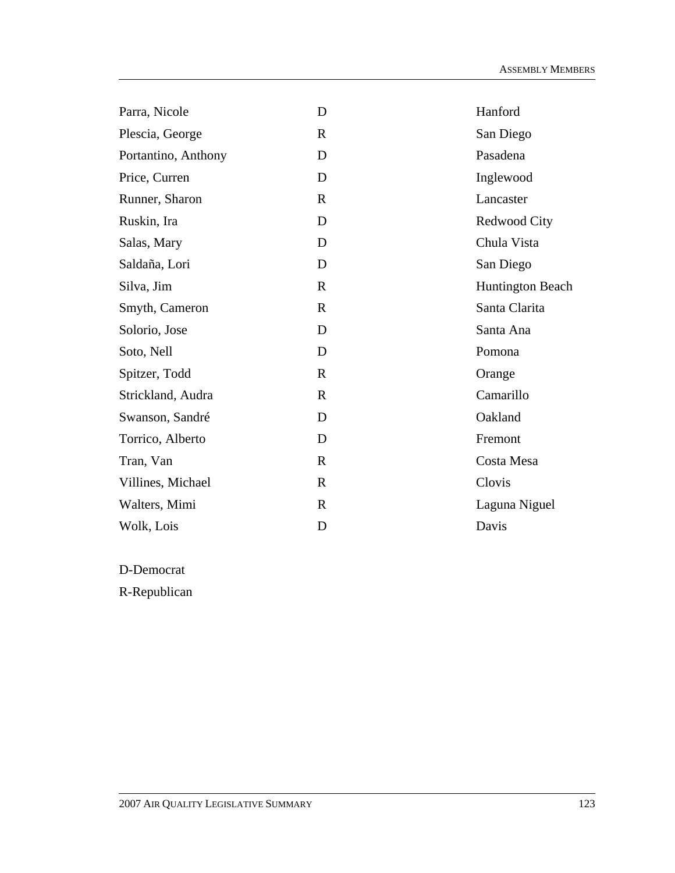| Parra, Nicole       | D            | Hanford                 |
|---------------------|--------------|-------------------------|
| Plescia, George     | $\mathbf R$  | San Diego               |
| Portantino, Anthony | D            | Pasadena                |
| Price, Curren       | D            | Inglewood               |
| Runner, Sharon      | $\mathbf R$  | Lancaster               |
| Ruskin, Ira         | D            | Redwood City            |
| Salas, Mary         | D            | Chula Vista             |
| Saldaña, Lori       | D            | San Diego               |
| Silva, Jim          | $\mathbb{R}$ | <b>Huntington Beach</b> |
| Smyth, Cameron      | $\mathbb{R}$ | Santa Clarita           |
| Solorio, Jose       | D            | Santa Ana               |
| Soto, Nell          | D            | Pomona                  |
| Spitzer, Todd       | $\mathbb{R}$ | Orange                  |
| Strickland, Audra   | R            | Camarillo               |
| Swanson, Sandré     | D            | Oakland                 |
| Torrico, Alberto    | D            | Fremont                 |
| Tran, Van           | $\mathbb{R}$ | Costa Mesa              |
| Villines, Michael   | $\mathbf R$  | Clovis                  |
| Walters, Mimi       | $\mathbf R$  | Laguna Niguel           |
| Wolk, Lois          | D            | Davis                   |

D-Democrat

R-Republican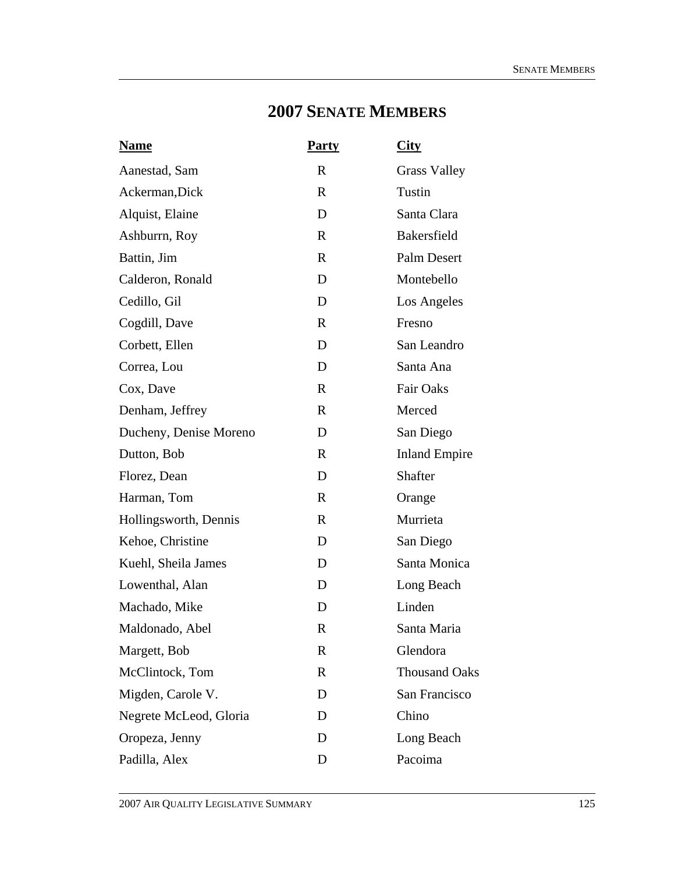## **2007 SENATE MEMBERS**

| <b>Name</b>            | <b>Party</b> | <b>City</b>          |
|------------------------|--------------|----------------------|
| Aanestad, Sam          | R            | <b>Grass Valley</b>  |
| Ackerman, Dick         | $\mathbf{R}$ | Tustin               |
| Alquist, Elaine        | D            | Santa Clara          |
| Ashburrn, Roy          | $\mathbf{R}$ | <b>Bakersfield</b>   |
| Battin, Jim            | $\mathbf R$  | Palm Desert          |
| Calderon, Ronald       | D            | Montebello           |
| Cedillo, Gil           | D            | Los Angeles          |
| Cogdill, Dave          | $\mathbf{R}$ | Fresno               |
| Corbett, Ellen         | D            | San Leandro          |
| Correa, Lou            | D            | Santa Ana            |
| Cox, Dave              | $\mathbf R$  | <b>Fair Oaks</b>     |
| Denham, Jeffrey        | $\mathbf{R}$ | Merced               |
| Ducheny, Denise Moreno | D            | San Diego            |
| Dutton, Bob            | $\mathbf{R}$ | <b>Inland Empire</b> |
| Florez, Dean           | D            | Shafter              |
| Harman, Tom            | $\mathbf{R}$ | Orange               |
| Hollingsworth, Dennis  | $\mathbf R$  | Murrieta             |
| Kehoe, Christine       | D            | San Diego            |
| Kuehl, Sheila James    | D            | Santa Monica         |
| Lowenthal, Alan        | D            | Long Beach           |
| Machado, Mike          | D            | Linden               |
| Maldonado, Abel        | $\mathbf R$  | Santa Maria          |
| Margett, Bob           | $\mathbf R$  | Glendora             |
| McClintock, Tom        | $\mathbf R$  | <b>Thousand Oaks</b> |
| Migden, Carole V.      | D            | San Francisco        |
| Negrete McLeod, Gloria | D            | Chino                |
| Oropeza, Jenny         | D            | Long Beach           |
| Padilla, Alex          | D            | Pacoima              |